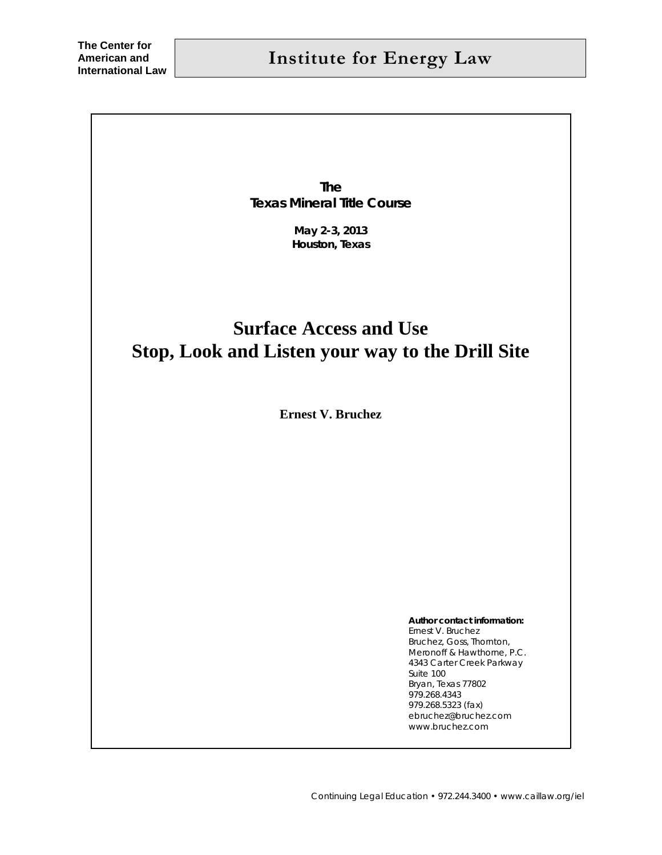**The Texas Mineral Title Course**

> **May 2-3, 2013 Houston, Texas**

# **Surface Access and Use Stop, Look and Listen your way to the Drill Site**

**Ernest V. Bruchez**

**Author contact information:**

Ernest V. Bruchez Bruchez, Goss, Thornton, Meronoff & Hawthorne, P.C. 4343 Carter Creek Parkway Suite 100 Bryan, Texas 77802 979.268.4343 979.268.5323 (fax) ebruchez@bruchez.com www.bruchez.com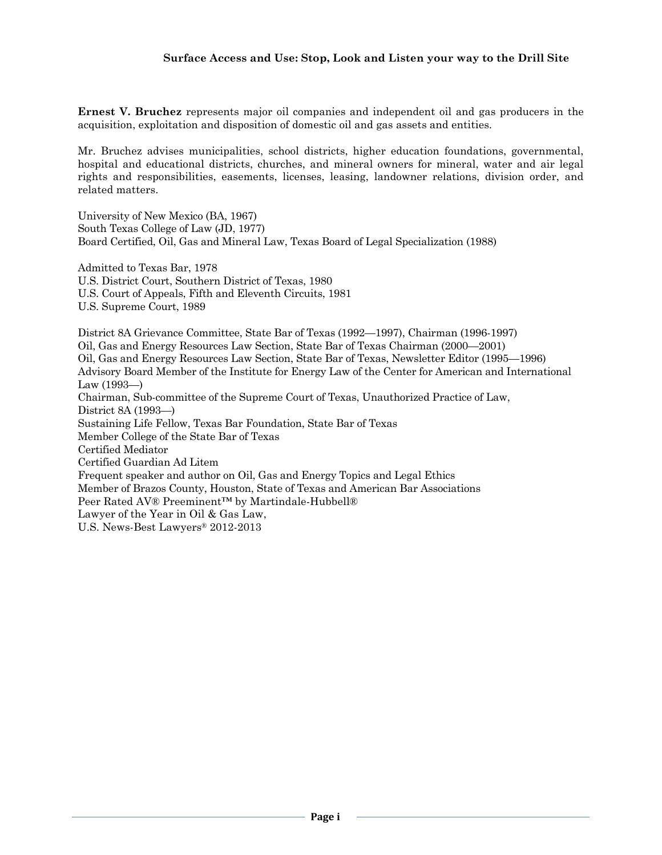**Ernest V. Bruchez** represents major oil companies and independent oil and gas producers in the acquisition, exploitation and disposition of domestic oil and gas assets and entities.

Mr. Bruchez advises municipalities, school districts, higher education foundations, governmental, hospital and educational districts, churches, and mineral owners for mineral, water and air legal rights and responsibilities, easements, licenses, leasing, landowner relations, division order, and related matters.

University of New Mexico (BA, 1967) South Texas College of Law (JD, 1977) Board Certified, Oil, Gas and Mineral Law, Texas Board of Legal Specialization (1988)

Admitted to Texas Bar, 1978 U.S. District Court, Southern District of Texas, 1980 U.S. Court of Appeals, Fifth and Eleventh Circuits, 1981 U.S. Supreme Court, 1989

District 8A Grievance Committee, State Bar of Texas (1992—1997), Chairman (1996-1997) Oil, Gas and Energy Resources Law Section, State Bar of Texas Chairman (2000—2001) Oil, Gas and Energy Resources Law Section, State Bar of Texas, Newsletter Editor (1995—1996) Advisory Board Member of the Institute for Energy Law of the Center for American and International Law (1993—) Chairman, Sub-committee of the Supreme Court of Texas, Unauthorized Practice of Law, District 8A (1993—) Sustaining Life Fellow, Texas Bar Foundation, State Bar of Texas Member College of the State Bar of Texas Certified Mediator Certified Guardian Ad Litem Frequent speaker and author on Oil, Gas and Energy Topics and Legal Ethics Member of Brazos County, Houston, State of Texas and American Bar Associations Peer Rated AV® Preeminent™ by Martindale-Hubbell® Lawyer of the Year in Oil & Gas Law, U.S. News-Best Lawyers® 2012-2013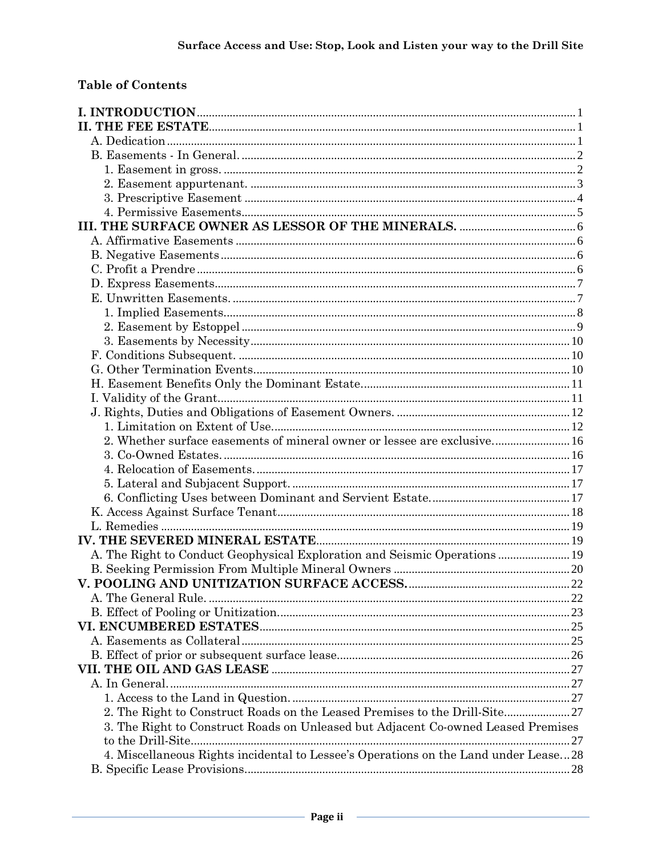# **Table of Contents**

| 2. Whether surface easements of mineral owner or lessee are exclusive 16            |  |
|-------------------------------------------------------------------------------------|--|
|                                                                                     |  |
|                                                                                     |  |
|                                                                                     |  |
|                                                                                     |  |
|                                                                                     |  |
|                                                                                     |  |
|                                                                                     |  |
| A. The Right to Conduct Geophysical Exploration and Seismic Operations  19          |  |
|                                                                                     |  |
|                                                                                     |  |
|                                                                                     |  |
|                                                                                     |  |
|                                                                                     |  |
|                                                                                     |  |
|                                                                                     |  |
|                                                                                     |  |
|                                                                                     |  |
|                                                                                     |  |
| 2. The Right to Construct Roads on the Leased Premises to the Drill-Site            |  |
| 3. The Right to Construct Roads on Unleased but Adjacent Co-owned Leased Premises   |  |
| . 27                                                                                |  |
| 4. Miscellaneous Rights incidental to Lessee's Operations on the Land under Lease28 |  |
|                                                                                     |  |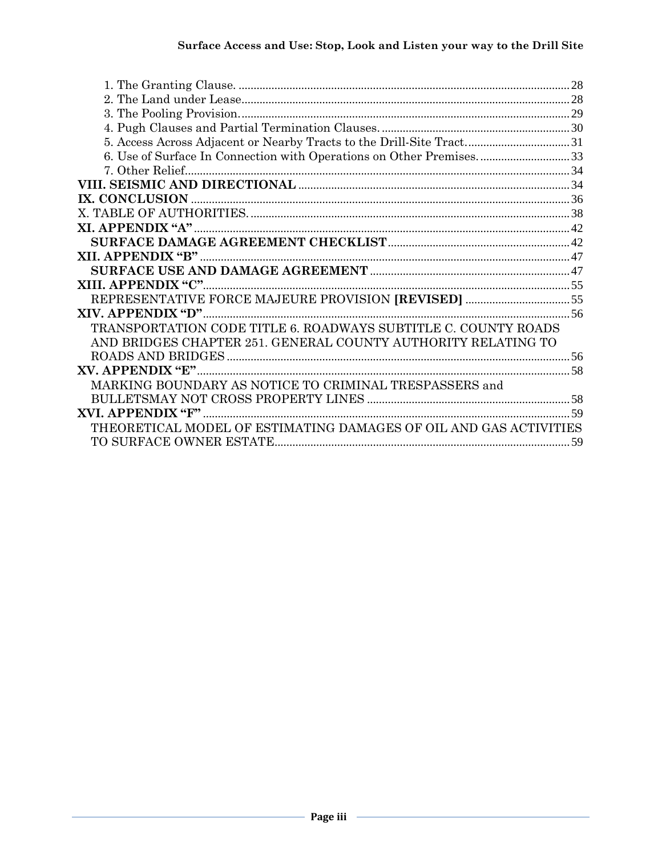| 5. Access Across Adjacent or Nearby Tracts to the Drill-Site Tract31 |  |
|----------------------------------------------------------------------|--|
| 6. Use of Surface In Connection with Operations on Other Premises33  |  |
|                                                                      |  |
|                                                                      |  |
|                                                                      |  |
|                                                                      |  |
|                                                                      |  |
|                                                                      |  |
|                                                                      |  |
|                                                                      |  |
|                                                                      |  |
|                                                                      |  |
| XIV. APPENDIX "D"                                                    |  |
| TRANSPORTATION CODE TITLE 6. ROADWAYS SUBTITLE C. COUNTY ROADS       |  |
| AND BRIDGES CHAPTER 251. GENERAL COUNTY AUTHORITY RELATING TO        |  |
|                                                                      |  |
|                                                                      |  |
| MARKING BOUNDARY AS NOTICE TO CRIMINAL TRESPASSERS and               |  |
|                                                                      |  |
|                                                                      |  |
| THEORETICAL MODEL OF ESTIMATING DAMAGES OF OIL AND GAS ACTIVITIES    |  |
|                                                                      |  |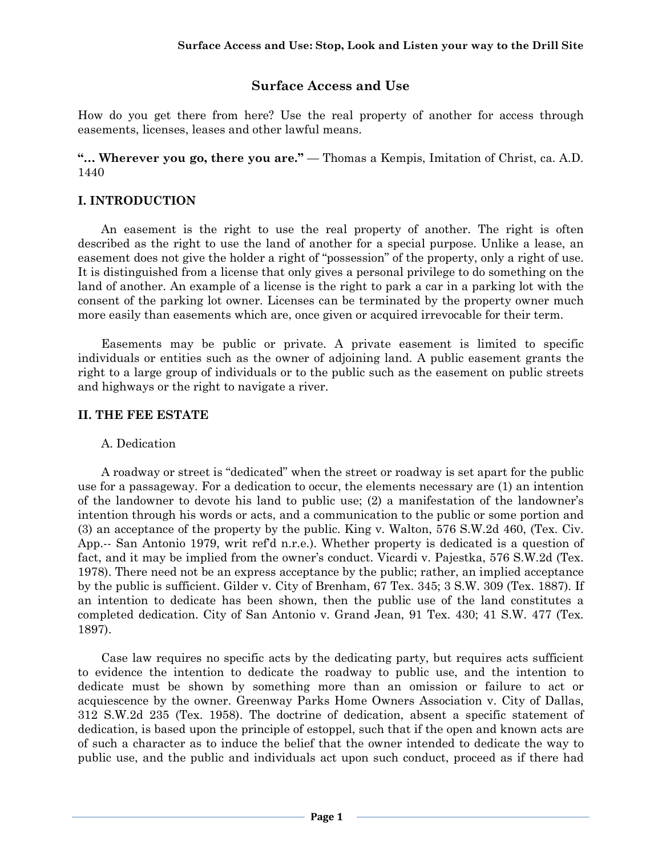# **Surface Access and Use**

How do you get there from here? Use the real property of another for access through easements, licenses, leases and other lawful means.

**"… Wherever you go, there you are."** — Thomas a Kempis, Imitation of Christ, ca. A.D. 1440

# **I. INTRODUCTION**

An easement is the right to use the real property of another. The right is often described as the right to use the land of another for a special purpose. Unlike a lease, an easement does not give the holder a right of "possession" of the property, only a right of use. It is distinguished from a license that only gives a personal privilege to do something on the land of another. An example of a license is the right to park a car in a parking lot with the consent of the parking lot owner. Licenses can be terminated by the property owner much more easily than easements which are, once given or acquired irrevocable for their term.

Easements may be public or private. A private easement is limited to specific individuals or entities such as the owner of adjoining land. A public easement grants the right to a large group of individuals or to the public such as the easement on public streets and highways or the right to navigate a river.

# **II. THE FEE ESTATE**

# A. Dedication

A roadway or street is "dedicated" when the street or roadway is set apart for the public use for a passageway. For a dedication to occur, the elements necessary are (1) an intention of the landowner to devote his land to public use; (2) a manifestation of the landowner's intention through his words or acts, and a communication to the public or some portion and (3) an acceptance of the property by the public. King v. Walton, 576 S.W.2d 460, (Tex. Civ. App.-- San Antonio 1979, writ ref'd n.r.e.). Whether property is dedicated is a question of fact, and it may be implied from the owner's conduct. Vicardi v. Pajestka, 576 S.W.2d (Tex. 1978). There need not be an express acceptance by the public; rather, an implied acceptance by the public is sufficient. Gilder v. City of Brenham, 67 Tex. 345; 3 S.W. 309 (Tex. 1887). If an intention to dedicate has been shown, then the public use of the land constitutes a completed dedication. City of San Antonio v. Grand Jean, 91 Tex. 430; 41 S.W. 477 (Tex. 1897).

Case law requires no specific acts by the dedicating party, but requires acts sufficient to evidence the intention to dedicate the roadway to public use, and the intention to dedicate must be shown by something more than an omission or failure to act or acquiescence by the owner. Greenway Parks Home Owners Association v. City of Dallas, 312 S.W.2d 235 (Tex. 1958). The doctrine of dedication, absent a specific statement of dedication, is based upon the principle of estoppel, such that if the open and known acts are of such a character as to induce the belief that the owner intended to dedicate the way to public use, and the public and individuals act upon such conduct, proceed as if there had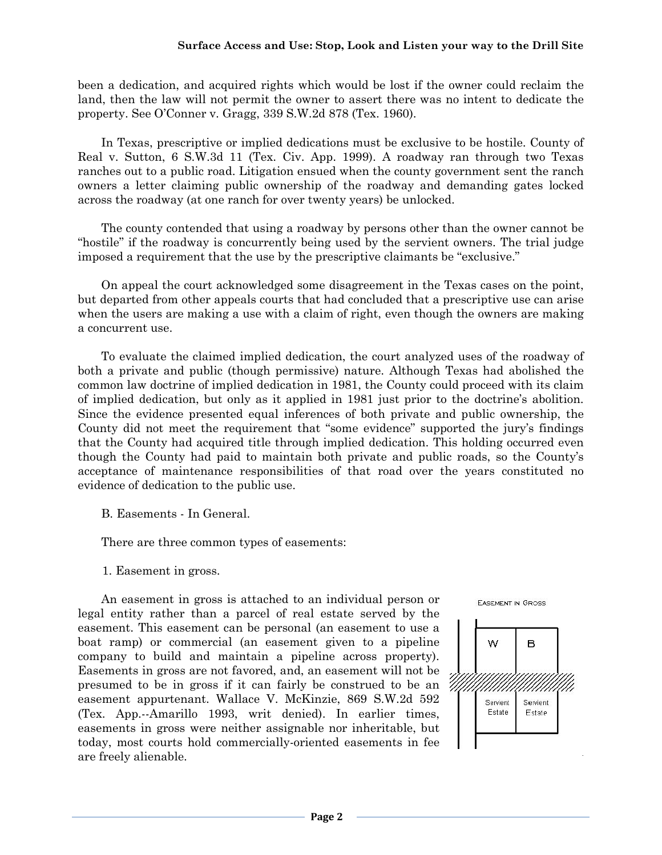been a dedication, and acquired rights which would be lost if the owner could reclaim the land, then the law will not permit the owner to assert there was no intent to dedicate the property. See O'Conner v. Gragg, 339 S.W.2d 878 (Tex. 1960).

In Texas, prescriptive or implied dedications must be exclusive to be hostile. County of Real v. Sutton, 6 S.W.3d 11 (Tex. Civ. App. 1999). A roadway ran through two Texas ranches out to a public road. Litigation ensued when the county government sent the ranch owners a letter claiming public ownership of the roadway and demanding gates locked across the roadway (at one ranch for over twenty years) be unlocked.

The county contended that using a roadway by persons other than the owner cannot be "hostile" if the roadway is concurrently being used by the servient owners. The trial judge imposed a requirement that the use by the prescriptive claimants be "exclusive."

On appeal the court acknowledged some disagreement in the Texas cases on the point, but departed from other appeals courts that had concluded that a prescriptive use can arise when the users are making a use with a claim of right, even though the owners are making a concurrent use.

To evaluate the claimed implied dedication, the court analyzed uses of the roadway of both a private and public (though permissive) nature. Although Texas had abolished the common law doctrine of implied dedication in 1981, the County could proceed with its claim of implied dedication, but only as it applied in 1981 just prior to the doctrine's abolition. Since the evidence presented equal inferences of both private and public ownership, the County did not meet the requirement that "some evidence" supported the jury's findings that the County had acquired title through implied dedication. This holding occurred even though the County had paid to maintain both private and public roads, so the County's acceptance of maintenance responsibilities of that road over the years constituted no evidence of dedication to the public use.

B. Easements - In General.

There are three common types of easements:

1. Easement in gross.

An easement in gross is attached to an individual person or legal entity rather than a parcel of real estate served by the easement. This easement can be personal (an easement to use a boat ramp) or commercial (an easement given to a pipeline company to build and maintain a pipeline across property). Easements in gross are not favored, and, an easement will not be presumed to be in gross if it can fairly be construed to be an easement appurtenant. Wallace V. McKinzie, 869 S.W.2d 592 (Tex. App.--Amarillo 1993, writ denied). In earlier times, easements in gross were neither assignable nor inheritable, but today, most courts hold commercially-oriented easements in fee are freely alienable.



EASEMENT IN GROSS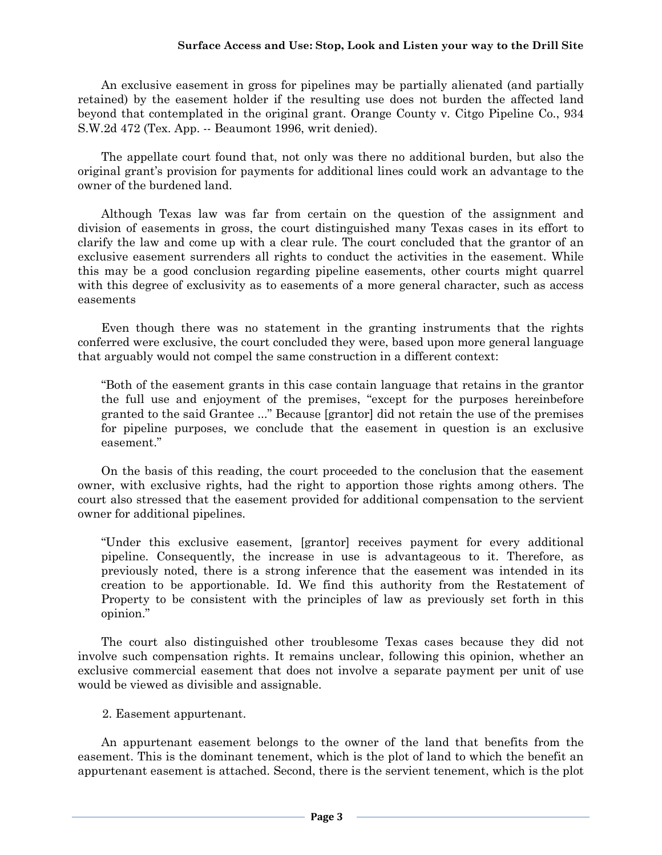An exclusive easement in gross for pipelines may be partially alienated (and partially retained) by the easement holder if the resulting use does not burden the affected land beyond that contemplated in the original grant. Orange County v. Citgo Pipeline Co., 934 S.W.2d 472 (Tex. App. -- Beaumont 1996, writ denied).

The appellate court found that, not only was there no additional burden, but also the original grant's provision for payments for additional lines could work an advantage to the owner of the burdened land.

Although Texas law was far from certain on the question of the assignment and division of easements in gross, the court distinguished many Texas cases in its effort to clarify the law and come up with a clear rule. The court concluded that the grantor of an exclusive easement surrenders all rights to conduct the activities in the easement. While this may be a good conclusion regarding pipeline easements, other courts might quarrel with this degree of exclusivity as to easements of a more general character, such as access easements

Even though there was no statement in the granting instruments that the rights conferred were exclusive, the court concluded they were, based upon more general language that arguably would not compel the same construction in a different context:

"Both of the easement grants in this case contain language that retains in the grantor the full use and enjoyment of the premises, "except for the purposes hereinbefore granted to the said Grantee ..." Because [grantor] did not retain the use of the premises for pipeline purposes, we conclude that the easement in question is an exclusive easement."

On the basis of this reading, the court proceeded to the conclusion that the easement owner, with exclusive rights, had the right to apportion those rights among others. The court also stressed that the easement provided for additional compensation to the servient owner for additional pipelines.

"Under this exclusive easement, [grantor] receives payment for every additional pipeline. Consequently, the increase in use is advantageous to it. Therefore, as previously noted, there is a strong inference that the easement was intended in its creation to be apportionable. Id. We find this authority from the Restatement of Property to be consistent with the principles of law as previously set forth in this opinion."

The court also distinguished other troublesome Texas cases because they did not involve such compensation rights. It remains unclear, following this opinion, whether an exclusive commercial easement that does not involve a separate payment per unit of use would be viewed as divisible and assignable.

2. Easement appurtenant.

An appurtenant easement belongs to the owner of the land that benefits from the easement. This is the dominant tenement, which is the plot of land to which the benefit an appurtenant easement is attached. Second, there is the servient tenement, which is the plot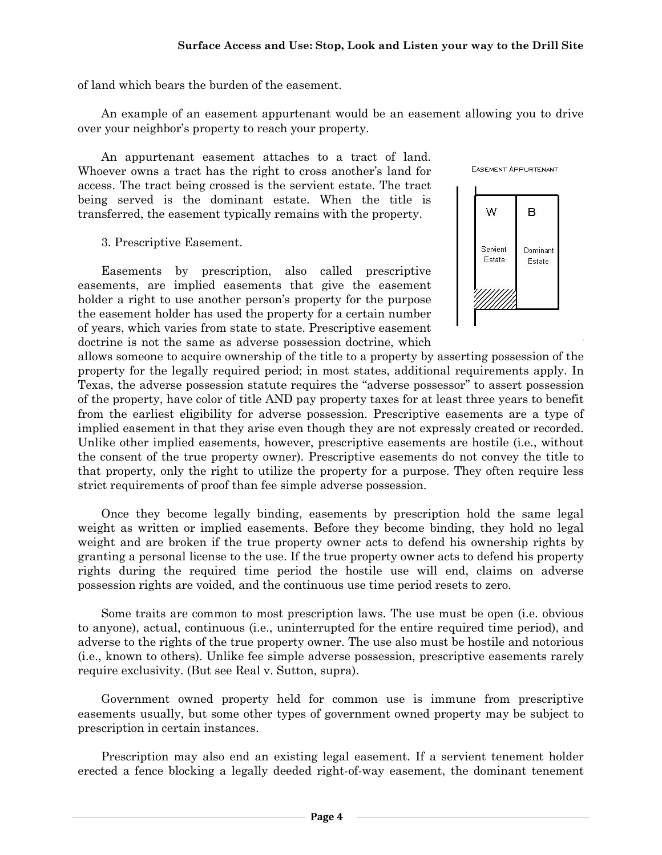of land which bears the burden of the easement.

An example of an easement appurtenant would be an easement allowing you to drive over your neighbor's property to reach your property.

An appurtenant easement attaches to a tract of land. Whoever owns a tract has the right to cross another's land for access. The tract being crossed is the servient estate. The tract being served is the dominant estate. When the title is transferred, the easement typically remains with the property.

### 3. Prescriptive Easement.

Easements by prescription, also called prescriptive easements, are implied easements that give the easement holder a right to use another person's property for the purpose the easement holder has used the property for a certain number of years, which varies from state to state. Prescriptive easement doctrine is not the same as adverse possession doctrine, which



allows someone to acquire ownership of the title to a property by asserting possession of the property for the legally required period; in most states, additional requirements apply. In Texas, the adverse possession statute requires the "adverse possessor" to assert possession of the property, have color of title AND pay property taxes for at least three years to benefit from the earliest eligibility for adverse possession. Prescriptive easements are a type of implied easement in that they arise even though they are not expressly created or recorded. Unlike other implied easements, however, prescriptive easements are hostile (i.e., without the consent of the true property owner). Prescriptive easements do not convey the title to that property, only the right to utilize the property for a purpose. They often require less strict requirements of proof than fee simple adverse possession.

Once they become legally binding, easements by prescription hold the same legal weight as written or implied easements. Before they become binding, they hold no legal weight and are broken if the true property owner acts to defend his ownership rights by granting a personal license to the use. If the true property owner acts to defend his property rights during the required time period the hostile use will end, claims on adverse possession rights are voided, and the continuous use time period resets to zero.

Some traits are common to most prescription laws. The use must be open (i.e. obvious to anyone), actual, continuous (i.e., uninterrupted for the entire required time period), and adverse to the rights of the true property owner. The use also must be hostile and notorious (i.e., known to others). Unlike fee simple adverse possession, prescriptive easements rarely require exclusivity. (But see Real v. Sutton, supra).

Government owned property held for common use is immune from prescriptive easements usually, but some other types of government owned property may be subject to prescription in certain instances.

Prescription may also end an existing legal easement. If a servient tenement holder erected a fence blocking a legally deeded right-of-way easement, the dominant tenement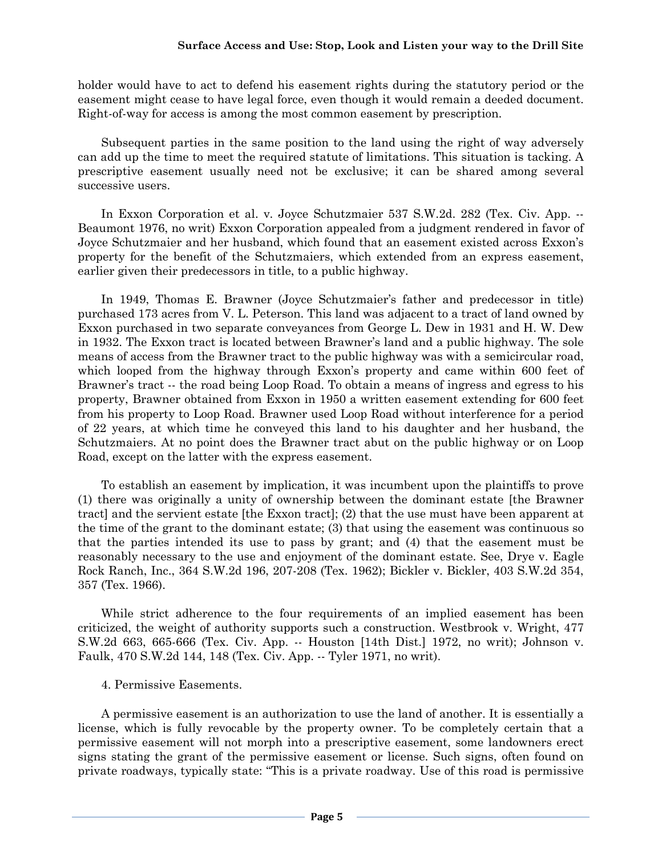holder would have to act to defend his easement rights during the statutory period or the easement might cease to have legal force, even though it would remain a deeded document. Right-of-way for access is among the most common easement by prescription.

Subsequent parties in the same position to the land using the right of way adversely can add up the time to meet the required statute of limitations. This situation is tacking. A prescriptive easement usually need not be exclusive; it can be shared among several successive users.

In Exxon Corporation et al. v. Joyce Schutzmaier 537 S.W.2d. 282 (Tex. Civ. App. -- Beaumont 1976, no writ) Exxon Corporation appealed from a judgment rendered in favor of Joyce Schutzmaier and her husband, which found that an easement existed across Exxon's property for the benefit of the Schutzmaiers, which extended from an express easement, earlier given their predecessors in title, to a public highway.

In 1949, Thomas E. Brawner (Joyce Schutzmaier's father and predecessor in title) purchased 173 acres from V. L. Peterson. This land was adjacent to a tract of land owned by Exxon purchased in two separate conveyances from George L. Dew in 1931 and H. W. Dew in 1932. The Exxon tract is located between Brawner's land and a public highway. The sole means of access from the Brawner tract to the public highway was with a semicircular road, which looped from the highway through Exxon's property and came within 600 feet of Brawner's tract -- the road being Loop Road. To obtain a means of ingress and egress to his property, Brawner obtained from Exxon in 1950 a written easement extending for 600 feet from his property to Loop Road. Brawner used Loop Road without interference for a period of 22 years, at which time he conveyed this land to his daughter and her husband, the Schutzmaiers. At no point does the Brawner tract abut on the public highway or on Loop Road, except on the latter with the express easement.

To establish an easement by implication, it was incumbent upon the plaintiffs to prove (1) there was originally a unity of ownership between the dominant estate [the Brawner tract] and the servient estate [the Exxon tract]; (2) that the use must have been apparent at the time of the grant to the dominant estate; (3) that using the easement was continuous so that the parties intended its use to pass by grant; and (4) that the easement must be reasonably necessary to the use and enjoyment of the dominant estate. See, Drye v. Eagle Rock Ranch, Inc., 364 S.W.2d 196, 207-208 (Tex. 1962); Bickler v. Bickler, 403 S.W.2d 354, 357 (Tex. 1966).

While strict adherence to the four requirements of an implied easement has been criticized, the weight of authority supports such a construction. Westbrook v. Wright, 477 S.W.2d 663, 665-666 (Tex. Civ. App. -- Houston [14th Dist.] 1972, no writ); Johnson v. Faulk, 470 S.W.2d 144, 148 (Tex. Civ. App. -- Tyler 1971, no writ).

### 4. Permissive Easements.

A permissive easement is an authorization to use the land of another. It is essentially a license, which is fully revocable by the property owner. To be completely certain that a permissive easement will not morph into a prescriptive easement, some landowners erect signs stating the grant of the permissive easement or license. Such signs, often found on private roadways, typically state: "This is a private roadway. Use of this road is permissive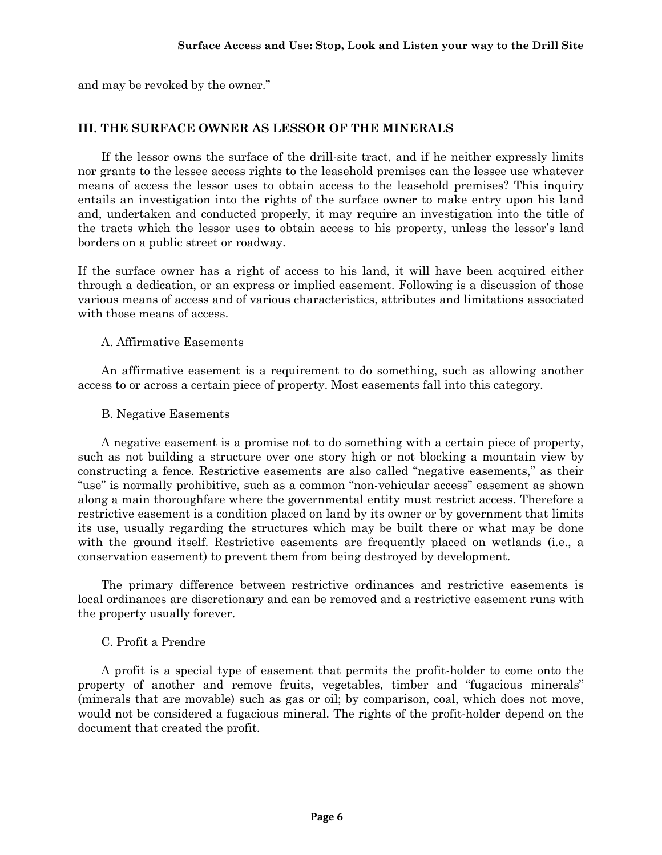and may be revoked by the owner."

# **III. THE SURFACE OWNER AS LESSOR OF THE MINERALS**

If the lessor owns the surface of the drill-site tract, and if he neither expressly limits nor grants to the lessee access rights to the leasehold premises can the lessee use whatever means of access the lessor uses to obtain access to the leasehold premises? This inquiry entails an investigation into the rights of the surface owner to make entry upon his land and, undertaken and conducted properly, it may require an investigation into the title of the tracts which the lessor uses to obtain access to his property, unless the lessor's land borders on a public street or roadway.

If the surface owner has a right of access to his land, it will have been acquired either through a dedication, or an express or implied easement. Following is a discussion of those various means of access and of various characteristics, attributes and limitations associated with those means of access.

### A. Affirmative Easements

An affirmative easement is a requirement to do something, such as allowing another access to or across a certain piece of property. Most easements fall into this category.

### B. Negative Easements

A negative easement is a promise not to do something with a certain piece of property, such as not building a structure over one story high or not blocking a mountain view by constructing a fence. Restrictive easements are also called "negative easements," as their "use" is normally prohibitive, such as a common "non-vehicular access" easement as shown along a main thoroughfare where the governmental entity must restrict access. Therefore a restrictive easement is a condition placed on land by its owner or by government that limits its use, usually regarding the structures which may be built there or what may be done with the ground itself. Restrictive easements are frequently placed on wetlands (i.e., a conservation easement) to prevent them from being destroyed by development.

The primary difference between restrictive ordinances and restrictive easements is local ordinances are discretionary and can be removed and a restrictive easement runs with the property usually forever.

# C. Profit a Prendre

A profit is a special type of easement that permits the profit-holder to come onto the property of another and remove fruits, vegetables, timber and "fugacious minerals" (minerals that are movable) such as gas or oil; by comparison, coal, which does not move, would not be considered a fugacious mineral. The rights of the profit-holder depend on the document that created the profit.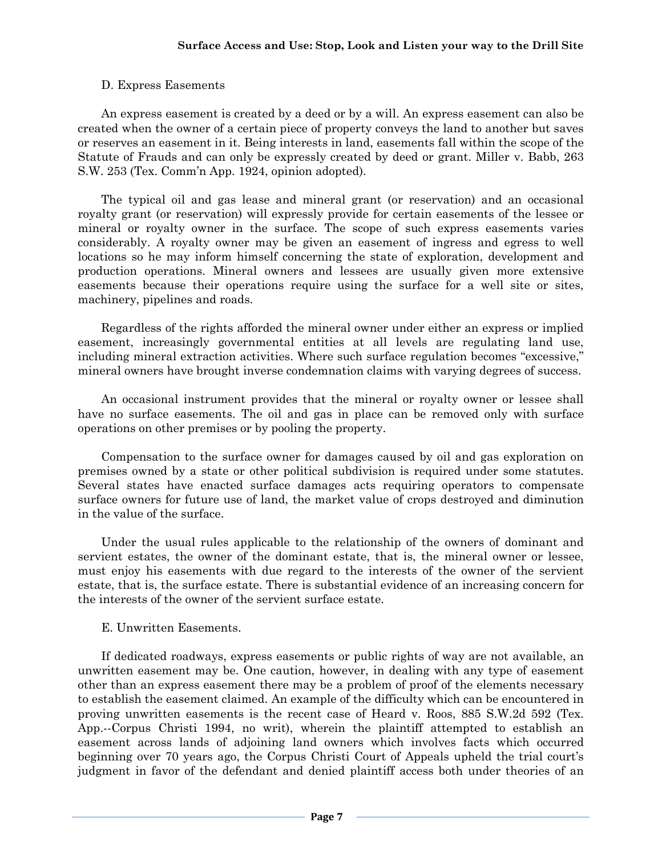# D. Express Easements

An express easement is created by a deed or by a will. An express easement can also be created when the owner of a certain piece of property conveys the land to another but saves or reserves an easement in it. Being interests in land, easements fall within the scope of the Statute of Frauds and can only be expressly created by deed or grant. Miller v. Babb, 263 S.W. 253 (Tex. Comm'n App. 1924, opinion adopted).

The typical oil and gas lease and mineral grant (or reservation) and an occasional royalty grant (or reservation) will expressly provide for certain easements of the lessee or mineral or royalty owner in the surface. The scope of such express easements varies considerably. A royalty owner may be given an easement of ingress and egress to well locations so he may inform himself concerning the state of exploration, development and production operations. Mineral owners and lessees are usually given more extensive easements because their operations require using the surface for a well site or sites, machinery, pipelines and roads.

Regardless of the rights afforded the mineral owner under either an express or implied easement, increasingly governmental entities at all levels are regulating land use, including mineral extraction activities. Where such surface regulation becomes "excessive," mineral owners have brought inverse condemnation claims with varying degrees of success.

An occasional instrument provides that the mineral or royalty owner or lessee shall have no surface easements. The oil and gas in place can be removed only with surface operations on other premises or by pooling the property.

Compensation to the surface owner for damages caused by oil and gas exploration on premises owned by a state or other political subdivision is required under some statutes. Several states have enacted surface damages acts requiring operators to compensate surface owners for future use of land, the market value of crops destroyed and diminution in the value of the surface.

Under the usual rules applicable to the relationship of the owners of dominant and servient estates, the owner of the dominant estate, that is, the mineral owner or lessee, must enjoy his easements with due regard to the interests of the owner of the servient estate, that is, the surface estate. There is substantial evidence of an increasing concern for the interests of the owner of the servient surface estate.

# E. Unwritten Easements.

If dedicated roadways, express easements or public rights of way are not available, an unwritten easement may be. One caution, however, in dealing with any type of easement other than an express easement there may be a problem of proof of the elements necessary to establish the easement claimed. An example of the difficulty which can be encountered in proving unwritten easements is the recent case of Heard v. Roos, 885 S.W.2d 592 (Tex. App.--Corpus Christi 1994, no writ), wherein the plaintiff attempted to establish an easement across lands of adjoining land owners which involves facts which occurred beginning over 70 years ago, the Corpus Christi Court of Appeals upheld the trial court's judgment in favor of the defendant and denied plaintiff access both under theories of an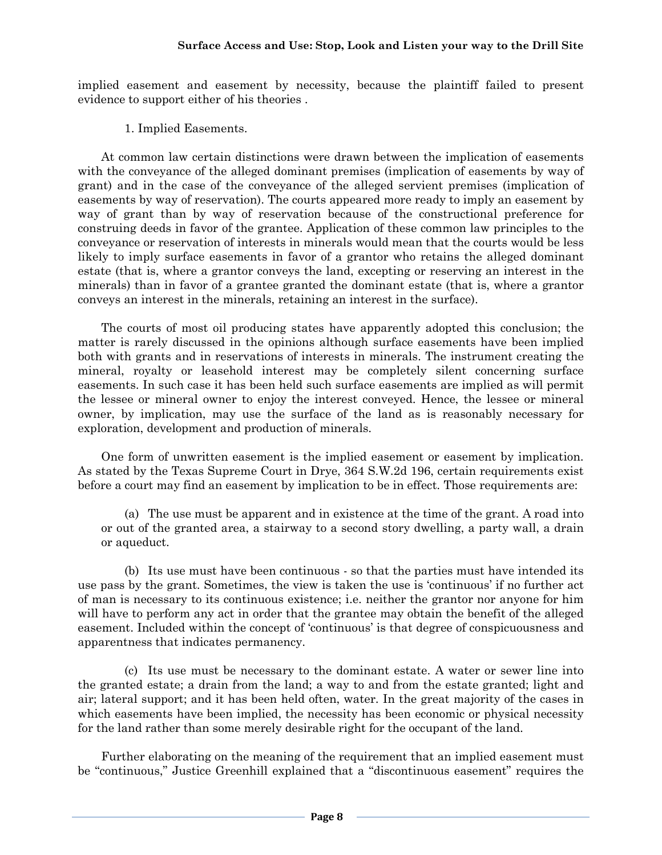implied easement and easement by necessity, because the plaintiff failed to present evidence to support either of his theories .

1. Implied Easements.

At common law certain distinctions were drawn between the implication of easements with the conveyance of the alleged dominant premises (implication of easements by way of grant) and in the case of the conveyance of the alleged servient premises (implication of easements by way of reservation). The courts appeared more ready to imply an easement by way of grant than by way of reservation because of the constructional preference for construing deeds in favor of the grantee. Application of these common law principles to the conveyance or reservation of interests in minerals would mean that the courts would be less likely to imply surface easements in favor of a grantor who retains the alleged dominant estate (that is, where a grantor conveys the land, excepting or reserving an interest in the minerals) than in favor of a grantee granted the dominant estate (that is, where a grantor conveys an interest in the minerals, retaining an interest in the surface).

The courts of most oil producing states have apparently adopted this conclusion; the matter is rarely discussed in the opinions although surface easements have been implied both with grants and in reservations of interests in minerals. The instrument creating the mineral, royalty or leasehold interest may be completely silent concerning surface easements. In such case it has been held such surface easements are implied as will permit the lessee or mineral owner to enjoy the interest conveyed. Hence, the lessee or mineral owner, by implication, may use the surface of the land as is reasonably necessary for exploration, development and production of minerals.

One form of unwritten easement is the implied easement or easement by implication. As stated by the Texas Supreme Court in Drye, 364 S.W.2d 196, certain requirements exist before a court may find an easement by implication to be in effect. Those requirements are:

(a) The use must be apparent and in existence at the time of the grant. A road into or out of the granted area, a stairway to a second story dwelling, a party wall, a drain or aqueduct.

(b) Its use must have been continuous - so that the parties must have intended its use pass by the grant. Sometimes, the view is taken the use is 'continuous' if no further act of man is necessary to its continuous existence; i.e. neither the grantor nor anyone for him will have to perform any act in order that the grantee may obtain the benefit of the alleged easement. Included within the concept of 'continuous' is that degree of conspicuousness and apparentness that indicates permanency.

(c) Its use must be necessary to the dominant estate. A water or sewer line into the granted estate; a drain from the land; a way to and from the estate granted; light and air; lateral support; and it has been held often, water. In the great majority of the cases in which easements have been implied, the necessity has been economic or physical necessity for the land rather than some merely desirable right for the occupant of the land.

Further elaborating on the meaning of the requirement that an implied easement must be "continuous," Justice Greenhill explained that a "discontinuous easement" requires the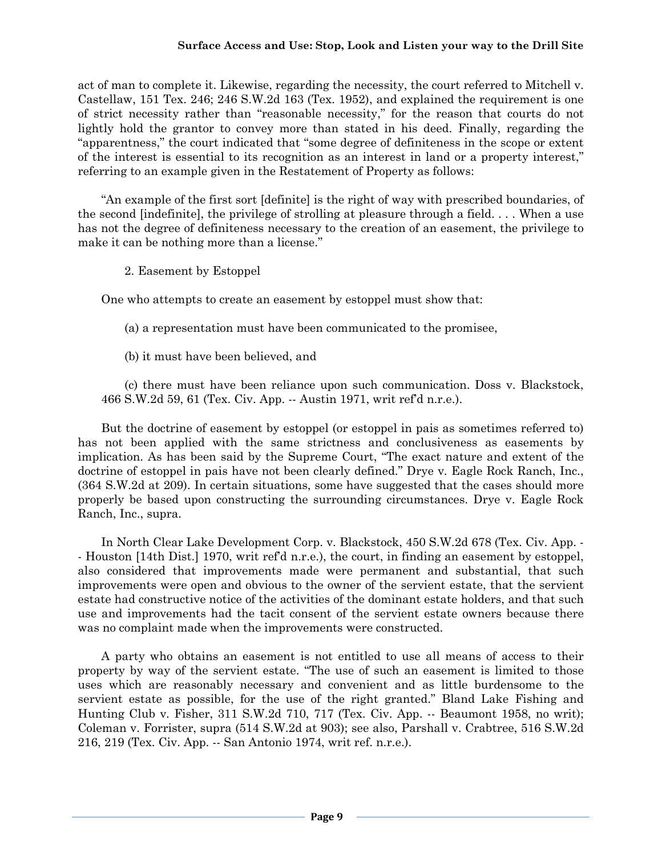act of man to complete it. Likewise, regarding the necessity, the court referred to Mitchell v. Castellaw, 151 Tex. 246; 246 S.W.2d 163 (Tex. 1952), and explained the requirement is one of strict necessity rather than "reasonable necessity," for the reason that courts do not lightly hold the grantor to convey more than stated in his deed. Finally, regarding the "apparentness," the court indicated that "some degree of definiteness in the scope or extent of the interest is essential to its recognition as an interest in land or a property interest," referring to an example given in the Restatement of Property as follows:

"An example of the first sort [definite] is the right of way with prescribed boundaries, of the second [indefinite], the privilege of strolling at pleasure through a field. . . . When a use has not the degree of definiteness necessary to the creation of an easement, the privilege to make it can be nothing more than a license."

2. Easement by Estoppel

One who attempts to create an easement by estoppel must show that:

- (a) a representation must have been communicated to the promisee,
- (b) it must have been believed, and

(c) there must have been reliance upon such communication. Doss v. Blackstock, 466 S.W.2d 59, 61 (Tex. Civ. App. -- Austin 1971, writ ref'd n.r.e.).

But the doctrine of easement by estoppel (or estoppel in pais as sometimes referred to) has not been applied with the same strictness and conclusiveness as easements by implication. As has been said by the Supreme Court, "The exact nature and extent of the doctrine of estoppel in pais have not been clearly defined." Drye v. Eagle Rock Ranch, Inc., (364 S.W.2d at 209). In certain situations, some have suggested that the cases should more properly be based upon constructing the surrounding circumstances. Drye v. Eagle Rock Ranch, Inc., supra.

In North Clear Lake Development Corp. v. Blackstock, 450 S.W.2d 678 (Tex. Civ. App. - - Houston [14th Dist.] 1970, writ ref'd n.r.e.), the court, in finding an easement by estoppel, also considered that improvements made were permanent and substantial, that such improvements were open and obvious to the owner of the servient estate, that the servient estate had constructive notice of the activities of the dominant estate holders, and that such use and improvements had the tacit consent of the servient estate owners because there was no complaint made when the improvements were constructed.

A party who obtains an easement is not entitled to use all means of access to their property by way of the servient estate. "The use of such an easement is limited to those uses which are reasonably necessary and convenient and as little burdensome to the servient estate as possible, for the use of the right granted." Bland Lake Fishing and Hunting Club v. Fisher, 311 S.W.2d 710, 717 (Tex. Civ. App. -- Beaumont 1958, no writ); Coleman v. Forrister, supra (514 S.W.2d at 903); see also, Parshall v. Crabtree, 516 S.W.2d 216, 219 (Tex. Civ. App. -- San Antonio 1974, writ ref. n.r.e.).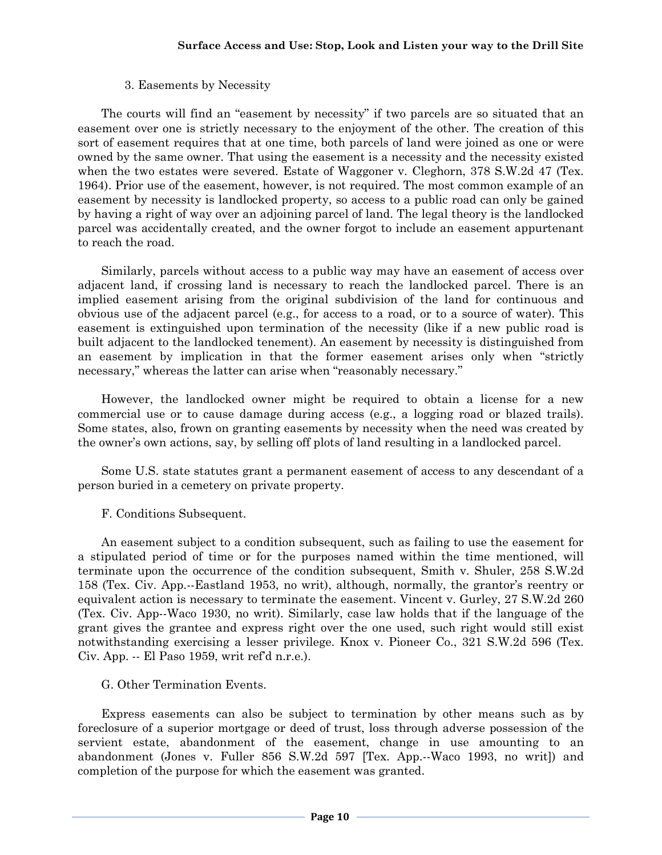# 3. Easements by Necessity

The courts will find an "easement by necessity" if two parcels are so situated that an easement over one is strictly necessary to the enjoyment of the other. The creation of this sort of easement requires that at one time, both parcels of land were joined as one or were owned by the same owner. That using the easement is a necessity and the necessity existed when the two estates were severed. Estate of Waggoner v. Cleghorn, 378 S.W.2d 47 (Tex. 1964). Prior use of the easement, however, is not required. The most common example of an easement by necessity is landlocked property, so access to a public road can only be gained by having a right of way over an adjoining parcel of land. The legal theory is the landlocked parcel was accidentally created, and the owner forgot to include an easement appurtenant to reach the road.

Similarly, parcels without access to a public way may have an easement of access over adjacent land, if crossing land is necessary to reach the landlocked parcel. There is an implied easement arising from the original subdivision of the land for continuous and obvious use of the adjacent parcel (e.g., for access to a road, or to a source of water). This easement is extinguished upon termination of the necessity (like if a new public road is built adjacent to the landlocked tenement). An easement by necessity is distinguished from an easement by implication in that the former easement arises only when "strictly necessary," whereas the latter can arise when "reasonably necessary."

However, the landlocked owner might be required to obtain a license for a new commercial use or to cause damage during access (e.g., a logging road or blazed trails). Some states, also, frown on granting easements by necessity when the need was created by the owner's own actions, say, by selling off plots of land resulting in a landlocked parcel.

Some U.S. state statutes grant a permanent easement of access to any descendant of a person buried in a cemetery on private property.

F. Conditions Subsequent.

An easement subject to a condition subsequent, such as failing to use the easement for a stipulated period of time or for the purposes named within the time mentioned, will terminate upon the occurrence of the condition subsequent, Smith v. Shuler, 258 S.W.2d 158 (Tex. Civ. App.--Eastland 1953, no writ), although, normally, the grantor's reentry or equivalent action is necessary to terminate the easement. Vincent v. Gurley, 27 S.W.2d 260 (Tex. Civ. App--Waco 1930, no writ). Similarly, case law holds that if the language of the grant gives the grantee and express right over the one used, such right would still exist notwithstanding exercising a lesser privilege. Knox v. Pioneer Co., 321 S.W.2d 596 (Tex. Civ. App. -- El Paso 1959, writ ref'd n.r.e.).

# G. Other Termination Events.

Express easements can also be subject to termination by other means such as by foreclosure of a superior mortgage or deed of trust, loss through adverse possession of the servient estate, abandonment of the easement, change in use amounting to an abandonment (Jones v. Fuller 856 S.W.2d 597 [Tex. App.--Waco 1993, no writ]) and completion of the purpose for which the easement was granted.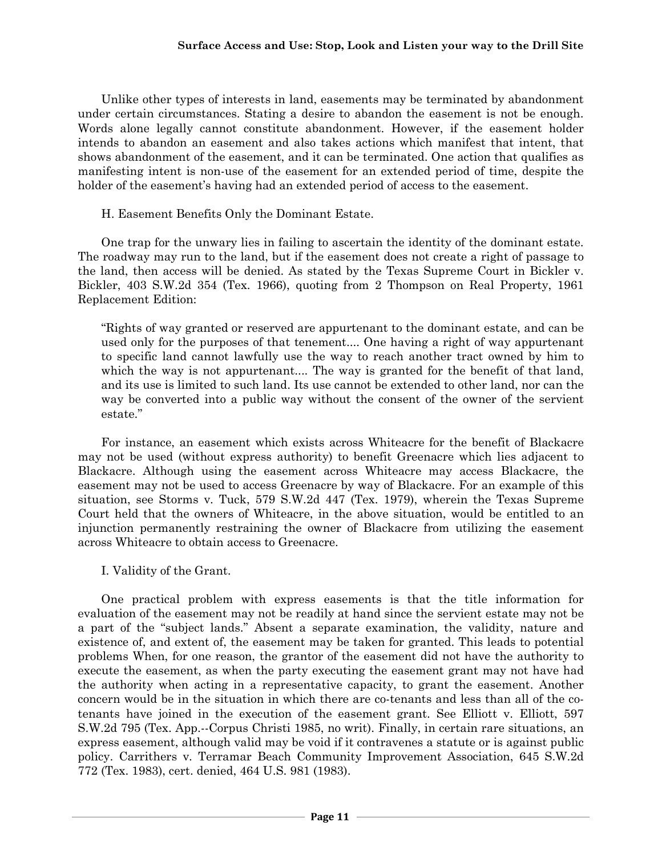Unlike other types of interests in land, easements may be terminated by abandonment under certain circumstances. Stating a desire to abandon the easement is not be enough. Words alone legally cannot constitute abandonment. However, if the easement holder intends to abandon an easement and also takes actions which manifest that intent, that shows abandonment of the easement, and it can be terminated. One action that qualifies as manifesting intent is non-use of the easement for an extended period of time, despite the holder of the easement's having had an extended period of access to the easement.

H. Easement Benefits Only the Dominant Estate.

One trap for the unwary lies in failing to ascertain the identity of the dominant estate. The roadway may run to the land, but if the easement does not create a right of passage to the land, then access will be denied. As stated by the Texas Supreme Court in Bickler v. Bickler, 403 S.W.2d 354 (Tex. 1966), quoting from 2 Thompson on Real Property, 1961 Replacement Edition:

"Rights of way granted or reserved are appurtenant to the dominant estate, and can be used only for the purposes of that tenement.... One having a right of way appurtenant to specific land cannot lawfully use the way to reach another tract owned by him to which the way is not appurtenant.... The way is granted for the benefit of that land, and its use is limited to such land. Its use cannot be extended to other land, nor can the way be converted into a public way without the consent of the owner of the servient estate."

For instance, an easement which exists across Whiteacre for the benefit of Blackacre may not be used (without express authority) to benefit Greenacre which lies adjacent to Blackacre. Although using the easement across Whiteacre may access Blackacre, the easement may not be used to access Greenacre by way of Blackacre. For an example of this situation, see Storms v. Tuck, 579 S.W.2d 447 (Tex. 1979), wherein the Texas Supreme Court held that the owners of Whiteacre, in the above situation, would be entitled to an injunction permanently restraining the owner of Blackacre from utilizing the easement across Whiteacre to obtain access to Greenacre.

I. Validity of the Grant.

One practical problem with express easements is that the title information for evaluation of the easement may not be readily at hand since the servient estate may not be a part of the "subject lands." Absent a separate examination, the validity, nature and existence of, and extent of, the easement may be taken for granted. This leads to potential problems When, for one reason, the grantor of the easement did not have the authority to execute the easement, as when the party executing the easement grant may not have had the authority when acting in a representative capacity, to grant the easement. Another concern would be in the situation in which there are co-tenants and less than all of the cotenants have joined in the execution of the easement grant. See Elliott v. Elliott, 597 S.W.2d 795 (Tex. App.--Corpus Christi 1985, no writ). Finally, in certain rare situations, an express easement, although valid may be void if it contravenes a statute or is against public policy. Carrithers v. Terramar Beach Community Improvement Association, 645 S.W.2d 772 (Tex. 1983), cert. denied, 464 U.S. 981 (1983).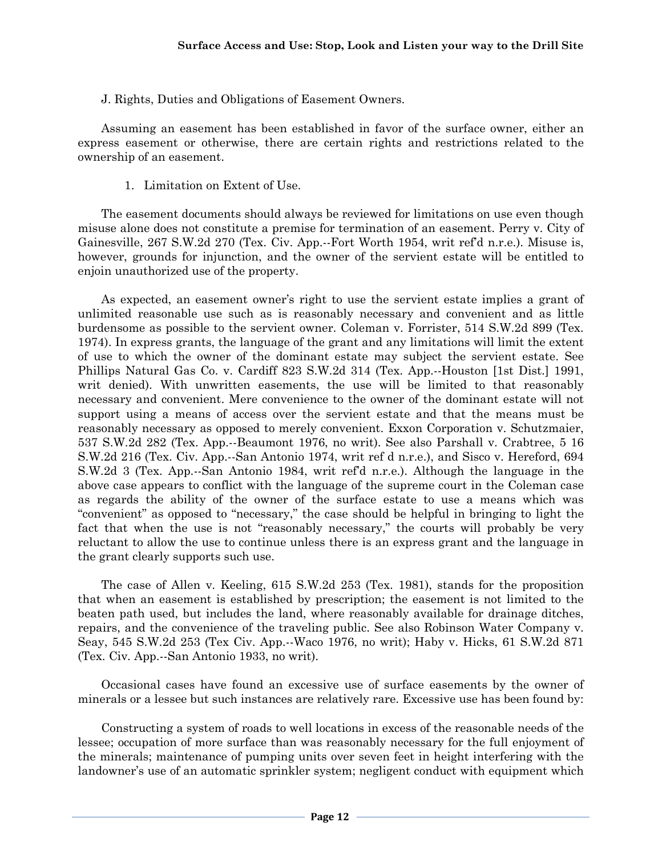J. Rights, Duties and Obligations of Easement Owners.

Assuming an easement has been established in favor of the surface owner, either an express easement or otherwise, there are certain rights and restrictions related to the ownership of an easement.

1. Limitation on Extent of Use.

The easement documents should always be reviewed for limitations on use even though misuse alone does not constitute a premise for termination of an easement. Perry v. City of Gainesville, 267 S.W.2d 270 (Tex. Civ. App.--Fort Worth 1954, writ ref'd n.r.e.). Misuse is, however, grounds for injunction, and the owner of the servient estate will be entitled to enjoin unauthorized use of the property.

As expected, an easement owner's right to use the servient estate implies a grant of unlimited reasonable use such as is reasonably necessary and convenient and as little burdensome as possible to the servient owner. Coleman v. Forrister, 514 S.W.2d 899 (Tex. 1974). In express grants, the language of the grant and any limitations will limit the extent of use to which the owner of the dominant estate may subject the servient estate. See Phillips Natural Gas Co. v. Cardiff 823 S.W.2d 314 (Tex. App.--Houston [1st Dist.] 1991, writ denied). With unwritten easements, the use will be limited to that reasonably necessary and convenient. Mere convenience to the owner of the dominant estate will not support using a means of access over the servient estate and that the means must be reasonably necessary as opposed to merely convenient. Exxon Corporation v. Schutzmaier, 537 S.W.2d 282 (Tex. App.--Beaumont 1976, no writ). See also Parshall v. Crabtree, 5 16 S.W.2d 216 (Tex. Civ. App.--San Antonio 1974, writ ref d n.r.e.), and Sisco v. Hereford, 694 S.W.2d 3 (Tex. App.--San Antonio 1984, writ ref'd n.r.e.). Although the language in the above case appears to conflict with the language of the supreme court in the Coleman case as regards the ability of the owner of the surface estate to use a means which was "convenient" as opposed to "necessary," the case should be helpful in bringing to light the fact that when the use is not "reasonably necessary," the courts will probably be very reluctant to allow the use to continue unless there is an express grant and the language in the grant clearly supports such use.

The case of Allen v. Keeling, 615 S.W.2d 253 (Tex. 1981), stands for the proposition that when an easement is established by prescription; the easement is not limited to the beaten path used, but includes the land, where reasonably available for drainage ditches, repairs, and the convenience of the traveling public. See also Robinson Water Company v. Seay, 545 S.W.2d 253 (Tex Civ. App.--Waco 1976, no writ); Haby v. Hicks, 61 S.W.2d 871 (Tex. Civ. App.--San Antonio 1933, no writ).

Occasional cases have found an excessive use of surface easements by the owner of minerals or a lessee but such instances are relatively rare. Excessive use has been found by:

Constructing a system of roads to well locations in excess of the reasonable needs of the lessee; occupation of more surface than was reasonably necessary for the full enjoyment of the minerals; maintenance of pumping units over seven feet in height interfering with the landowner's use of an automatic sprinkler system; negligent conduct with equipment which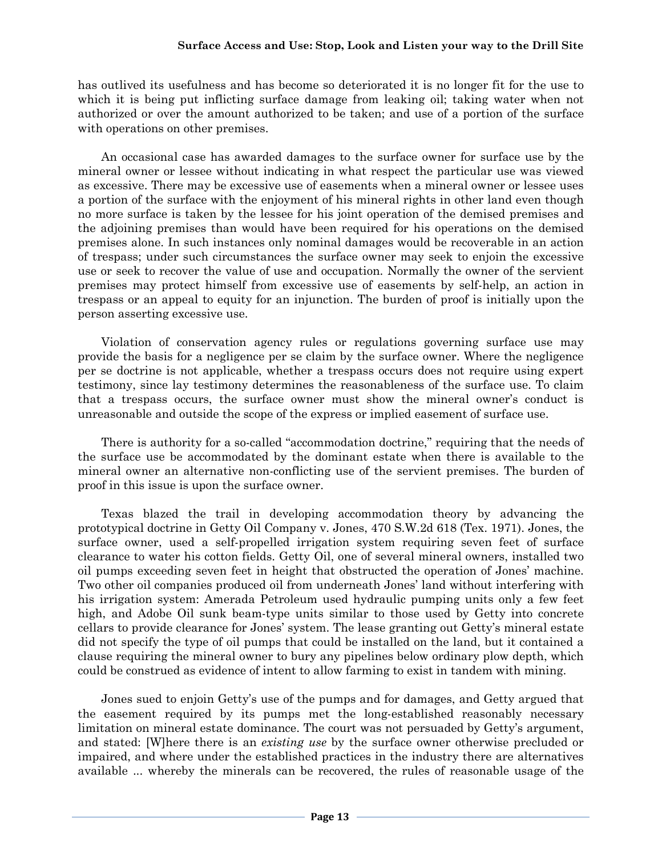has outlived its usefulness and has become so deteriorated it is no longer fit for the use to which it is being put inflicting surface damage from leaking oil; taking water when not authorized or over the amount authorized to be taken; and use of a portion of the surface with operations on other premises.

An occasional case has awarded damages to the surface owner for surface use by the mineral owner or lessee without indicating in what respect the particular use was viewed as excessive. There may be excessive use of easements when a mineral owner or lessee uses a portion of the surface with the enjoyment of his mineral rights in other land even though no more surface is taken by the lessee for his joint operation of the demised premises and the adjoining premises than would have been required for his operations on the demised premises alone. In such instances only nominal damages would be recoverable in an action of trespass; under such circumstances the surface owner may seek to enjoin the excessive use or seek to recover the value of use and occupation. Normally the owner of the servient premises may protect himself from excessive use of easements by self-help, an action in trespass or an appeal to equity for an injunction. The burden of proof is initially upon the person asserting excessive use.

Violation of conservation agency rules or regulations governing surface use may provide the basis for a negligence per se claim by the surface owner. Where the negligence per se doctrine is not applicable, whether a trespass occurs does not require using expert testimony, since lay testimony determines the reasonableness of the surface use. To claim that a trespass occurs, the surface owner must show the mineral owner's conduct is unreasonable and outside the scope of the express or implied easement of surface use.

There is authority for a so-called "accommodation doctrine," requiring that the needs of the surface use be accommodated by the dominant estate when there is available to the mineral owner an alternative non-conflicting use of the servient premises. The burden of proof in this issue is upon the surface owner.

Texas blazed the trail in developing accommodation theory by advancing the prototypical doctrine in Getty Oil Company v. Jones, 470 S.W.2d 618 (Tex. 1971). Jones, the surface owner, used a self-propelled irrigation system requiring seven feet of surface clearance to water his cotton fields. Getty Oil, one of several mineral owners, installed two oil pumps exceeding seven feet in height that obstructed the operation of Jones' machine. Two other oil companies produced oil from underneath Jones' land without interfering with his irrigation system: Amerada Petroleum used hydraulic pumping units only a few feet high, and Adobe Oil sunk beam-type units similar to those used by Getty into concrete cellars to provide clearance for Jones' system. The lease granting out Getty's mineral estate did not specify the type of oil pumps that could be installed on the land, but it contained a clause requiring the mineral owner to bury any pipelines below ordinary plow depth, which could be construed as evidence of intent to allow farming to exist in tandem with mining.

Jones sued to enjoin Getty's use of the pumps and for damages, and Getty argued that the easement required by its pumps met the long-established reasonably necessary limitation on mineral estate dominance. The court was not persuaded by Getty's argument, and stated: [W]here there is an *existing use* by the surface owner otherwise precluded or impaired, and where under the established practices in the industry there are alternatives available ... whereby the minerals can be recovered, the rules of reasonable usage of the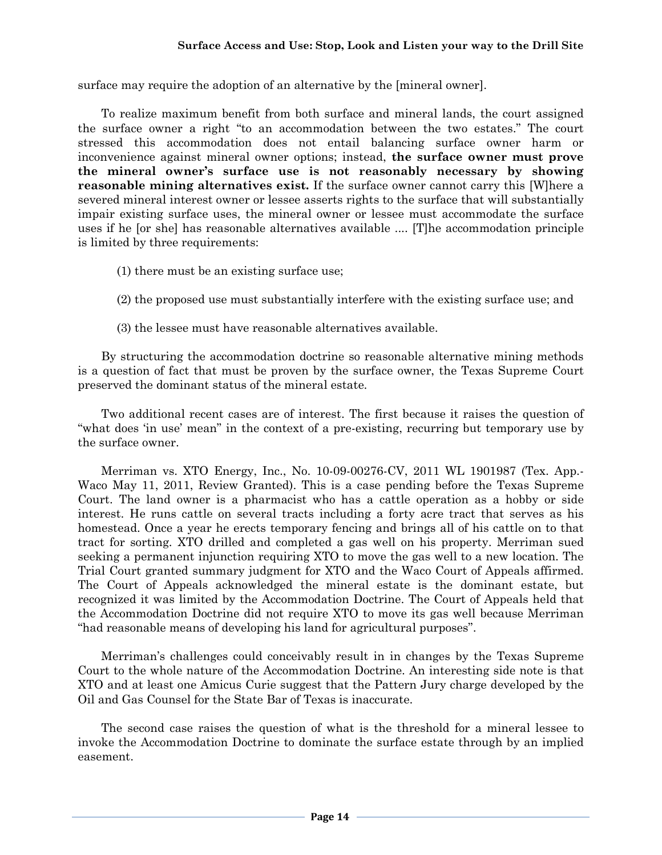surface may require the adoption of an alternative by the [mineral owner].

To realize maximum benefit from both surface and mineral lands, the court assigned the surface owner a right "to an accommodation between the two estates." The court stressed this accommodation does not entail balancing surface owner harm or inconvenience against mineral owner options; instead, **the surface owner must prove the mineral owner's surface use is not reasonably necessary by showing reasonable mining alternatives exist.** If the surface owner cannot carry this [W]here a severed mineral interest owner or lessee asserts rights to the surface that will substantially impair existing surface uses, the mineral owner or lessee must accommodate the surface uses if he [or she] has reasonable alternatives available .... [T]he accommodation principle is limited by three requirements:

- (1) there must be an existing surface use;
- (2) the proposed use must substantially interfere with the existing surface use; and
- (3) the lessee must have reasonable alternatives available.

By structuring the accommodation doctrine so reasonable alternative mining methods is a question of fact that must be proven by the surface owner, the Texas Supreme Court preserved the dominant status of the mineral estate.

Two additional recent cases are of interest. The first because it raises the question of "what does 'in use' mean" in the context of a pre-existing, recurring but temporary use by the surface owner.

Merriman vs. XTO Energy, Inc., No. 10-09-00276-CV, 2011 WL 1901987 (Tex. App.- Waco May 11, 2011, Review Granted). This is a case pending before the Texas Supreme Court. The land owner is a pharmacist who has a cattle operation as a hobby or side interest. He runs cattle on several tracts including a forty acre tract that serves as his homestead. Once a year he erects temporary fencing and brings all of his cattle on to that tract for sorting. XTO drilled and completed a gas well on his property. Merriman sued seeking a permanent injunction requiring XTO to move the gas well to a new location. The Trial Court granted summary judgment for XTO and the Waco Court of Appeals affirmed. The Court of Appeals acknowledged the mineral estate is the dominant estate, but recognized it was limited by the Accommodation Doctrine. The Court of Appeals held that the Accommodation Doctrine did not require XTO to move its gas well because Merriman "had reasonable means of developing his land for agricultural purposes".

Merriman's challenges could conceivably result in in changes by the Texas Supreme Court to the whole nature of the Accommodation Doctrine. An interesting side note is that XTO and at least one Amicus Curie suggest that the Pattern Jury charge developed by the Oil and Gas Counsel for the State Bar of Texas is inaccurate.

The second case raises the question of what is the threshold for a mineral lessee to invoke the Accommodation Doctrine to dominate the surface estate through by an implied easement.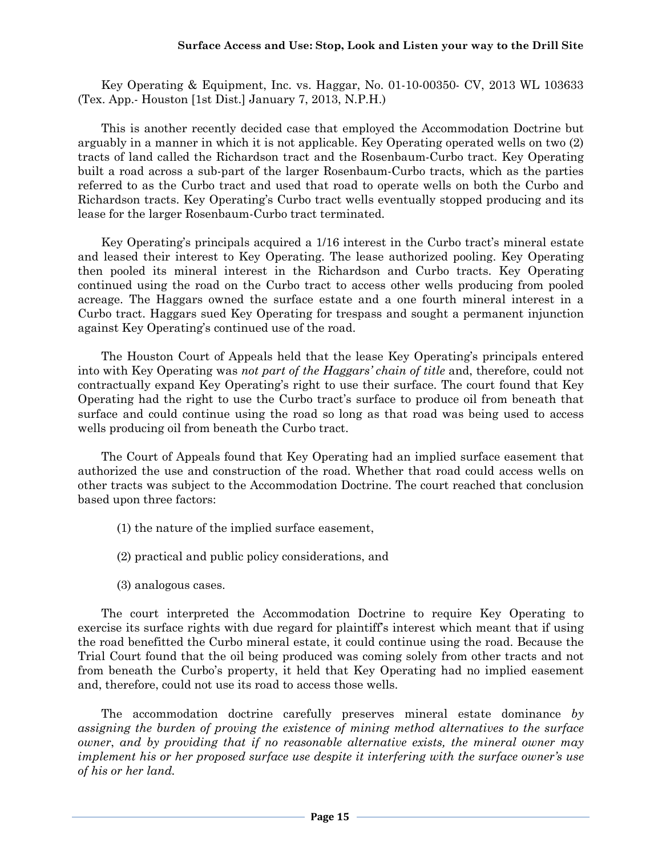Key Operating & Equipment, Inc. vs. Haggar, No. 01-10-00350- CV, 2013 WL 103633 (Tex. App.- Houston [1st Dist.] January 7, 2013, N.P.H.)

This is another recently decided case that employed the Accommodation Doctrine but arguably in a manner in which it is not applicable. Key Operating operated wells on two (2) tracts of land called the Richardson tract and the Rosenbaum-Curbo tract. Key Operating built a road across a sub-part of the larger Rosenbaum-Curbo tracts, which as the parties referred to as the Curbo tract and used that road to operate wells on both the Curbo and Richardson tracts. Key Operating's Curbo tract wells eventually stopped producing and its lease for the larger Rosenbaum-Curbo tract terminated.

Key Operating's principals acquired a 1/16 interest in the Curbo tract's mineral estate and leased their interest to Key Operating. The lease authorized pooling. Key Operating then pooled its mineral interest in the Richardson and Curbo tracts. Key Operating continued using the road on the Curbo tract to access other wells producing from pooled acreage. The Haggars owned the surface estate and a one fourth mineral interest in a Curbo tract. Haggars sued Key Operating for trespass and sought a permanent injunction against Key Operating's continued use of the road.

The Houston Court of Appeals held that the lease Key Operating's principals entered into with Key Operating was *not part of the Haggars' chain of title* and, therefore, could not contractually expand Key Operating's right to use their surface. The court found that Key Operating had the right to use the Curbo tract's surface to produce oil from beneath that surface and could continue using the road so long as that road was being used to access wells producing oil from beneath the Curbo tract.

The Court of Appeals found that Key Operating had an implied surface easement that authorized the use and construction of the road. Whether that road could access wells on other tracts was subject to the Accommodation Doctrine. The court reached that conclusion based upon three factors:

- (1) the nature of the implied surface easement,
- (2) practical and public policy considerations, and
- (3) analogous cases.

The court interpreted the Accommodation Doctrine to require Key Operating to exercise its surface rights with due regard for plaintiff's interest which meant that if using the road benefitted the Curbo mineral estate, it could continue using the road. Because the Trial Court found that the oil being produced was coming solely from other tracts and not from beneath the Curbo's property, it held that Key Operating had no implied easement and, therefore, could not use its road to access those wells.

The accommodation doctrine carefully preserves mineral estate dominance *by assigning the burden of proving the existence of mining method alternatives to the surface owner*, *and by providing that if no reasonable alternative exists, the mineral owner may implement his or her proposed surface use despite it interfering with the surface owner's use of his or her land.*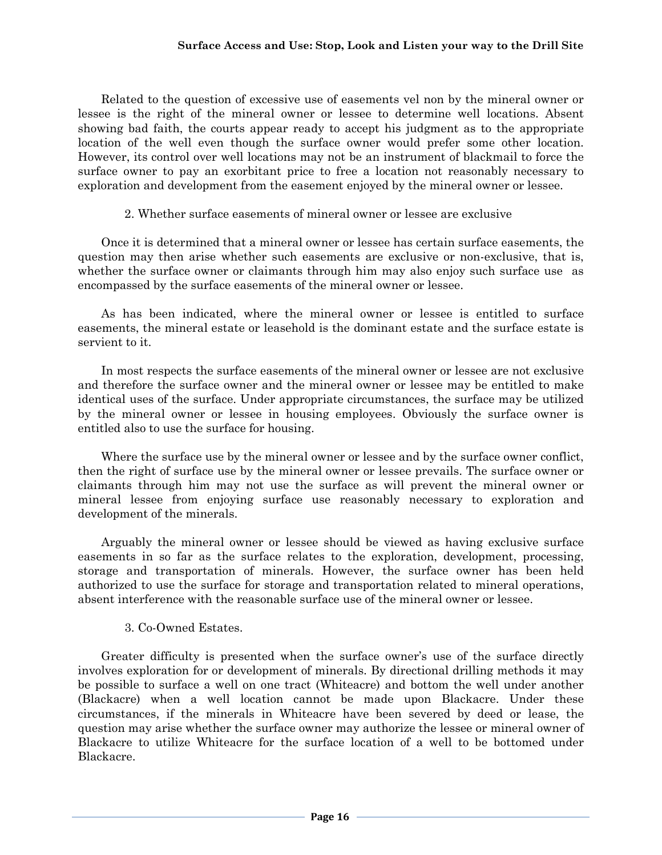Related to the question of excessive use of easements vel non by the mineral owner or lessee is the right of the mineral owner or lessee to determine well locations. Absent showing bad faith, the courts appear ready to accept his judgment as to the appropriate location of the well even though the surface owner would prefer some other location. However, its control over well locations may not be an instrument of blackmail to force the surface owner to pay an exorbitant price to free a location not reasonably necessary to exploration and development from the easement enjoyed by the mineral owner or lessee.

### 2. Whether surface easements of mineral owner or lessee are exclusive

Once it is determined that a mineral owner or lessee has certain surface easements, the question may then arise whether such easements are exclusive or non-exclusive, that is, whether the surface owner or claimants through him may also enjoy such surface use as encompassed by the surface easements of the mineral owner or lessee.

As has been indicated, where the mineral owner or lessee is entitled to surface easements, the mineral estate or leasehold is the dominant estate and the surface estate is servient to it.

In most respects the surface easements of the mineral owner or lessee are not exclusive and therefore the surface owner and the mineral owner or lessee may be entitled to make identical uses of the surface. Under appropriate circumstances, the surface may be utilized by the mineral owner or lessee in housing employees. Obviously the surface owner is entitled also to use the surface for housing.

Where the surface use by the mineral owner or lessee and by the surface owner conflict, then the right of surface use by the mineral owner or lessee prevails. The surface owner or claimants through him may not use the surface as will prevent the mineral owner or mineral lessee from enjoying surface use reasonably necessary to exploration and development of the minerals.

Arguably the mineral owner or lessee should be viewed as having exclusive surface easements in so far as the surface relates to the exploration, development, processing, storage and transportation of minerals. However, the surface owner has been held authorized to use the surface for storage and transportation related to mineral operations, absent interference with the reasonable surface use of the mineral owner or lessee.

# 3. Co-Owned Estates.

Greater difficulty is presented when the surface owner's use of the surface directly involves exploration for or development of minerals. By directional drilling methods it may be possible to surface a well on one tract (Whiteacre) and bottom the well under another (Blackacre) when a well location cannot be made upon Blackacre. Under these circumstances, if the minerals in Whiteacre have been severed by deed or lease, the question may arise whether the surface owner may authorize the lessee or mineral owner of Blackacre to utilize Whiteacre for the surface location of a well to be bottomed under Blackacre.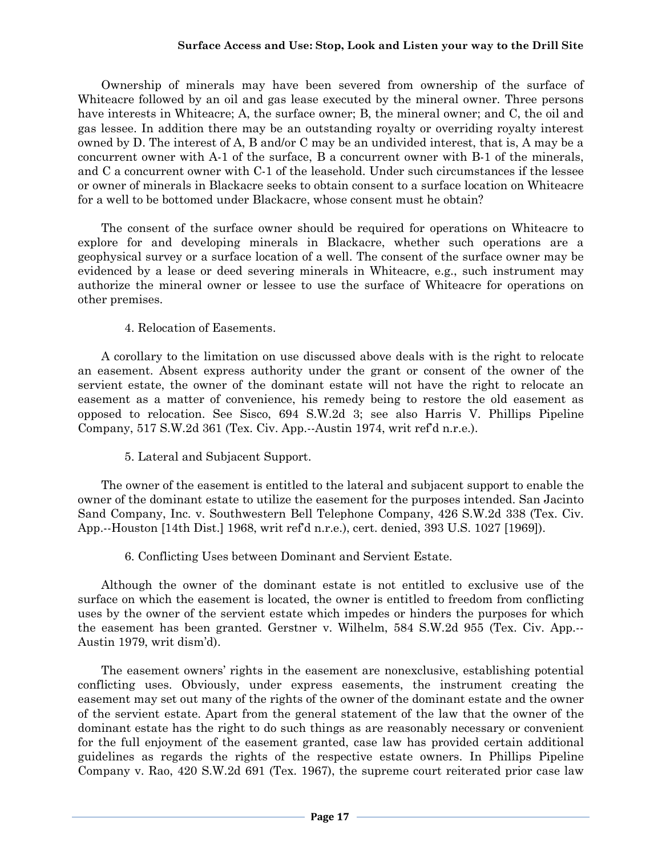Ownership of minerals may have been severed from ownership of the surface of Whiteacre followed by an oil and gas lease executed by the mineral owner. Three persons have interests in Whiteacre; A, the surface owner; B, the mineral owner; and C, the oil and gas lessee. In addition there may be an outstanding royalty or overriding royalty interest owned by D. The interest of A, B and/or C may be an undivided interest, that is, A may be a concurrent owner with A-1 of the surface, B a concurrent owner with B-1 of the minerals, and C a concurrent owner with C-1 of the leasehold. Under such circumstances if the lessee or owner of minerals in Blackacre seeks to obtain consent to a surface location on Whiteacre for a well to be bottomed under Blackacre, whose consent must he obtain?

The consent of the surface owner should be required for operations on Whiteacre to explore for and developing minerals in Blackacre, whether such operations are a geophysical survey or a surface location of a well. The consent of the surface owner may be evidenced by a lease or deed severing minerals in Whiteacre, e.g., such instrument may authorize the mineral owner or lessee to use the surface of Whiteacre for operations on other premises.

4. Relocation of Easements.

A corollary to the limitation on use discussed above deals with is the right to relocate an easement. Absent express authority under the grant or consent of the owner of the servient estate, the owner of the dominant estate will not have the right to relocate an easement as a matter of convenience, his remedy being to restore the old easement as opposed to relocation. See Sisco, 694 S.W.2d 3; see also Harris V. Phillips Pipeline Company, 517 S.W.2d 361 (Tex. Civ. App.--Austin 1974, writ ref'd n.r.e.).

5. Lateral and Subjacent Support.

The owner of the easement is entitled to the lateral and subjacent support to enable the owner of the dominant estate to utilize the easement for the purposes intended. San Jacinto Sand Company, Inc. v. Southwestern Bell Telephone Company, 426 S.W.2d 338 (Tex. Civ. App.--Houston [14th Dist.] 1968, writ ref'd n.r.e.), cert. denied, 393 U.S. 1027 [1969]).

6. Conflicting Uses between Dominant and Servient Estate.

Although the owner of the dominant estate is not entitled to exclusive use of the surface on which the easement is located, the owner is entitled to freedom from conflicting uses by the owner of the servient estate which impedes or hinders the purposes for which the easement has been granted. Gerstner v. Wilhelm, 584 S.W.2d 955 (Tex. Civ. App.-- Austin 1979, writ dism'd).

The easement owners' rights in the easement are nonexclusive, establishing potential conflicting uses. Obviously, under express easements, the instrument creating the easement may set out many of the rights of the owner of the dominant estate and the owner of the servient estate. Apart from the general statement of the law that the owner of the dominant estate has the right to do such things as are reasonably necessary or convenient for the full enjoyment of the easement granted, case law has provided certain additional guidelines as regards the rights of the respective estate owners. In Phillips Pipeline Company v. Rao, 420 S.W.2d 691 (Tex. 1967), the supreme court reiterated prior case law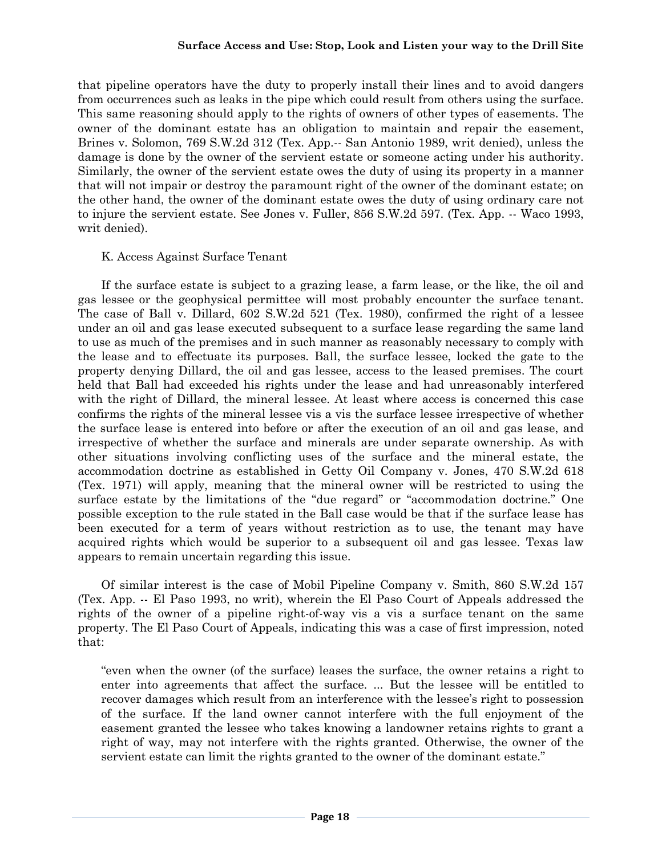that pipeline operators have the duty to properly install their lines and to avoid dangers from occurrences such as leaks in the pipe which could result from others using the surface. This same reasoning should apply to the rights of owners of other types of easements. The owner of the dominant estate has an obligation to maintain and repair the easement, Brines v. Solomon, 769 S.W.2d 312 (Tex. App.-- San Antonio 1989, writ denied), unless the damage is done by the owner of the servient estate or someone acting under his authority. Similarly, the owner of the servient estate owes the duty of using its property in a manner that will not impair or destroy the paramount right of the owner of the dominant estate; on the other hand, the owner of the dominant estate owes the duty of using ordinary care not to injure the servient estate. See Jones v. Fuller, 856 S.W.2d 597. (Tex. App. -- Waco 1993, writ denied).

### K. Access Against Surface Tenant

If the surface estate is subject to a grazing lease, a farm lease, or the like, the oil and gas lessee or the geophysical permittee will most probably encounter the surface tenant. The case of Ball v. Dillard, 602 S.W.2d 521 (Tex. 1980), confirmed the right of a lessee under an oil and gas lease executed subsequent to a surface lease regarding the same land to use as much of the premises and in such manner as reasonably necessary to comply with the lease and to effectuate its purposes. Ball, the surface lessee, locked the gate to the property denying Dillard, the oil and gas lessee, access to the leased premises. The court held that Ball had exceeded his rights under the lease and had unreasonably interfered with the right of Dillard, the mineral lessee. At least where access is concerned this case confirms the rights of the mineral lessee vis a vis the surface lessee irrespective of whether the surface lease is entered into before or after the execution of an oil and gas lease, and irrespective of whether the surface and minerals are under separate ownership. As with other situations involving conflicting uses of the surface and the mineral estate, the accommodation doctrine as established in Getty Oil Company v. Jones, 470 S.W.2d 618 (Tex. 1971) will apply, meaning that the mineral owner will be restricted to using the surface estate by the limitations of the "due regard" or "accommodation doctrine." One possible exception to the rule stated in the Ball case would be that if the surface lease has been executed for a term of years without restriction as to use, the tenant may have acquired rights which would be superior to a subsequent oil and gas lessee. Texas law appears to remain uncertain regarding this issue.

Of similar interest is the case of Mobil Pipeline Company v. Smith, 860 S.W.2d 157 (Tex. App. -- El Paso 1993, no writ), wherein the El Paso Court of Appeals addressed the rights of the owner of a pipeline right-of-way vis a vis a surface tenant on the same property. The El Paso Court of Appeals, indicating this was a case of first impression, noted that:

"even when the owner (of the surface) leases the surface, the owner retains a right to enter into agreements that affect the surface. ... But the lessee will be entitled to recover damages which result from an interference with the lessee's right to possession of the surface. If the land owner cannot interfere with the full enjoyment of the easement granted the lessee who takes knowing a landowner retains rights to grant a right of way, may not interfere with the rights granted. Otherwise, the owner of the servient estate can limit the rights granted to the owner of the dominant estate."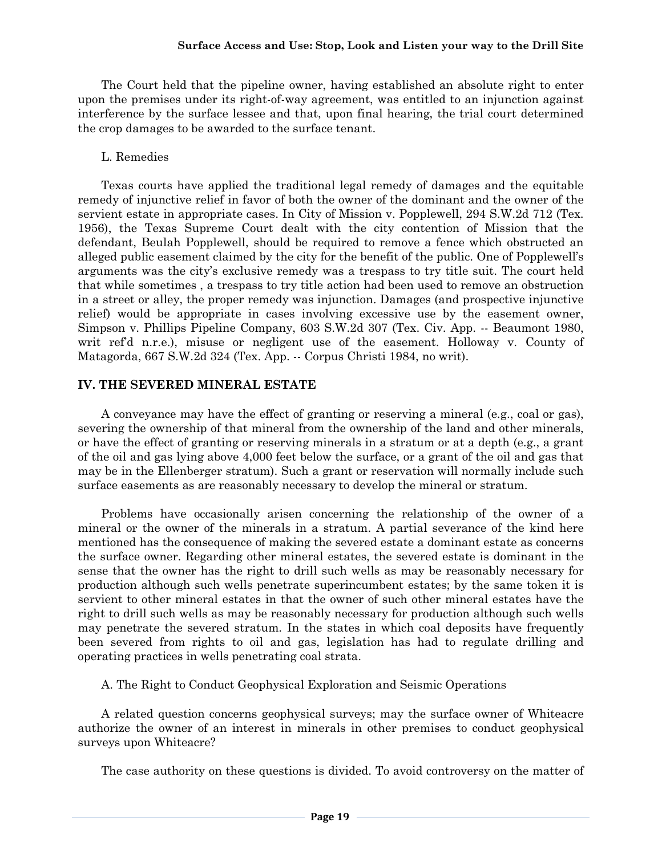The Court held that the pipeline owner, having established an absolute right to enter upon the premises under its right-of-way agreement, was entitled to an injunction against interference by the surface lessee and that, upon final hearing, the trial court determined the crop damages to be awarded to the surface tenant.

# L. Remedies

Texas courts have applied the traditional legal remedy of damages and the equitable remedy of injunctive relief in favor of both the owner of the dominant and the owner of the servient estate in appropriate cases. In City of Mission v. Popplewell, 294 S.W.2d 712 (Tex. 1956), the Texas Supreme Court dealt with the city contention of Mission that the defendant, Beulah Popplewell, should be required to remove a fence which obstructed an alleged public easement claimed by the city for the benefit of the public. One of Popplewell's arguments was the city's exclusive remedy was a trespass to try title suit. The court held that while sometimes , a trespass to try title action had been used to remove an obstruction in a street or alley, the proper remedy was injunction. Damages (and prospective injunctive relief) would be appropriate in cases involving excessive use by the easement owner, Simpson v. Phillips Pipeline Company, 603 S.W.2d 307 (Tex. Civ. App. -- Beaumont 1980, writ ref'd n.r.e.), misuse or negligent use of the easement. Holloway v. County of Matagorda, 667 S.W.2d 324 (Tex. App. -- Corpus Christi 1984, no writ).

# **IV. THE SEVERED MINERAL ESTATE**

A conveyance may have the effect of granting or reserving a mineral (e.g., coal or gas), severing the ownership of that mineral from the ownership of the land and other minerals, or have the effect of granting or reserving minerals in a stratum or at a depth (e.g., a grant of the oil and gas lying above 4,000 feet below the surface, or a grant of the oil and gas that may be in the Ellenberger stratum). Such a grant or reservation will normally include such surface easements as are reasonably necessary to develop the mineral or stratum.

Problems have occasionally arisen concerning the relationship of the owner of a mineral or the owner of the minerals in a stratum. A partial severance of the kind here mentioned has the consequence of making the severed estate a dominant estate as concerns the surface owner. Regarding other mineral estates, the severed estate is dominant in the sense that the owner has the right to drill such wells as may be reasonably necessary for production although such wells penetrate superincumbent estates; by the same token it is servient to other mineral estates in that the owner of such other mineral estates have the right to drill such wells as may be reasonably necessary for production although such wells may penetrate the severed stratum. In the states in which coal deposits have frequently been severed from rights to oil and gas, legislation has had to regulate drilling and operating practices in wells penetrating coal strata.

A. The Right to Conduct Geophysical Exploration and Seismic Operations

A related question concerns geophysical surveys; may the surface owner of Whiteacre authorize the owner of an interest in minerals in other premises to conduct geophysical surveys upon Whiteacre?

The case authority on these questions is divided. To avoid controversy on the matter of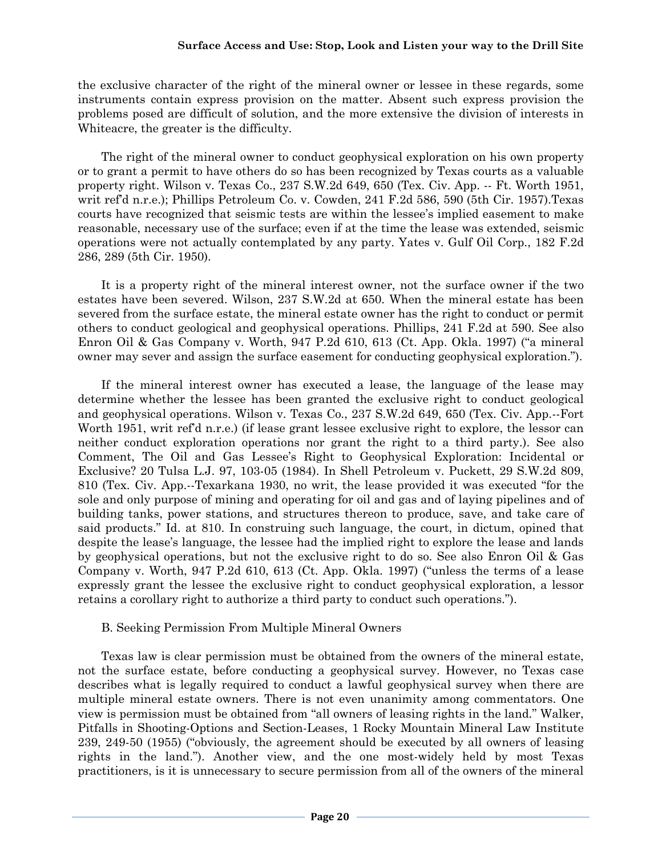the exclusive character of the right of the mineral owner or lessee in these regards, some instruments contain express provision on the matter. Absent such express provision the problems posed are difficult of solution, and the more extensive the division of interests in Whiteacre, the greater is the difficulty.

The right of the mineral owner to conduct geophysical exploration on his own property or to grant a permit to have others do so has been recognized by Texas courts as a valuable property right. Wilson v. Texas Co., 237 S.W.2d 649, 650 (Tex. Civ. App. -- Ft. Worth 1951, writ ref'd n.r.e.); Phillips Petroleum Co. v. Cowden, 241 F.2d 586, 590 (5th Cir. 1957).Texas courts have recognized that seismic tests are within the lessee's implied easement to make reasonable, necessary use of the surface; even if at the time the lease was extended, seismic operations were not actually contemplated by any party. Yates v. Gulf Oil Corp., 182 F.2d 286, 289 (5th Cir. 1950).

It is a property right of the mineral interest owner, not the surface owner if the two estates have been severed. Wilson, 237 S.W.2d at 650. When the mineral estate has been severed from the surface estate, the mineral estate owner has the right to conduct or permit others to conduct geological and geophysical operations. Phillips, 241 F.2d at 590. See also Enron Oil & Gas Company v. Worth, 947 P.2d 610, 613 (Ct. App. Okla. 1997) ("a mineral owner may sever and assign the surface easement for conducting geophysical exploration.").

If the mineral interest owner has executed a lease, the language of the lease may determine whether the lessee has been granted the exclusive right to conduct geological and geophysical operations. Wilson v. Texas Co., 237 S.W.2d 649, 650 (Tex. Civ. App.--Fort Worth 1951, writ ref'd n.r.e.) (if lease grant lessee exclusive right to explore, the lessor can neither conduct exploration operations nor grant the right to a third party.). See also Comment, The Oil and Gas Lessee's Right to Geophysical Exploration: Incidental or Exclusive? 20 Tulsa L.J. 97, 103-05 (1984). In Shell Petroleum v. Puckett, 29 S.W.2d 809, 810 (Tex. Civ. App.--Texarkana 1930, no writ, the lease provided it was executed "for the sole and only purpose of mining and operating for oil and gas and of laying pipelines and of building tanks, power stations, and structures thereon to produce, save, and take care of said products." Id. at 810. In construing such language, the court, in dictum, opined that despite the lease's language, the lessee had the implied right to explore the lease and lands by geophysical operations, but not the exclusive right to do so. See also Enron Oil & Gas Company v. Worth, 947 P.2d 610, 613 (Ct. App. Okla. 1997) ("unless the terms of a lease expressly grant the lessee the exclusive right to conduct geophysical exploration, a lessor retains a corollary right to authorize a third party to conduct such operations.").

# B. Seeking Permission From Multiple Mineral Owners

Texas law is clear permission must be obtained from the owners of the mineral estate, not the surface estate, before conducting a geophysical survey. However, no Texas case describes what is legally required to conduct a lawful geophysical survey when there are multiple mineral estate owners. There is not even unanimity among commentators. One view is permission must be obtained from "all owners of leasing rights in the land." Walker, Pitfalls in Shooting-Options and Section-Leases, 1 Rocky Mountain Mineral Law Institute 239, 249-50 (1955) ("obviously, the agreement should be executed by all owners of leasing rights in the land."). Another view, and the one most-widely held by most Texas practitioners, is it is unnecessary to secure permission from all of the owners of the mineral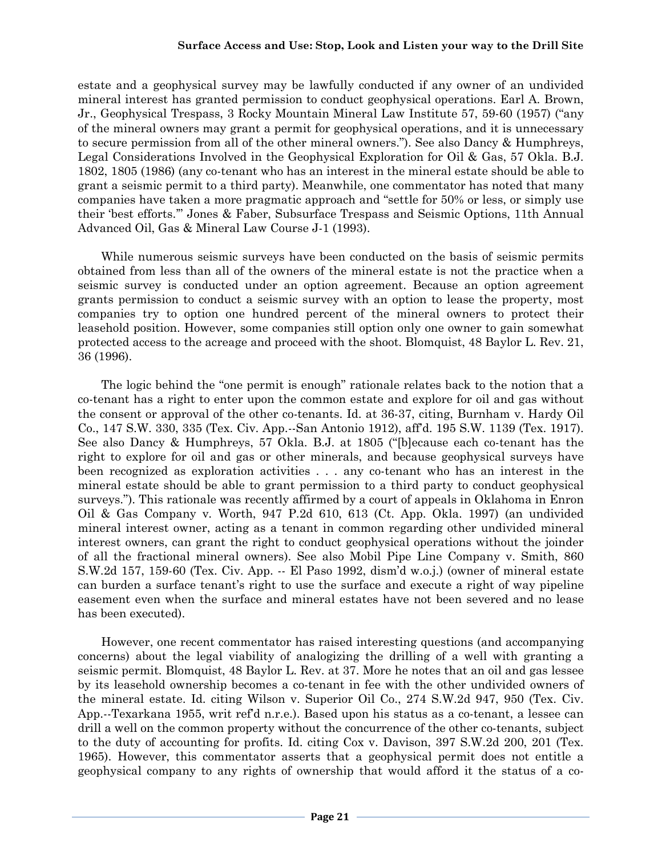estate and a geophysical survey may be lawfully conducted if any owner of an undivided mineral interest has granted permission to conduct geophysical operations. Earl A. Brown, Jr., Geophysical Trespass, 3 Rocky Mountain Mineral Law Institute 57, 59-60 (1957) ("any of the mineral owners may grant a permit for geophysical operations, and it is unnecessary to secure permission from all of the other mineral owners."). See also Dancy & Humphreys, Legal Considerations Involved in the Geophysical Exploration for Oil & Gas, 57 Okla. B.J. 1802, 1805 (1986) (any co-tenant who has an interest in the mineral estate should be able to grant a seismic permit to a third party). Meanwhile, one commentator has noted that many companies have taken a more pragmatic approach and "settle for 50% or less, or simply use their 'best efforts.'" Jones & Faber, Subsurface Trespass and Seismic Options, 11th Annual Advanced Oil, Gas & Mineral Law Course J-1 (1993).

While numerous seismic surveys have been conducted on the basis of seismic permits obtained from less than all of the owners of the mineral estate is not the practice when a seismic survey is conducted under an option agreement. Because an option agreement grants permission to conduct a seismic survey with an option to lease the property, most companies try to option one hundred percent of the mineral owners to protect their leasehold position. However, some companies still option only one owner to gain somewhat protected access to the acreage and proceed with the shoot. Blomquist, 48 Baylor L. Rev. 21, 36 (1996).

The logic behind the "one permit is enough" rationale relates back to the notion that a co-tenant has a right to enter upon the common estate and explore for oil and gas without the consent or approval of the other co-tenants. Id. at 36-37, citing, Burnham v. Hardy Oil Co., 147 S.W. 330, 335 (Tex. Civ. App.--San Antonio 1912), aff'd. 195 S.W. 1139 (Tex. 1917). See also Dancy & Humphreys, 57 Okla. B.J. at 1805 ("[b]ecause each co-tenant has the right to explore for oil and gas or other minerals, and because geophysical surveys have been recognized as exploration activities . . . any co-tenant who has an interest in the mineral estate should be able to grant permission to a third party to conduct geophysical surveys."). This rationale was recently affirmed by a court of appeals in Oklahoma in Enron Oil & Gas Company v. Worth, 947 P.2d 610, 613 (Ct. App. Okla. 1997) (an undivided mineral interest owner, acting as a tenant in common regarding other undivided mineral interest owners, can grant the right to conduct geophysical operations without the joinder of all the fractional mineral owners). See also Mobil Pipe Line Company v. Smith, 860 S.W.2d 157, 159-60 (Tex. Civ. App. -- El Paso 1992, dism'd w.o.j.) (owner of mineral estate can burden a surface tenant's right to use the surface and execute a right of way pipeline easement even when the surface and mineral estates have not been severed and no lease has been executed).

However, one recent commentator has raised interesting questions (and accompanying concerns) about the legal viability of analogizing the drilling of a well with granting a seismic permit. Blomquist, 48 Baylor L. Rev. at 37. More he notes that an oil and gas lessee by its leasehold ownership becomes a co-tenant in fee with the other undivided owners of the mineral estate. Id. citing Wilson v. Superior Oil Co., 274 S.W.2d 947, 950 (Tex. Civ. App.--Texarkana 1955, writ ref'd n.r.e.). Based upon his status as a co-tenant, a lessee can drill a well on the common property without the concurrence of the other co-tenants, subject to the duty of accounting for profits. Id. citing Cox v. Davison, 397 S.W.2d 200, 201 (Tex. 1965). However, this commentator asserts that a geophysical permit does not entitle a geophysical company to any rights of ownership that would afford it the status of a co-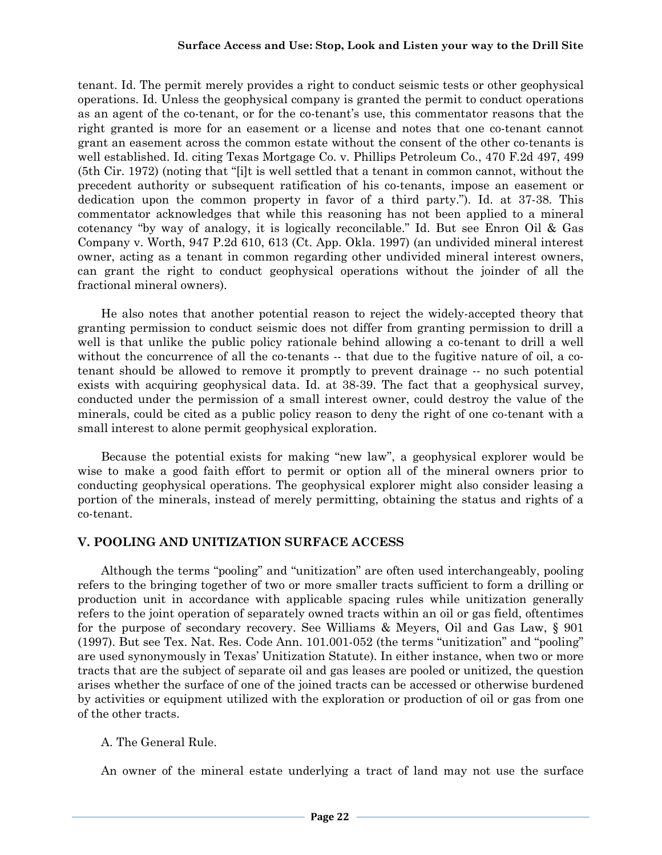tenant. Id. The permit merely provides a right to conduct seismic tests or other geophysical operations. Id. Unless the geophysical company is granted the permit to conduct operations as an agent of the co-tenant, or for the co-tenant's use, this commentator reasons that the right granted is more for an easement or a license and notes that one co-tenant cannot grant an easement across the common estate without the consent of the other co-tenants is well established. Id. citing Texas Mortgage Co. v. Phillips Petroleum Co., 470 F.2d 497, 499 (5th Cir. 1972) (noting that "[i]t is well settled that a tenant in common cannot, without the precedent authority or subsequent ratification of his co-tenants, impose an easement or dedication upon the common property in favor of a third party."). Id. at 37-38. This commentator acknowledges that while this reasoning has not been applied to a mineral cotenancy "by way of analogy, it is logically reconcilable." Id. But see Enron Oil & Gas Company v. Worth, 947 P.2d 610, 613 (Ct. App. Okla. 1997) (an undivided mineral interest owner, acting as a tenant in common regarding other undivided mineral interest owners, can grant the right to conduct geophysical operations without the joinder of all the fractional mineral owners).

He also notes that another potential reason to reject the widely-accepted theory that granting permission to conduct seismic does not differ from granting permission to drill a well is that unlike the public policy rationale behind allowing a co-tenant to drill a well without the concurrence of all the co-tenants -- that due to the fugitive nature of oil, a cotenant should be allowed to remove it promptly to prevent drainage -- no such potential exists with acquiring geophysical data. Id. at 38-39. The fact that a geophysical survey, conducted under the permission of a small interest owner, could destroy the value of the minerals, could be cited as a public policy reason to deny the right of one co-tenant with a small interest to alone permit geophysical exploration.

Because the potential exists for making "new law", a geophysical explorer would be wise to make a good faith effort to permit or option all of the mineral owners prior to conducting geophysical operations. The geophysical explorer might also consider leasing a portion of the minerals, instead of merely permitting, obtaining the status and rights of a co-tenant.

# **V. POOLING AND UNITIZATION SURFACE ACCESS**

Although the terms "pooling" and "unitization" are often used interchangeably, pooling refers to the bringing together of two or more smaller tracts sufficient to form a drilling or production unit in accordance with applicable spacing rules while unitization generally refers to the joint operation of separately owned tracts within an oil or gas field, oftentimes for the purpose of secondary recovery. See Williams & Meyers, Oil and Gas Law, § 901 (1997). But see Tex. Nat. Res. Code Ann. 101.001-052 (the terms "unitization" and "pooling" are used synonymously in Texas' Unitization Statute). In either instance, when two or more tracts that are the subject of separate oil and gas leases are pooled or unitized, the question arises whether the surface of one of the joined tracts can be accessed or otherwise burdened by activities or equipment utilized with the exploration or production of oil or gas from one of the other tracts.

# A. The General Rule.

An owner of the mineral estate underlying a tract of land may not use the surface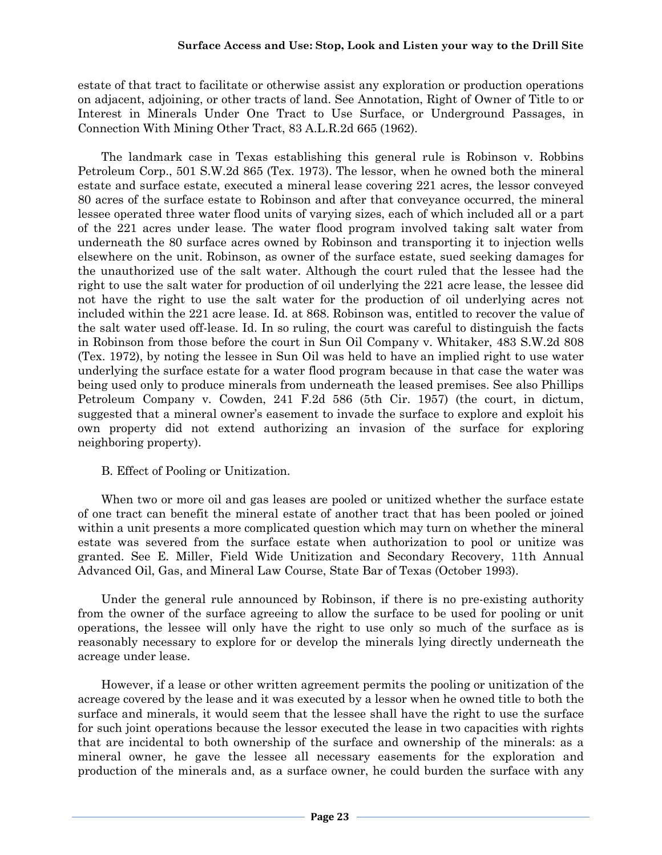estate of that tract to facilitate or otherwise assist any exploration or production operations on adjacent, adjoining, or other tracts of land. See Annotation, Right of Owner of Title to or Interest in Minerals Under One Tract to Use Surface, or Underground Passages, in Connection With Mining Other Tract, 83 A.L.R.2d 665 (1962).

The landmark case in Texas establishing this general rule is Robinson v. Robbins Petroleum Corp., 501 S.W.2d 865 (Tex. 1973). The lessor, when he owned both the mineral estate and surface estate, executed a mineral lease covering 221 acres, the lessor conveyed 80 acres of the surface estate to Robinson and after that conveyance occurred, the mineral lessee operated three water flood units of varying sizes, each of which included all or a part of the 221 acres under lease. The water flood program involved taking salt water from underneath the 80 surface acres owned by Robinson and transporting it to injection wells elsewhere on the unit. Robinson, as owner of the surface estate, sued seeking damages for the unauthorized use of the salt water. Although the court ruled that the lessee had the right to use the salt water for production of oil underlying the 221 acre lease, the lessee did not have the right to use the salt water for the production of oil underlying acres not included within the 221 acre lease. Id. at 868. Robinson was, entitled to recover the value of the salt water used off-lease. Id. In so ruling, the court was careful to distinguish the facts in Robinson from those before the court in Sun Oil Company v. Whitaker, 483 S.W.2d 808 (Tex. 1972), by noting the lessee in Sun Oil was held to have an implied right to use water underlying the surface estate for a water flood program because in that case the water was being used only to produce minerals from underneath the leased premises. See also Phillips Petroleum Company v. Cowden, 241 F.2d 586 (5th Cir. 1957) (the court, in dictum, suggested that a mineral owner's easement to invade the surface to explore and exploit his own property did not extend authorizing an invasion of the surface for exploring neighboring property).

### B. Effect of Pooling or Unitization.

When two or more oil and gas leases are pooled or unitized whether the surface estate of one tract can benefit the mineral estate of another tract that has been pooled or joined within a unit presents a more complicated question which may turn on whether the mineral estate was severed from the surface estate when authorization to pool or unitize was granted. See E. Miller, Field Wide Unitization and Secondary Recovery, 11th Annual Advanced Oil, Gas, and Mineral Law Course, State Bar of Texas (October 1993).

Under the general rule announced by Robinson, if there is no pre-existing authority from the owner of the surface agreeing to allow the surface to be used for pooling or unit operations, the lessee will only have the right to use only so much of the surface as is reasonably necessary to explore for or develop the minerals lying directly underneath the acreage under lease.

However, if a lease or other written agreement permits the pooling or unitization of the acreage covered by the lease and it was executed by a lessor when he owned title to both the surface and minerals, it would seem that the lessee shall have the right to use the surface for such joint operations because the lessor executed the lease in two capacities with rights that are incidental to both ownership of the surface and ownership of the minerals: as a mineral owner, he gave the lessee all necessary easements for the exploration and production of the minerals and, as a surface owner, he could burden the surface with any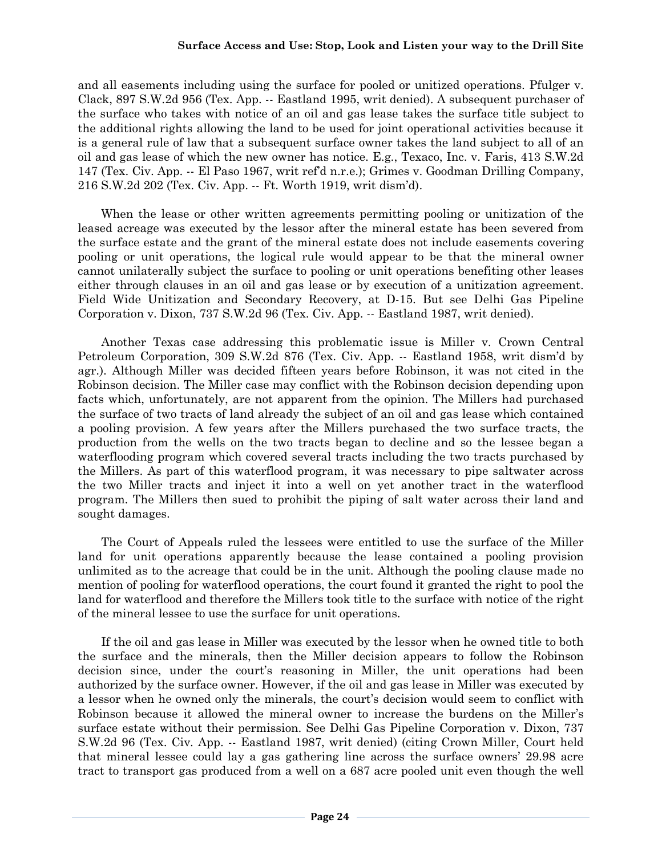and all easements including using the surface for pooled or unitized operations. Pfulger v. Clack, 897 S.W.2d 956 (Tex. App. -- Eastland 1995, writ denied). A subsequent purchaser of the surface who takes with notice of an oil and gas lease takes the surface title subject to the additional rights allowing the land to be used for joint operational activities because it is a general rule of law that a subsequent surface owner takes the land subject to all of an oil and gas lease of which the new owner has notice. E.g., Texaco, Inc. v. Faris, 413 S.W.2d 147 (Tex. Civ. App. -- El Paso 1967, writ ref'd n.r.e.); Grimes v. Goodman Drilling Company, 216 S.W.2d 202 (Tex. Civ. App. -- Ft. Worth 1919, writ dism'd).

When the lease or other written agreements permitting pooling or unitization of the leased acreage was executed by the lessor after the mineral estate has been severed from the surface estate and the grant of the mineral estate does not include easements covering pooling or unit operations, the logical rule would appear to be that the mineral owner cannot unilaterally subject the surface to pooling or unit operations benefiting other leases either through clauses in an oil and gas lease or by execution of a unitization agreement. Field Wide Unitization and Secondary Recovery, at D-15. But see Delhi Gas Pipeline Corporation v. Dixon, 737 S.W.2d 96 (Tex. Civ. App. -- Eastland 1987, writ denied).

Another Texas case addressing this problematic issue is Miller v. Crown Central Petroleum Corporation, 309 S.W.2d 876 (Tex. Civ. App. -- Eastland 1958, writ dism'd by agr.). Although Miller was decided fifteen years before Robinson, it was not cited in the Robinson decision. The Miller case may conflict with the Robinson decision depending upon facts which, unfortunately, are not apparent from the opinion. The Millers had purchased the surface of two tracts of land already the subject of an oil and gas lease which contained a pooling provision. A few years after the Millers purchased the two surface tracts, the production from the wells on the two tracts began to decline and so the lessee began a waterflooding program which covered several tracts including the two tracts purchased by the Millers. As part of this waterflood program, it was necessary to pipe saltwater across the two Miller tracts and inject it into a well on yet another tract in the waterflood program. The Millers then sued to prohibit the piping of salt water across their land and sought damages.

The Court of Appeals ruled the lessees were entitled to use the surface of the Miller land for unit operations apparently because the lease contained a pooling provision unlimited as to the acreage that could be in the unit. Although the pooling clause made no mention of pooling for waterflood operations, the court found it granted the right to pool the land for waterflood and therefore the Millers took title to the surface with notice of the right of the mineral lessee to use the surface for unit operations.

If the oil and gas lease in Miller was executed by the lessor when he owned title to both the surface and the minerals, then the Miller decision appears to follow the Robinson decision since, under the court's reasoning in Miller, the unit operations had been authorized by the surface owner. However, if the oil and gas lease in Miller was executed by a lessor when he owned only the minerals, the court's decision would seem to conflict with Robinson because it allowed the mineral owner to increase the burdens on the Miller's surface estate without their permission. See Delhi Gas Pipeline Corporation v. Dixon, 737 S.W.2d 96 (Tex. Civ. App. -- Eastland 1987, writ denied) (citing Crown Miller, Court held that mineral lessee could lay a gas gathering line across the surface owners' 29.98 acre tract to transport gas produced from a well on a 687 acre pooled unit even though the well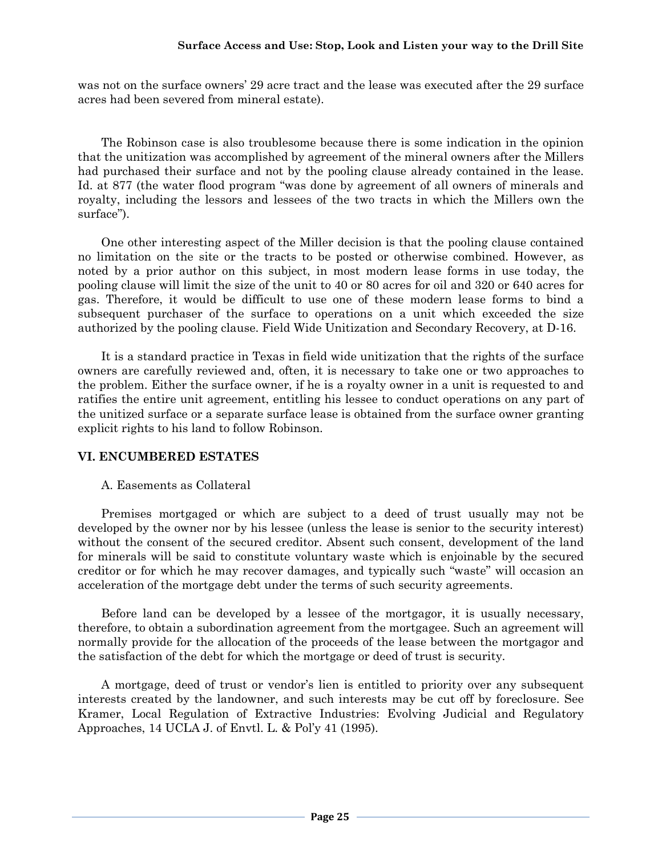was not on the surface owners' 29 acre tract and the lease was executed after the 29 surface acres had been severed from mineral estate).

The Robinson case is also troublesome because there is some indication in the opinion that the unitization was accomplished by agreement of the mineral owners after the Millers had purchased their surface and not by the pooling clause already contained in the lease. Id. at 877 (the water flood program "was done by agreement of all owners of minerals and royalty, including the lessors and lessees of the two tracts in which the Millers own the surface").

One other interesting aspect of the Miller decision is that the pooling clause contained no limitation on the site or the tracts to be posted or otherwise combined. However, as noted by a prior author on this subject, in most modern lease forms in use today, the pooling clause will limit the size of the unit to 40 or 80 acres for oil and 320 or 640 acres for gas. Therefore, it would be difficult to use one of these modern lease forms to bind a subsequent purchaser of the surface to operations on a unit which exceeded the size authorized by the pooling clause. Field Wide Unitization and Secondary Recovery, at D-16.

It is a standard practice in Texas in field wide unitization that the rights of the surface owners are carefully reviewed and, often, it is necessary to take one or two approaches to the problem. Either the surface owner, if he is a royalty owner in a unit is requested to and ratifies the entire unit agreement, entitling his lessee to conduct operations on any part of the unitized surface or a separate surface lease is obtained from the surface owner granting explicit rights to his land to follow Robinson.

# **VI. ENCUMBERED ESTATES**

### A. Easements as Collateral

Premises mortgaged or which are subject to a deed of trust usually may not be developed by the owner nor by his lessee (unless the lease is senior to the security interest) without the consent of the secured creditor. Absent such consent, development of the land for minerals will be said to constitute voluntary waste which is enjoinable by the secured creditor or for which he may recover damages, and typically such "waste" will occasion an acceleration of the mortgage debt under the terms of such security agreements.

Before land can be developed by a lessee of the mortgagor, it is usually necessary, therefore, to obtain a subordination agreement from the mortgagee. Such an agreement will normally provide for the allocation of the proceeds of the lease between the mortgagor and the satisfaction of the debt for which the mortgage or deed of trust is security.

A mortgage, deed of trust or vendor's lien is entitled to priority over any subsequent interests created by the landowner, and such interests may be cut off by foreclosure. See Kramer, Local Regulation of Extractive Industries: Evolving Judicial and Regulatory Approaches, 14 UCLA J. of Envtl. L. & Pol'y 41 (1995).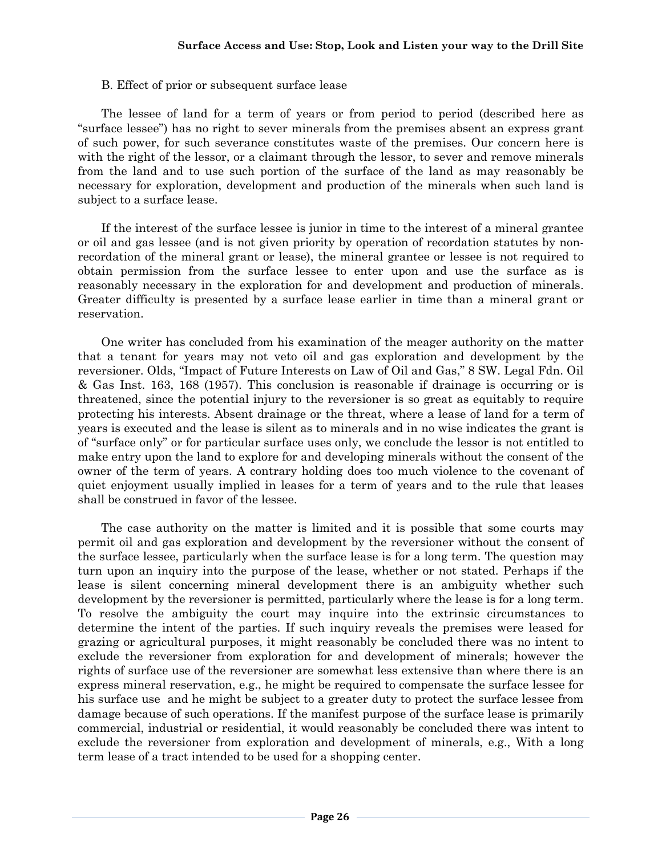### B. Effect of prior or subsequent surface lease

The lessee of land for a term of years or from period to period (described here as "surface lessee") has no right to sever minerals from the premises absent an express grant of such power, for such severance constitutes waste of the premises. Our concern here is with the right of the lessor, or a claimant through the lessor, to sever and remove minerals from the land and to use such portion of the surface of the land as may reasonably be necessary for exploration, development and production of the minerals when such land is subject to a surface lease.

If the interest of the surface lessee is junior in time to the interest of a mineral grantee or oil and gas lessee (and is not given priority by operation of recordation statutes by nonrecordation of the mineral grant or lease), the mineral grantee or lessee is not required to obtain permission from the surface lessee to enter upon and use the surface as is reasonably necessary in the exploration for and development and production of minerals. Greater difficulty is presented by a surface lease earlier in time than a mineral grant or reservation.

One writer has concluded from his examination of the meager authority on the matter that a tenant for years may not veto oil and gas exploration and development by the reversioner. Olds, "Impact of Future Interests on Law of Oil and Gas," 8 SW. Legal Fdn. Oil & Gas Inst. 163, 168 (1957). This conclusion is reasonable if drainage is occurring or is threatened, since the potential injury to the reversioner is so great as equitably to require protecting his interests. Absent drainage or the threat, where a lease of land for a term of years is executed and the lease is silent as to minerals and in no wise indicates the grant is of "surface only" or for particular surface uses only, we conclude the lessor is not entitled to make entry upon the land to explore for and developing minerals without the consent of the owner of the term of years. A contrary holding does too much violence to the covenant of quiet enjoyment usually implied in leases for a term of years and to the rule that leases shall be construed in favor of the lessee.

The case authority on the matter is limited and it is possible that some courts may permit oil and gas exploration and development by the reversioner without the consent of the surface lessee, particularly when the surface lease is for a long term. The question may turn upon an inquiry into the purpose of the lease, whether or not stated. Perhaps if the lease is silent concerning mineral development there is an ambiguity whether such development by the reversioner is permitted, particularly where the lease is for a long term. To resolve the ambiguity the court may inquire into the extrinsic circumstances to determine the intent of the parties. If such inquiry reveals the premises were leased for grazing or agricultural purposes, it might reasonably be concluded there was no intent to exclude the reversioner from exploration for and development of minerals; however the rights of surface use of the reversioner are somewhat less extensive than where there is an express mineral reservation, e.g., he might be required to compensate the surface lessee for his surface use and he might be subject to a greater duty to protect the surface lessee from damage because of such operations. If the manifest purpose of the surface lease is primarily commercial, industrial or residential, it would reasonably be concluded there was intent to exclude the reversioner from exploration and development of minerals, e.g., With a long term lease of a tract intended to be used for a shopping center.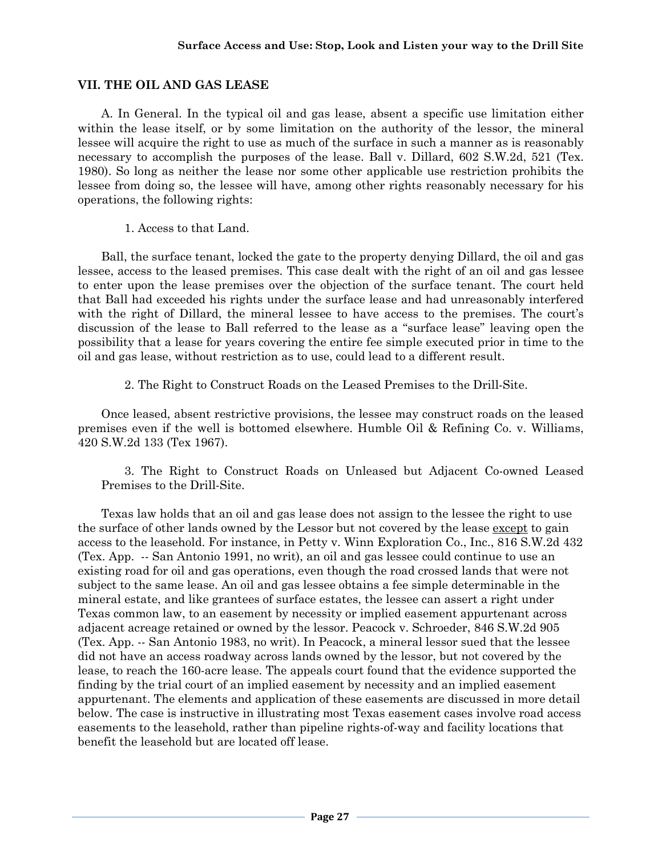### **VII. THE OIL AND GAS LEASE**

A. In General. In the typical oil and gas lease, absent a specific use limitation either within the lease itself, or by some limitation on the authority of the lessor, the mineral lessee will acquire the right to use as much of the surface in such a manner as is reasonably necessary to accomplish the purposes of the lease. Ball v. Dillard, 602 S.W.2d, 521 (Tex. 1980). So long as neither the lease nor some other applicable use restriction prohibits the lessee from doing so, the lessee will have, among other rights reasonably necessary for his operations, the following rights:

1. Access to that Land.

Ball, the surface tenant, locked the gate to the property denying Dillard, the oil and gas lessee, access to the leased premises. This case dealt with the right of an oil and gas lessee to enter upon the lease premises over the objection of the surface tenant. The court held that Ball had exceeded his rights under the surface lease and had unreasonably interfered with the right of Dillard, the mineral lessee to have access to the premises. The court's discussion of the lease to Ball referred to the lease as a "surface lease" leaving open the possibility that a lease for years covering the entire fee simple executed prior in time to the oil and gas lease, without restriction as to use, could lead to a different result.

2. The Right to Construct Roads on the Leased Premises to the Drill-Site.

Once leased, absent restrictive provisions, the lessee may construct roads on the leased premises even if the well is bottomed elsewhere. Humble Oil & Refining Co. v. Williams, 420 S.W.2d 133 (Tex 1967).

3. The Right to Construct Roads on Unleased but Adjacent Co-owned Leased Premises to the Drill-Site.

Texas law holds that an oil and gas lease does not assign to the lessee the right to use the surface of other lands owned by the Lessor but not covered by the lease except to gain access to the leasehold. For instance, in Petty v. Winn Exploration Co., Inc., 816 S.W.2d 432 (Tex. App. -- San Antonio 1991, no writ), an oil and gas lessee could continue to use an existing road for oil and gas operations, even though the road crossed lands that were not subject to the same lease. An oil and gas lessee obtains a fee simple determinable in the mineral estate, and like grantees of surface estates, the lessee can assert a right under Texas common law, to an easement by necessity or implied easement appurtenant across adjacent acreage retained or owned by the lessor. Peacock v. Schroeder, 846 S.W.2d 905 (Tex. App. -- San Antonio 1983, no writ). In Peacock, a mineral lessor sued that the lessee did not have an access roadway across lands owned by the lessor, but not covered by the lease, to reach the 160-acre lease. The appeals court found that the evidence supported the finding by the trial court of an implied easement by necessity and an implied easement appurtenant. The elements and application of these easements are discussed in more detail below. The case is instructive in illustrating most Texas easement cases involve road access easements to the leasehold, rather than pipeline rights-of-way and facility locations that benefit the leasehold but are located off lease.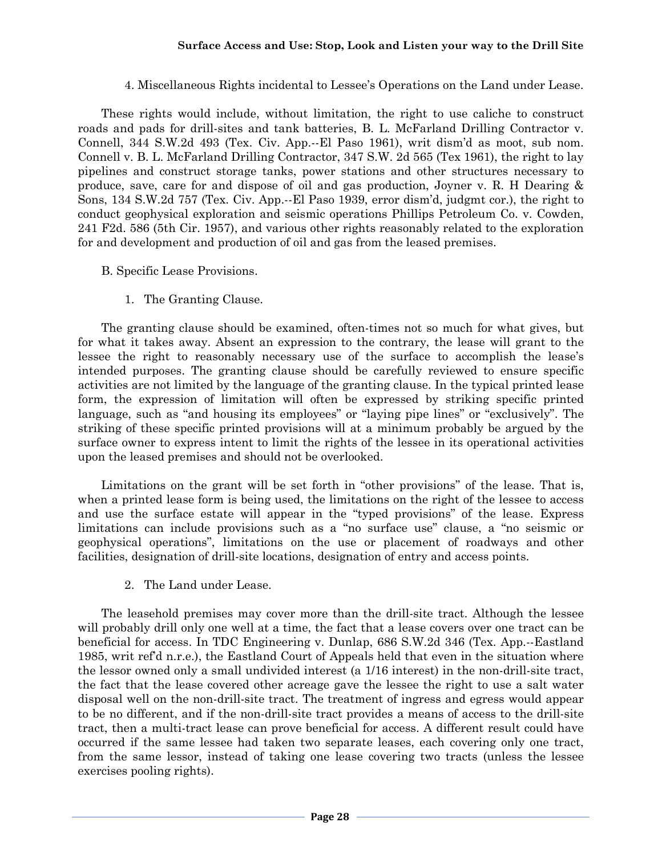4. Miscellaneous Rights incidental to Lessee's Operations on the Land under Lease.

These rights would include, without limitation, the right to use caliche to construct roads and pads for drill-sites and tank batteries, B. L. McFarland Drilling Contractor v. Connell, 344 S.W.2d 493 (Tex. Civ. App.--El Paso 1961), writ dism'd as moot, sub nom. Connell v. B. L. McFarland Drilling Contractor, 347 S.W. 2d 565 (Tex 1961), the right to lay pipelines and construct storage tanks, power stations and other structures necessary to produce, save, care for and dispose of oil and gas production, Joyner v. R. H Dearing & Sons, 134 S.W.2d 757 (Tex. Civ. App.--El Paso 1939, error dism'd, judgmt cor.), the right to conduct geophysical exploration and seismic operations Phillips Petroleum Co. v. Cowden, 241 F2d. 586 (5th Cir. 1957), and various other rights reasonably related to the exploration for and development and production of oil and gas from the leased premises.

- B. Specific Lease Provisions.
	- 1. The Granting Clause.

The granting clause should be examined, often-times not so much for what gives, but for what it takes away. Absent an expression to the contrary, the lease will grant to the lessee the right to reasonably necessary use of the surface to accomplish the lease's intended purposes. The granting clause should be carefully reviewed to ensure specific activities are not limited by the language of the granting clause. In the typical printed lease form, the expression of limitation will often be expressed by striking specific printed language, such as "and housing its employees" or "laying pipe lines" or "exclusively". The striking of these specific printed provisions will at a minimum probably be argued by the surface owner to express intent to limit the rights of the lessee in its operational activities upon the leased premises and should not be overlooked.

Limitations on the grant will be set forth in "other provisions" of the lease. That is, when a printed lease form is being used, the limitations on the right of the lessee to access and use the surface estate will appear in the "typed provisions" of the lease. Express limitations can include provisions such as a "no surface use" clause, a "no seismic or geophysical operations", limitations on the use or placement of roadways and other facilities, designation of drill-site locations, designation of entry and access points.

2. The Land under Lease.

The leasehold premises may cover more than the drill-site tract. Although the lessee will probably drill only one well at a time, the fact that a lease covers over one tract can be beneficial for access. In TDC Engineering v. Dunlap, 686 S.W.2d 346 (Tex. App.--Eastland 1985, writ ref'd n.r.e.), the Eastland Court of Appeals held that even in the situation where the lessor owned only a small undivided interest (a 1/16 interest) in the non-drill-site tract, the fact that the lease covered other acreage gave the lessee the right to use a salt water disposal well on the non-drill-site tract. The treatment of ingress and egress would appear to be no different, and if the non-drill-site tract provides a means of access to the drill-site tract, then a multi-tract lease can prove beneficial for access. A different result could have occurred if the same lessee had taken two separate leases, each covering only one tract, from the same lessor, instead of taking one lease covering two tracts (unless the lessee exercises pooling rights).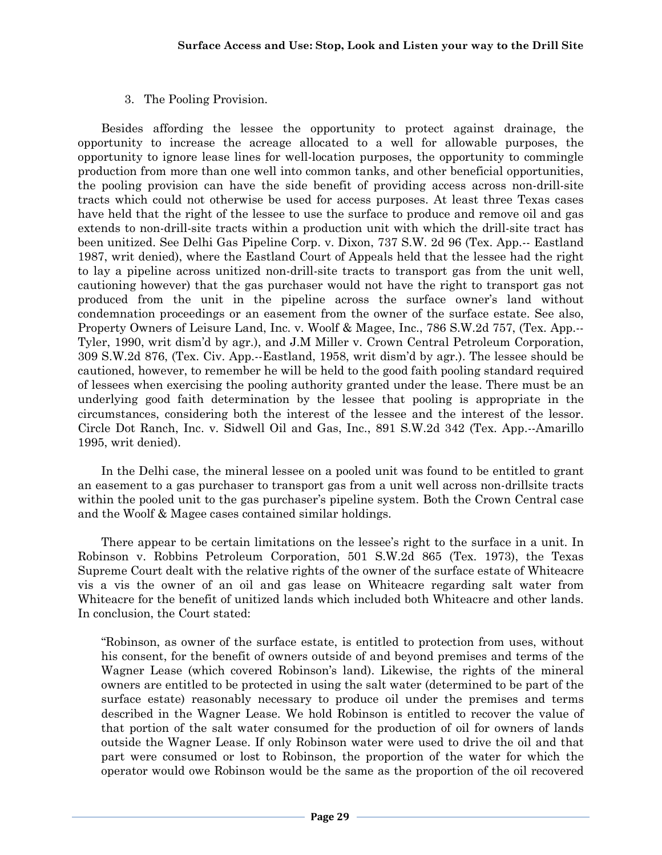# 3. The Pooling Provision.

Besides affording the lessee the opportunity to protect against drainage, the opportunity to increase the acreage allocated to a well for allowable purposes, the opportunity to ignore lease lines for well-location purposes, the opportunity to commingle production from more than one well into common tanks, and other beneficial opportunities, the pooling provision can have the side benefit of providing access across non-drill-site tracts which could not otherwise be used for access purposes. At least three Texas cases have held that the right of the lessee to use the surface to produce and remove oil and gas extends to non-drill-site tracts within a production unit with which the drill-site tract has been unitized. See Delhi Gas Pipeline Corp. v. Dixon, 737 S.W. 2d 96 (Tex. App.-- Eastland 1987, writ denied), where the Eastland Court of Appeals held that the lessee had the right to lay a pipeline across unitized non-drill-site tracts to transport gas from the unit well, cautioning however) that the gas purchaser would not have the right to transport gas not produced from the unit in the pipeline across the surface owner's land without condemnation proceedings or an easement from the owner of the surface estate. See also, Property Owners of Leisure Land, Inc. v. Woolf & Magee, Inc., 786 S.W.2d 757, (Tex. App.-- Tyler, 1990, writ dism'd by agr.), and J.M Miller v. Crown Central Petroleum Corporation, 309 S.W.2d 876, (Tex. Civ. App.--Eastland, 1958, writ dism'd by agr.). The lessee should be cautioned, however, to remember he will be held to the good faith pooling standard required of lessees when exercising the pooling authority granted under the lease. There must be an underlying good faith determination by the lessee that pooling is appropriate in the circumstances, considering both the interest of the lessee and the interest of the lessor. Circle Dot Ranch, Inc. v. Sidwell Oil and Gas, Inc., 891 S.W.2d 342 (Tex. App.--Amarillo 1995, writ denied).

In the Delhi case, the mineral lessee on a pooled unit was found to be entitled to grant an easement to a gas purchaser to transport gas from a unit well across non-drillsite tracts within the pooled unit to the gas purchaser's pipeline system. Both the Crown Central case and the Woolf & Magee cases contained similar holdings.

There appear to be certain limitations on the lessee's right to the surface in a unit. In Robinson v. Robbins Petroleum Corporation, 501 S.W.2d 865 (Tex. 1973), the Texas Supreme Court dealt with the relative rights of the owner of the surface estate of Whiteacre vis a vis the owner of an oil and gas lease on Whiteacre regarding salt water from Whiteacre for the benefit of unitized lands which included both Whiteacre and other lands. In conclusion, the Court stated:

"Robinson, as owner of the surface estate, is entitled to protection from uses, without his consent, for the benefit of owners outside of and beyond premises and terms of the Wagner Lease (which covered Robinson's land). Likewise, the rights of the mineral owners are entitled to be protected in using the salt water (determined to be part of the surface estate) reasonably necessary to produce oil under the premises and terms described in the Wagner Lease. We hold Robinson is entitled to recover the value of that portion of the salt water consumed for the production of oil for owners of lands outside the Wagner Lease. If only Robinson water were used to drive the oil and that part were consumed or lost to Robinson, the proportion of the water for which the operator would owe Robinson would be the same as the proportion of the oil recovered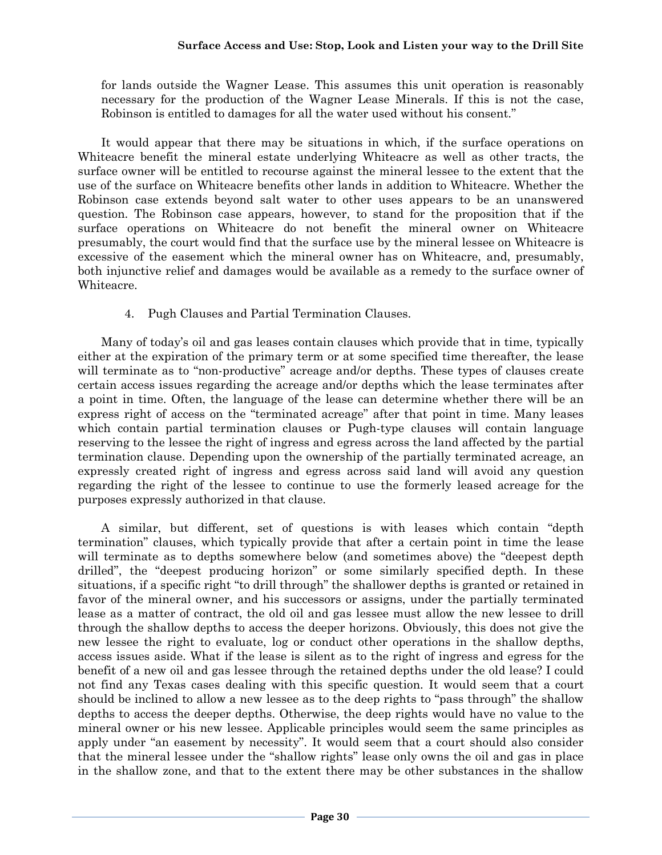for lands outside the Wagner Lease. This assumes this unit operation is reasonably necessary for the production of the Wagner Lease Minerals. If this is not the case, Robinson is entitled to damages for all the water used without his consent."

It would appear that there may be situations in which, if the surface operations on Whiteacre benefit the mineral estate underlying Whiteacre as well as other tracts, the surface owner will be entitled to recourse against the mineral lessee to the extent that the use of the surface on Whiteacre benefits other lands in addition to Whiteacre. Whether the Robinson case extends beyond salt water to other uses appears to be an unanswered question. The Robinson case appears, however, to stand for the proposition that if the surface operations on Whiteacre do not benefit the mineral owner on Whiteacre presumably, the court would find that the surface use by the mineral lessee on Whiteacre is excessive of the easement which the mineral owner has on Whiteacre, and, presumably, both injunctive relief and damages would be available as a remedy to the surface owner of Whiteacre.

# 4. Pugh Clauses and Partial Termination Clauses.

Many of today's oil and gas leases contain clauses which provide that in time, typically either at the expiration of the primary term or at some specified time thereafter, the lease will terminate as to "non-productive" acreage and/or depths. These types of clauses create certain access issues regarding the acreage and/or depths which the lease terminates after a point in time. Often, the language of the lease can determine whether there will be an express right of access on the "terminated acreage" after that point in time. Many leases which contain partial termination clauses or Pugh-type clauses will contain language reserving to the lessee the right of ingress and egress across the land affected by the partial termination clause. Depending upon the ownership of the partially terminated acreage, an expressly created right of ingress and egress across said land will avoid any question regarding the right of the lessee to continue to use the formerly leased acreage for the purposes expressly authorized in that clause.

A similar, but different, set of questions is with leases which contain "depth termination" clauses, which typically provide that after a certain point in time the lease will terminate as to depths somewhere below (and sometimes above) the "deepest depth drilled", the "deepest producing horizon" or some similarly specified depth. In these situations, if a specific right "to drill through" the shallower depths is granted or retained in favor of the mineral owner, and his successors or assigns, under the partially terminated lease as a matter of contract, the old oil and gas lessee must allow the new lessee to drill through the shallow depths to access the deeper horizons. Obviously, this does not give the new lessee the right to evaluate, log or conduct other operations in the shallow depths, access issues aside. What if the lease is silent as to the right of ingress and egress for the benefit of a new oil and gas lessee through the retained depths under the old lease? I could not find any Texas cases dealing with this specific question. It would seem that a court should be inclined to allow a new lessee as to the deep rights to "pass through" the shallow depths to access the deeper depths. Otherwise, the deep rights would have no value to the mineral owner or his new lessee. Applicable principles would seem the same principles as apply under "an easement by necessity". It would seem that a court should also consider that the mineral lessee under the "shallow rights" lease only owns the oil and gas in place in the shallow zone, and that to the extent there may be other substances in the shallow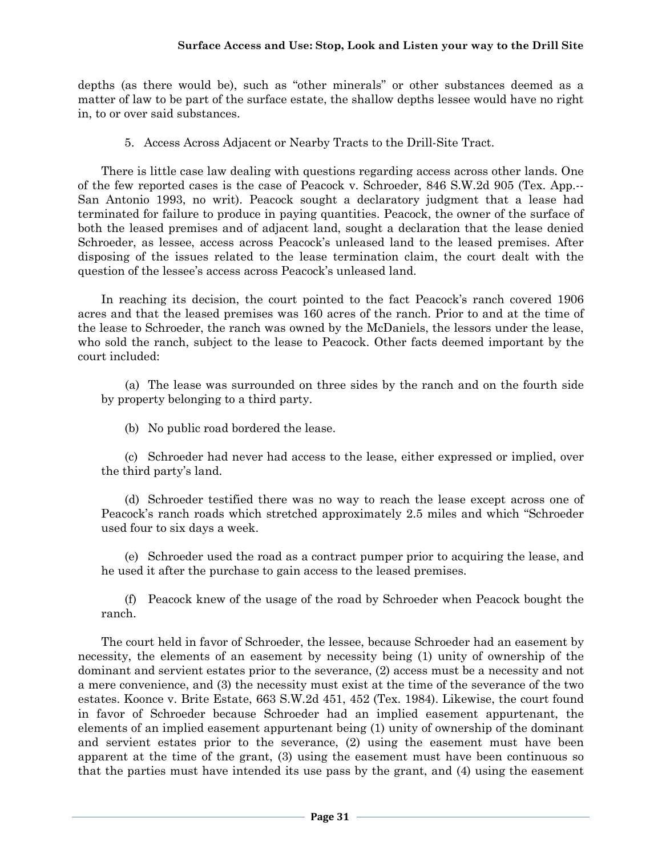depths (as there would be), such as "other minerals" or other substances deemed as a matter of law to be part of the surface estate, the shallow depths lessee would have no right in, to or over said substances.

5. Access Across Adjacent or Nearby Tracts to the Drill-Site Tract.

There is little case law dealing with questions regarding access across other lands. One of the few reported cases is the case of Peacock v. Schroeder, 846 S.W.2d 905 (Tex. App.-- San Antonio 1993, no writ). Peacock sought a declaratory judgment that a lease had terminated for failure to produce in paying quantities. Peacock, the owner of the surface of both the leased premises and of adjacent land, sought a declaration that the lease denied Schroeder, as lessee, access across Peacock's unleased land to the leased premises. After disposing of the issues related to the lease termination claim, the court dealt with the question of the lessee's access across Peacock's unleased land.

In reaching its decision, the court pointed to the fact Peacock's ranch covered 1906 acres and that the leased premises was 160 acres of the ranch. Prior to and at the time of the lease to Schroeder, the ranch was owned by the McDaniels, the lessors under the lease, who sold the ranch, subject to the lease to Peacock. Other facts deemed important by the court included:

(a) The lease was surrounded on three sides by the ranch and on the fourth side by property belonging to a third party.

(b) No public road bordered the lease.

(c) Schroeder had never had access to the lease, either expressed or implied, over the third party's land.

(d) Schroeder testified there was no way to reach the lease except across one of Peacock's ranch roads which stretched approximately 2.5 miles and which "Schroeder used four to six days a week.

(e) Schroeder used the road as a contract pumper prior to acquiring the lease, and he used it after the purchase to gain access to the leased premises.

(f) Peacock knew of the usage of the road by Schroeder when Peacock bought the ranch.

The court held in favor of Schroeder, the lessee, because Schroeder had an easement by necessity, the elements of an easement by necessity being (1) unity of ownership of the dominant and servient estates prior to the severance, (2) access must be a necessity and not a mere convenience, and (3) the necessity must exist at the time of the severance of the two estates. Koonce v. Brite Estate, 663 S.W.2d 451, 452 (Tex. 1984). Likewise, the court found in favor of Schroeder because Schroeder had an implied easement appurtenant, the elements of an implied easement appurtenant being (1) unity of ownership of the dominant and servient estates prior to the severance, (2) using the easement must have been apparent at the time of the grant, (3) using the easement must have been continuous so that the parties must have intended its use pass by the grant, and (4) using the easement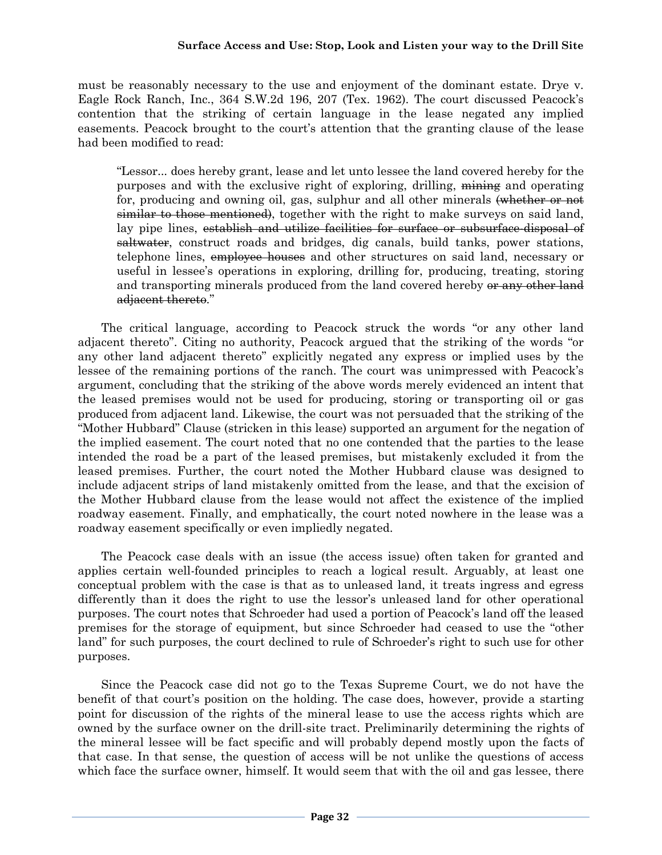must be reasonably necessary to the use and enjoyment of the dominant estate. Drye v. Eagle Rock Ranch, Inc., 364 S.W.2d 196, 207 (Tex. 1962). The court discussed Peacock's contention that the striking of certain language in the lease negated any implied easements. Peacock brought to the court's attention that the granting clause of the lease had been modified to read:

"Lessor... does hereby grant, lease and let unto lessee the land covered hereby for the purposes and with the exclusive right of exploring, drilling, mining and operating for, producing and owning oil, gas, sulphur and all other minerals (whether or not similar to those mentioned), together with the right to make surveys on said land, lay pipe lines, establish and utilize facilities for surface or subsurface-disposal of saltwater, construct roads and bridges, dig canals, build tanks, power stations, telephone lines, employee houses and other structures on said land, necessary or useful in lessee's operations in exploring, drilling for, producing, treating, storing and transporting minerals produced from the land covered hereby or any other land adjacent thereto."

The critical language, according to Peacock struck the words "or any other land adjacent thereto". Citing no authority, Peacock argued that the striking of the words "or any other land adjacent thereto" explicitly negated any express or implied uses by the lessee of the remaining portions of the ranch. The court was unimpressed with Peacock's argument, concluding that the striking of the above words merely evidenced an intent that the leased premises would not be used for producing, storing or transporting oil or gas produced from adjacent land. Likewise, the court was not persuaded that the striking of the "Mother Hubbard" Clause (stricken in this lease) supported an argument for the negation of the implied easement. The court noted that no one contended that the parties to the lease intended the road be a part of the leased premises, but mistakenly excluded it from the leased premises. Further, the court noted the Mother Hubbard clause was designed to include adjacent strips of land mistakenly omitted from the lease, and that the excision of the Mother Hubbard clause from the lease would not affect the existence of the implied roadway easement. Finally, and emphatically, the court noted nowhere in the lease was a roadway easement specifically or even impliedly negated.

The Peacock case deals with an issue (the access issue) often taken for granted and applies certain well-founded principles to reach a logical result. Arguably, at least one conceptual problem with the case is that as to unleased land, it treats ingress and egress differently than it does the right to use the lessor's unleased land for other operational purposes. The court notes that Schroeder had used a portion of Peacock's land off the leased premises for the storage of equipment, but since Schroeder had ceased to use the "other land" for such purposes, the court declined to rule of Schroeder's right to such use for other purposes.

Since the Peacock case did not go to the Texas Supreme Court, we do not have the benefit of that court's position on the holding. The case does, however, provide a starting point for discussion of the rights of the mineral lease to use the access rights which are owned by the surface owner on the drill-site tract. Preliminarily determining the rights of the mineral lessee will be fact specific and will probably depend mostly upon the facts of that case. In that sense, the question of access will be not unlike the questions of access which face the surface owner, himself. It would seem that with the oil and gas lessee, there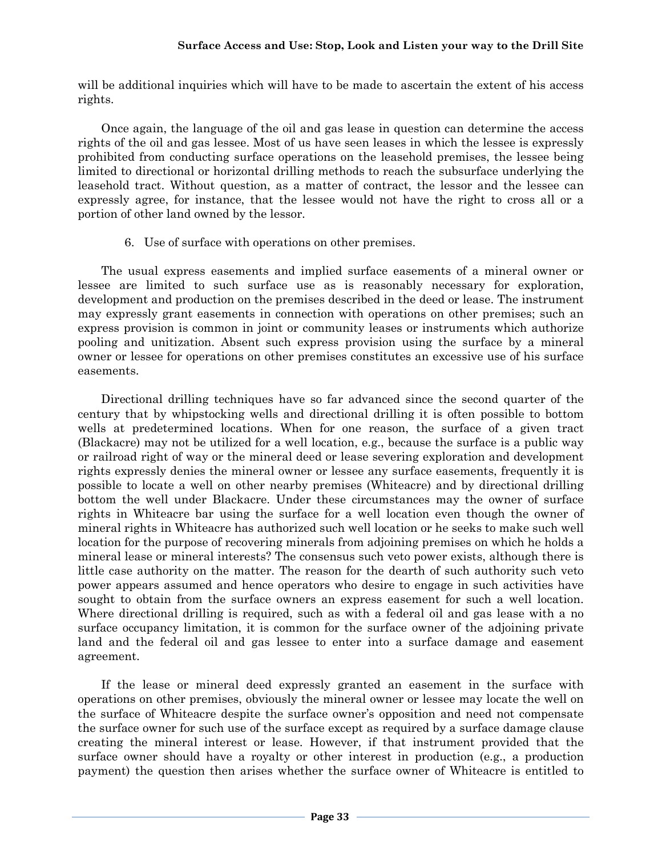will be additional inquiries which will have to be made to ascertain the extent of his access rights.

Once again, the language of the oil and gas lease in question can determine the access rights of the oil and gas lessee. Most of us have seen leases in which the lessee is expressly prohibited from conducting surface operations on the leasehold premises, the lessee being limited to directional or horizontal drilling methods to reach the subsurface underlying the leasehold tract. Without question, as a matter of contract, the lessor and the lessee can expressly agree, for instance, that the lessee would not have the right to cross all or a portion of other land owned by the lessor.

6. Use of surface with operations on other premises.

The usual express easements and implied surface easements of a mineral owner or lessee are limited to such surface use as is reasonably necessary for exploration, development and production on the premises described in the deed or lease. The instrument may expressly grant easements in connection with operations on other premises; such an express provision is common in joint or community leases or instruments which authorize pooling and unitization. Absent such express provision using the surface by a mineral owner or lessee for operations on other premises constitutes an excessive use of his surface easements.

Directional drilling techniques have so far advanced since the second quarter of the century that by whipstocking wells and directional drilling it is often possible to bottom wells at predetermined locations. When for one reason, the surface of a given tract (Blackacre) may not be utilized for a well location, e.g., because the surface is a public way or railroad right of way or the mineral deed or lease severing exploration and development rights expressly denies the mineral owner or lessee any surface easements, frequently it is possible to locate a well on other nearby premises (Whiteacre) and by directional drilling bottom the well under Blackacre. Under these circumstances may the owner of surface rights in Whiteacre bar using the surface for a well location even though the owner of mineral rights in Whiteacre has authorized such well location or he seeks to make such well location for the purpose of recovering minerals from adjoining premises on which he holds a mineral lease or mineral interests? The consensus such veto power exists, although there is little case authority on the matter. The reason for the dearth of such authority such veto power appears assumed and hence operators who desire to engage in such activities have sought to obtain from the surface owners an express easement for such a well location. Where directional drilling is required, such as with a federal oil and gas lease with a no surface occupancy limitation, it is common for the surface owner of the adjoining private land and the federal oil and gas lessee to enter into a surface damage and easement agreement.

If the lease or mineral deed expressly granted an easement in the surface with operations on other premises, obviously the mineral owner or lessee may locate the well on the surface of Whiteacre despite the surface owner's opposition and need not compensate the surface owner for such use of the surface except as required by a surface damage clause creating the mineral interest or lease. However, if that instrument provided that the surface owner should have a royalty or other interest in production (e.g., a production payment) the question then arises whether the surface owner of Whiteacre is entitled to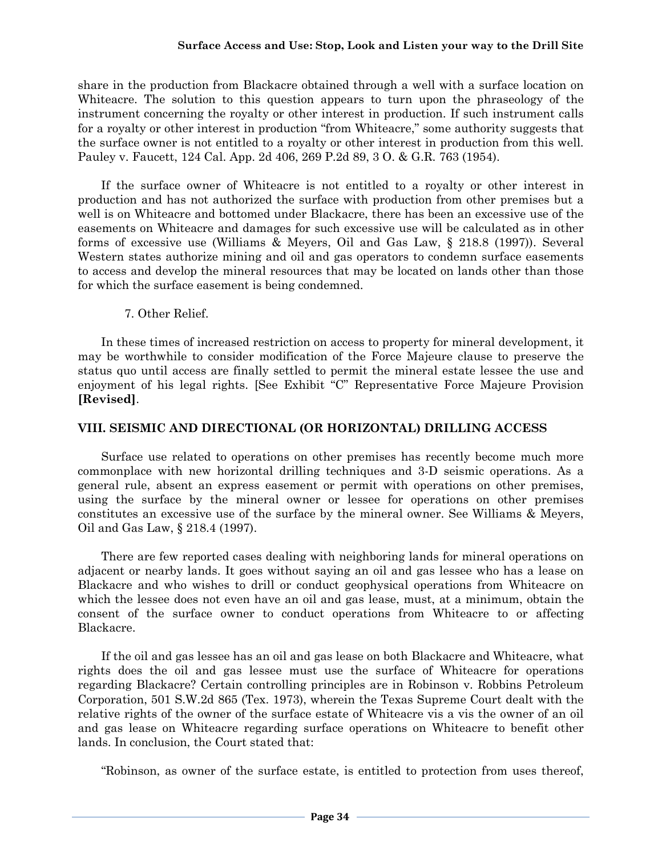share in the production from Blackacre obtained through a well with a surface location on Whiteacre. The solution to this question appears to turn upon the phraseology of the instrument concerning the royalty or other interest in production. If such instrument calls for a royalty or other interest in production "from Whiteacre," some authority suggests that the surface owner is not entitled to a royalty or other interest in production from this well. Pauley v. Faucett, 124 Cal. App. 2d 406, 269 P.2d 89, 3 O. & G.R. 763 (1954).

If the surface owner of Whiteacre is not entitled to a royalty or other interest in production and has not authorized the surface with production from other premises but a well is on Whiteacre and bottomed under Blackacre, there has been an excessive use of the easements on Whiteacre and damages for such excessive use will be calculated as in other forms of excessive use (Williams & Meyers, Oil and Gas Law, § 218.8 (1997)). Several Western states authorize mining and oil and gas operators to condemn surface easements to access and develop the mineral resources that may be located on lands other than those for which the surface easement is being condemned.

# 7. Other Relief.

In these times of increased restriction on access to property for mineral development, it may be worthwhile to consider modification of the Force Majeure clause to preserve the status quo until access are finally settled to permit the mineral estate lessee the use and enjoyment of his legal rights. [See Exhibit "C" Representative Force Majeure Provision **[Revised]**.

# **VIII. SEISMIC AND DIRECTIONAL (OR HORIZONTAL) DRILLING ACCESS**

Surface use related to operations on other premises has recently become much more commonplace with new horizontal drilling techniques and 3-D seismic operations. As a general rule, absent an express easement or permit with operations on other premises, using the surface by the mineral owner or lessee for operations on other premises constitutes an excessive use of the surface by the mineral owner. See Williams & Meyers, Oil and Gas Law, § 218.4 (1997).

There are few reported cases dealing with neighboring lands for mineral operations on adjacent or nearby lands. It goes without saying an oil and gas lessee who has a lease on Blackacre and who wishes to drill or conduct geophysical operations from Whiteacre on which the lessee does not even have an oil and gas lease, must, at a minimum, obtain the consent of the surface owner to conduct operations from Whiteacre to or affecting Blackacre.

If the oil and gas lessee has an oil and gas lease on both Blackacre and Whiteacre, what rights does the oil and gas lessee must use the surface of Whiteacre for operations regarding Blackacre? Certain controlling principles are in Robinson v. Robbins Petroleum Corporation, 501 S.W.2d 865 (Tex. 1973), wherein the Texas Supreme Court dealt with the relative rights of the owner of the surface estate of Whiteacre vis a vis the owner of an oil and gas lease on Whiteacre regarding surface operations on Whiteacre to benefit other lands. In conclusion, the Court stated that:

"Robinson, as owner of the surface estate, is entitled to protection from uses thereof,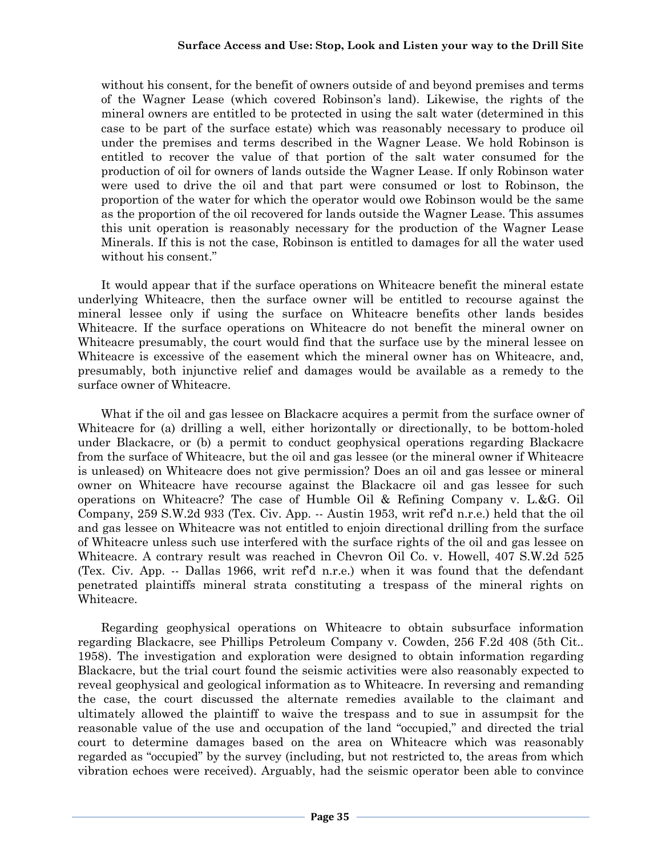without his consent, for the benefit of owners outside of and beyond premises and terms of the Wagner Lease (which covered Robinson's land). Likewise, the rights of the mineral owners are entitled to be protected in using the salt water (determined in this case to be part of the surface estate) which was reasonably necessary to produce oil under the premises and terms described in the Wagner Lease. We hold Robinson is entitled to recover the value of that portion of the salt water consumed for the production of oil for owners of lands outside the Wagner Lease. If only Robinson water were used to drive the oil and that part were consumed or lost to Robinson, the proportion of the water for which the operator would owe Robinson would be the same as the proportion of the oil recovered for lands outside the Wagner Lease. This assumes this unit operation is reasonably necessary for the production of the Wagner Lease Minerals. If this is not the case, Robinson is entitled to damages for all the water used without his consent."

It would appear that if the surface operations on Whiteacre benefit the mineral estate underlying Whiteacre, then the surface owner will be entitled to recourse against the mineral lessee only if using the surface on Whiteacre benefits other lands besides Whiteacre. If the surface operations on Whiteacre do not benefit the mineral owner on Whiteacre presumably, the court would find that the surface use by the mineral lessee on Whiteacre is excessive of the easement which the mineral owner has on Whiteacre, and, presumably, both injunctive relief and damages would be available as a remedy to the surface owner of Whiteacre.

What if the oil and gas lessee on Blackacre acquires a permit from the surface owner of Whiteacre for (a) drilling a well, either horizontally or directionally, to be bottom-holed under Blackacre, or (b) a permit to conduct geophysical operations regarding Blackacre from the surface of Whiteacre, but the oil and gas lessee (or the mineral owner if Whiteacre is unleased) on Whiteacre does not give permission? Does an oil and gas lessee or mineral owner on Whiteacre have recourse against the Blackacre oil and gas lessee for such operations on Whiteacre? The case of Humble Oil & Refining Company v. L.&G. Oil Company, 259 S.W.2d 933 (Tex. Civ. App. -- Austin 1953, writ ref'd n.r.e.) held that the oil and gas lessee on Whiteacre was not entitled to enjoin directional drilling from the surface of Whiteacre unless such use interfered with the surface rights of the oil and gas lessee on Whiteacre. A contrary result was reached in Chevron Oil Co. v. Howell, 407 S.W.2d 525 (Tex. Civ. App. -- Dallas 1966, writ ref'd n.r.e.) when it was found that the defendant penetrated plaintiffs mineral strata constituting a trespass of the mineral rights on Whiteacre.

Regarding geophysical operations on Whiteacre to obtain subsurface information regarding Blackacre, see Phillips Petroleum Company v. Cowden, 256 F.2d 408 (5th Cit.. 1958). The investigation and exploration were designed to obtain information regarding Blackacre, but the trial court found the seismic activities were also reasonably expected to reveal geophysical and geological information as to Whiteacre. In reversing and remanding the case, the court discussed the alternate remedies available to the claimant and ultimately allowed the plaintiff to waive the trespass and to sue in assumpsit for the reasonable value of the use and occupation of the land "occupied," and directed the trial court to determine damages based on the area on Whiteacre which was reasonably regarded as "occupied" by the survey (including, but not restricted to, the areas from which vibration echoes were received). Arguably, had the seismic operator been able to convince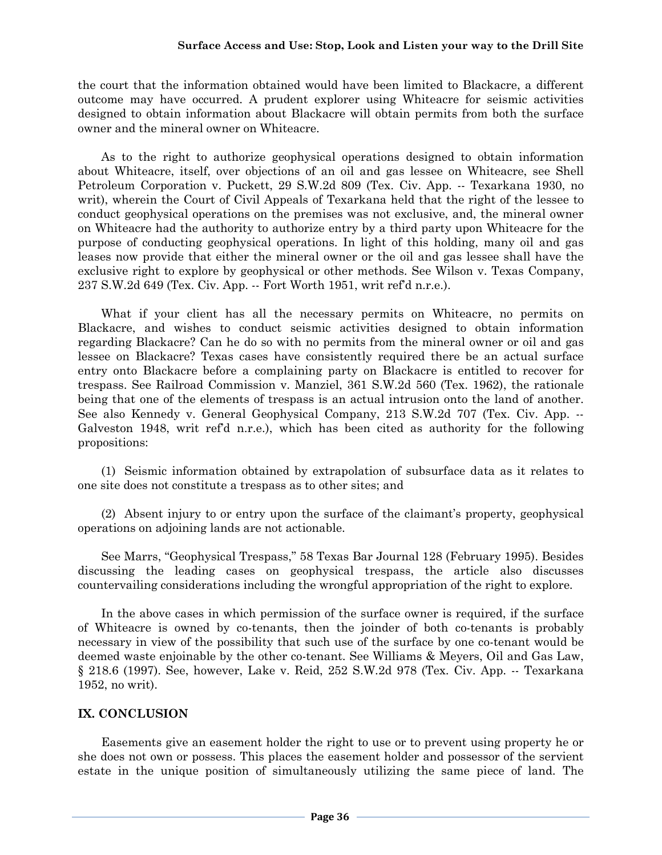the court that the information obtained would have been limited to Blackacre, a different outcome may have occurred. A prudent explorer using Whiteacre for seismic activities designed to obtain information about Blackacre will obtain permits from both the surface owner and the mineral owner on Whiteacre.

As to the right to authorize geophysical operations designed to obtain information about Whiteacre, itself, over objections of an oil and gas lessee on Whiteacre, see Shell Petroleum Corporation v. Puckett, 29 S.W.2d 809 (Tex. Civ. App. -- Texarkana 1930, no writ), wherein the Court of Civil Appeals of Texarkana held that the right of the lessee to conduct geophysical operations on the premises was not exclusive, and, the mineral owner on Whiteacre had the authority to authorize entry by a third party upon Whiteacre for the purpose of conducting geophysical operations. In light of this holding, many oil and gas leases now provide that either the mineral owner or the oil and gas lessee shall have the exclusive right to explore by geophysical or other methods. See Wilson v. Texas Company, 237 S.W.2d 649 (Tex. Civ. App. -- Fort Worth 1951, writ ref'd n.r.e.).

What if your client has all the necessary permits on Whiteacre, no permits on Blackacre, and wishes to conduct seismic activities designed to obtain information regarding Blackacre? Can he do so with no permits from the mineral owner or oil and gas lessee on Blackacre? Texas cases have consistently required there be an actual surface entry onto Blackacre before a complaining party on Blackacre is entitled to recover for trespass. See Railroad Commission v. Manziel, 361 S.W.2d 560 (Tex. 1962), the rationale being that one of the elements of trespass is an actual intrusion onto the land of another. See also Kennedy v. General Geophysical Company, 213 S.W.2d 707 (Tex. Civ. App. -- Galveston 1948, writ ref'd n.r.e.), which has been cited as authority for the following propositions:

(1) Seismic information obtained by extrapolation of subsurface data as it relates to one site does not constitute a trespass as to other sites; and

(2) Absent injury to or entry upon the surface of the claimant's property, geophysical operations on adjoining lands are not actionable.

See Marrs, "Geophysical Trespass," 58 Texas Bar Journal 128 (February 1995). Besides discussing the leading cases on geophysical trespass, the article also discusses countervailing considerations including the wrongful appropriation of the right to explore.

In the above cases in which permission of the surface owner is required, if the surface of Whiteacre is owned by co-tenants, then the joinder of both co-tenants is probably necessary in view of the possibility that such use of the surface by one co-tenant would be deemed waste enjoinable by the other co-tenant. See Williams & Meyers, Oil and Gas Law, § 218.6 (1997). See, however, Lake v. Reid, 252 S.W.2d 978 (Tex. Civ. App. -- Texarkana 1952, no writ).

### **IX. CONCLUSION**

Easements give an easement holder the right to use or to prevent using property he or she does not own or possess. This places the easement holder and possessor of the servient estate in the unique position of simultaneously utilizing the same piece of land. The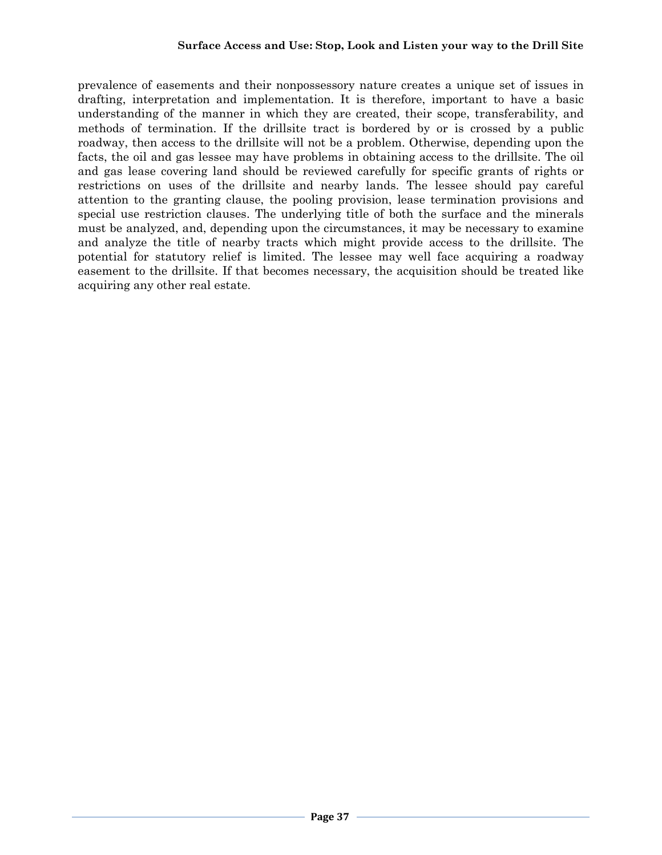prevalence of easements and their nonpossessory nature creates a unique set of issues in drafting, interpretation and implementation. It is therefore, important to have a basic understanding of the manner in which they are created, their scope, transferability, and methods of termination. If the drillsite tract is bordered by or is crossed by a public roadway, then access to the drillsite will not be a problem. Otherwise, depending upon the facts, the oil and gas lessee may have problems in obtaining access to the drillsite. The oil and gas lease covering land should be reviewed carefully for specific grants of rights or restrictions on uses of the drillsite and nearby lands. The lessee should pay careful attention to the granting clause, the pooling provision, lease termination provisions and special use restriction clauses. The underlying title of both the surface and the minerals must be analyzed, and, depending upon the circumstances, it may be necessary to examine and analyze the title of nearby tracts which might provide access to the drillsite. The potential for statutory relief is limited. The lessee may well face acquiring a roadway easement to the drillsite. If that becomes necessary, the acquisition should be treated like acquiring any other real estate.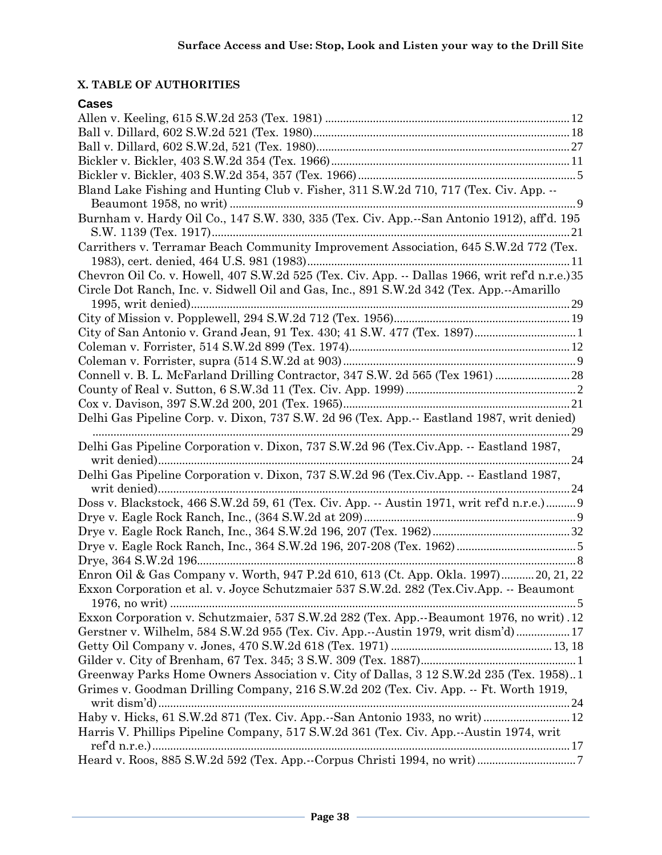# **X. TABLE OF AUTHORITIES**

| <b>Cases</b>                                                                                    |
|-------------------------------------------------------------------------------------------------|
|                                                                                                 |
|                                                                                                 |
|                                                                                                 |
|                                                                                                 |
|                                                                                                 |
| Bland Lake Fishing and Hunting Club v. Fisher, 311 S.W.2d 710, 717 (Tex. Civ. App. --           |
| Burnham v. Hardy Oil Co., 147 S.W. 330, 335 (Tex. Civ. App.--San Antonio 1912), aff'd. 195      |
| Carrithers v. Terramar Beach Community Improvement Association, 645 S.W.2d 772 (Tex.            |
| Chevron Oil Co. v. Howell, 407 S.W.2d 525 (Tex. Civ. App. -- Dallas 1966, writ ref'd n.r.e.) 35 |
| Circle Dot Ranch, Inc. v. Sidwell Oil and Gas, Inc., 891 S.W.2d 342 (Tex. App.--Amarillo        |
|                                                                                                 |
|                                                                                                 |
|                                                                                                 |
|                                                                                                 |
|                                                                                                 |
| Connell v. B. L. McFarland Drilling Contractor, 347 S.W. 2d 565 (Tex 1961)  28                  |
|                                                                                                 |
|                                                                                                 |
| Delhi Gas Pipeline Corp. v. Dixon, 737 S.W. 2d 96 (Tex. App.-- Eastland 1987, writ denied)      |
| Delhi Gas Pipeline Corporation v. Dixon, 737 S.W.2d 96 (Tex.Civ.App. -- Eastland 1987,          |
| Delhi Gas Pipeline Corporation v. Dixon, 737 S.W.2d 96 (Tex.Civ.App. -- Eastland 1987,          |
| Doss v. Blackstock, 466 S.W.2d 59, 61 (Tex. Civ. App. -- Austin 1971, writ ref'd n.r.e.) 9      |
|                                                                                                 |
|                                                                                                 |
|                                                                                                 |
| Enron Oil & Gas Company v. Worth, 947 P.2d 610, 613 (Ct. App. Okla. 1997) 20, 21, 22            |
| Exxon Corporation et al. v. Joyce Schutzmaier 537 S.W.2d. 282 (Tex.Civ.App. -- Beaumont         |
| Exxon Corporation v. Schutzmaier, 537 S.W.2d 282 (Tex. App.--Beaumont 1976, no writ). 12        |
| Gerstner v. Wilhelm, 584 S.W.2d 955 (Tex. Civ. App.--Austin 1979, writ dism'd) 17               |
|                                                                                                 |
|                                                                                                 |
| Greenway Parks Home Owners Association v. City of Dallas, 3 12 S.W.2d 235 (Tex. 1958)1          |
| Grimes v. Goodman Drilling Company, 216 S.W.2d 202 (Tex. Civ. App. -- Ft. Worth 1919,           |
| Haby v. Hicks, 61 S.W.2d 871 (Tex. Civ. App.--San Antonio 1933, no writ)  12                    |
| Harris V. Phillips Pipeline Company, 517 S.W.2d 361 (Tex. Civ. App.--Austin 1974, writ          |
|                                                                                                 |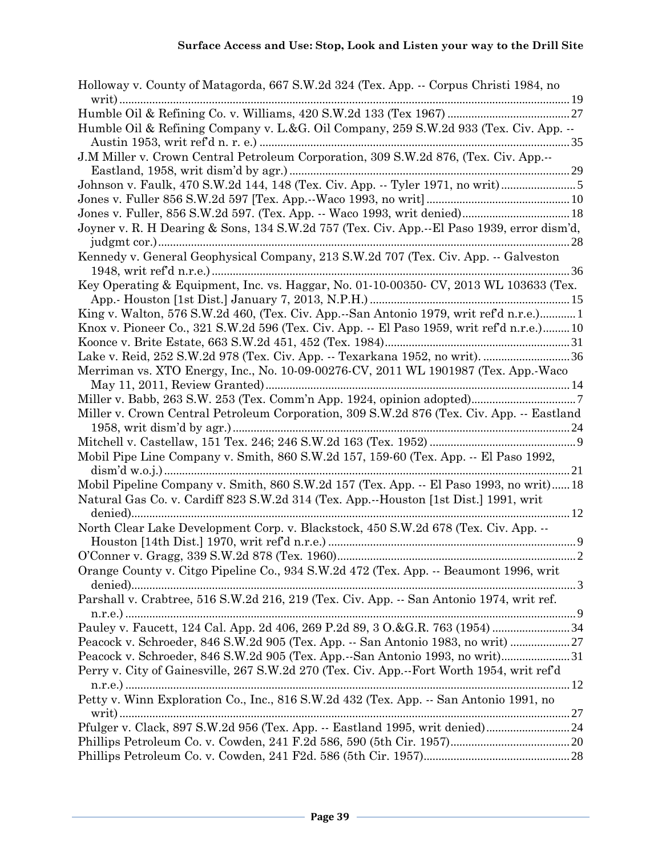| Holloway v. County of Matagorda, 667 S.W.2d 324 (Tex. App. -- Corpus Christi 1984, no      |  |
|--------------------------------------------------------------------------------------------|--|
|                                                                                            |  |
| Humble Oil & Refining Company v. L.&G. Oil Company, 259 S.W.2d 933 (Tex. Civ. App. --      |  |
|                                                                                            |  |
| J.M Miller v. Crown Central Petroleum Corporation, 309 S.W.2d 876, (Tex. Civ. App.--       |  |
|                                                                                            |  |
| Johnson v. Faulk, 470 S.W.2d 144, 148 (Tex. Civ. App. -- Tyler 1971, no writ)              |  |
|                                                                                            |  |
|                                                                                            |  |
| Joyner v. R. H Dearing & Sons, 134 S.W.2d 757 (Tex. Civ. App.--El Paso 1939, error dism'd, |  |
|                                                                                            |  |
| Kennedy v. General Geophysical Company, 213 S.W.2d 707 (Tex. Civ. App. -- Galveston        |  |
|                                                                                            |  |
| Key Operating & Equipment, Inc. vs. Haggar, No. 01-10-00350- CV, 2013 WL 103633 (Tex.      |  |
|                                                                                            |  |
| King v. Walton, 576 S.W.2d 460, (Tex. Civ. App.--San Antonio 1979, writ ref'd n.r.e.) 1    |  |
| Knox v. Pioneer Co., 321 S.W.2d 596 (Tex. Civ. App. -- El Paso 1959, writ ref'd n.r.e.) 10 |  |
|                                                                                            |  |
|                                                                                            |  |
| Merriman vs. XTO Energy, Inc., No. 10-09-00276-CV, 2011 WL 1901987 (Tex. App.-Waco         |  |
|                                                                                            |  |
|                                                                                            |  |
| Miller v. Crown Central Petroleum Corporation, 309 S.W.2d 876 (Tex. Civ. App. -- Eastland  |  |
|                                                                                            |  |
|                                                                                            |  |
| Mobil Pipe Line Company v. Smith, 860 S.W.2d 157, 159-60 (Tex. App. -- El Paso 1992,       |  |
|                                                                                            |  |
| Mobil Pipeline Company v. Smith, 860 S.W.2d 157 (Tex. App. -- El Paso 1993, no writ) 18    |  |
| Natural Gas Co. v. Cardiff 823 S.W.2d 314 (Tex. App.--Houston [1st Dist.] 1991, writ       |  |
|                                                                                            |  |
| North Clear Lake Development Corp. v. Blackstock, 450 S.W.2d 678 (Tex. Civ. App. --        |  |
|                                                                                            |  |
|                                                                                            |  |
| Orange County v. Citgo Pipeline Co., 934 S.W.2d 472 (Tex. App. -- Beaumont 1996, writ      |  |
| denied)                                                                                    |  |
| Parshall v. Crabtree, 516 S.W.2d 216, 219 (Tex. Civ. App. -- San Antonio 1974, writ ref.   |  |
|                                                                                            |  |
| Pauley v. Faucett, 124 Cal. App. 2d 406, 269 P.2d 89, 3 O.&G.R. 763 (1954)                 |  |
| Peacock v. Schroeder, 846 S.W.2d 905 (Tex. App. -- San Antonio 1983, no writ)  27          |  |
| Peacock v. Schroeder, 846 S.W.2d 905 (Tex. App.--San Antonio 1993, no writ) 31             |  |
| Perry v. City of Gainesville, 267 S.W.2d 270 (Tex. Civ. App.--Fort Worth 1954, writ ref'd  |  |
|                                                                                            |  |
| Petty v. Winn Exploration Co., Inc., 816 S.W.2d 432 (Tex. App. -- San Antonio 1991, no     |  |
|                                                                                            |  |
| Pfulger v. Clack, 897 S.W.2d 956 (Tex. App. -- Eastland 1995, writ denied)24               |  |
|                                                                                            |  |
|                                                                                            |  |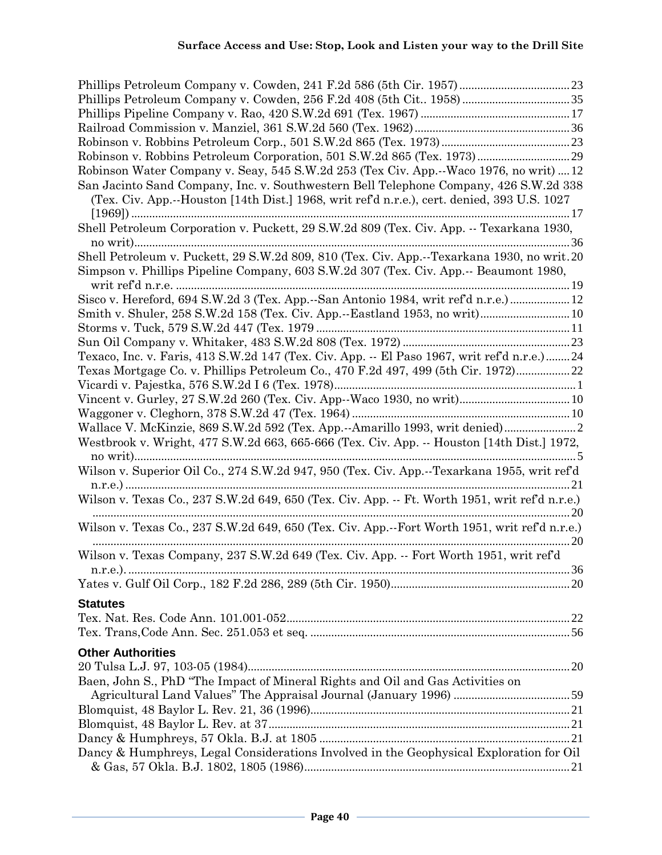| Robinson v. Robbins Petroleum Corporation, 501 S.W.2d 865 (Tex. 1973) 29                       |  |
|------------------------------------------------------------------------------------------------|--|
| Robinson Water Company v. Seay, 545 S.W.2d 253 (Tex Civ. App.--Waco 1976, no writ)  12         |  |
| San Jacinto Sand Company, Inc. v. Southwestern Bell Telephone Company, 426 S.W.2d 338          |  |
| (Tex. Civ. App.--Houston [14th Dist.] 1968, writ ref'd n.r.e.), cert. denied, 393 U.S. 1027    |  |
|                                                                                                |  |
| Shell Petroleum Corporation v. Puckett, 29 S.W.2d 809 (Tex. Civ. App. -- Texarkana 1930,       |  |
|                                                                                                |  |
| Shell Petroleum v. Puckett, 29 S.W.2d 809, 810 (Tex. Civ. App.--Texarkana 1930, no writ.20     |  |
| Simpson v. Phillips Pipeline Company, 603 S.W.2d 307 (Tex. Civ. App. -- Beaumont 1980,         |  |
| Sisco v. Hereford, 694 S.W.2d 3 (Tex. App.--San Antonio 1984, writ ref'd n.r.e.)  12           |  |
| Smith v. Shuler, 258 S.W.2d 158 (Tex. Civ. App.--Eastland 1953, no writ) 10                    |  |
|                                                                                                |  |
|                                                                                                |  |
| Texaco, Inc. v. Faris, 413 S.W.2d 147 (Tex. Civ. App. -- El Paso 1967, writ ref'd n.r.e.)24    |  |
| Texas Mortgage Co. v. Phillips Petroleum Co., 470 F.2d 497, 499 (5th Cir. 1972) 22             |  |
|                                                                                                |  |
|                                                                                                |  |
|                                                                                                |  |
| Wallace V. McKinzie, 869 S.W.2d 592 (Tex. App.--Amarillo 1993, writ denied)                    |  |
| Westbrook v. Wright, 477 S.W.2d 663, 665-666 (Tex. Civ. App. -- Houston [14th Dist.] 1972,     |  |
| Wilson v. Superior Oil Co., 274 S.W.2d 947, 950 (Tex. Civ. App.--Texarkana 1955, writ ref'd    |  |
| Wilson v. Texas Co., 237 S.W.2d 649, 650 (Tex. Civ. App. -- Ft. Worth 1951, writ ref'd n.r.e.) |  |
| Wilson v. Texas Co., 237 S.W.2d 649, 650 (Tex. Civ. App.--Fort Worth 1951, writ ref'd n.r.e.)  |  |
| Wilson v. Texas Company, 237 S.W.2d 649 (Tex. Civ. App. -- Fort Worth 1951, writ ref'd         |  |
|                                                                                                |  |
| <b>Statutes</b>                                                                                |  |
|                                                                                                |  |
|                                                                                                |  |
| <b>Other Authorities</b>                                                                       |  |
|                                                                                                |  |
| Baen, John S., PhD "The Impact of Mineral Rights and Oil and Gas Activities on                 |  |
|                                                                                                |  |
|                                                                                                |  |
|                                                                                                |  |
|                                                                                                |  |
| Dancy & Humphreys, Legal Considerations Involved in the Geophysical Exploration for Oil        |  |
|                                                                                                |  |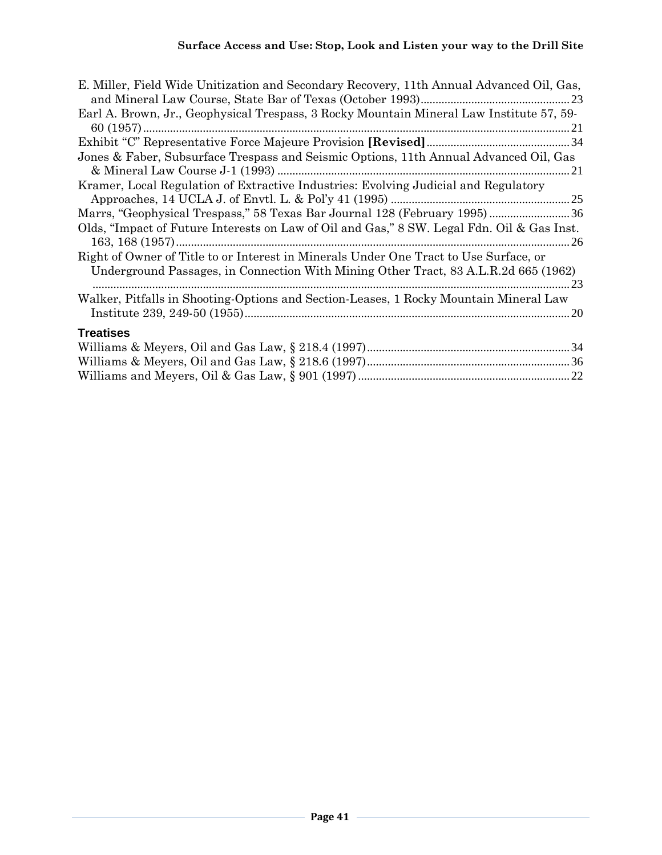Williams and Meyers, Oil & Gas Law, § 901 (1997).......................................................................22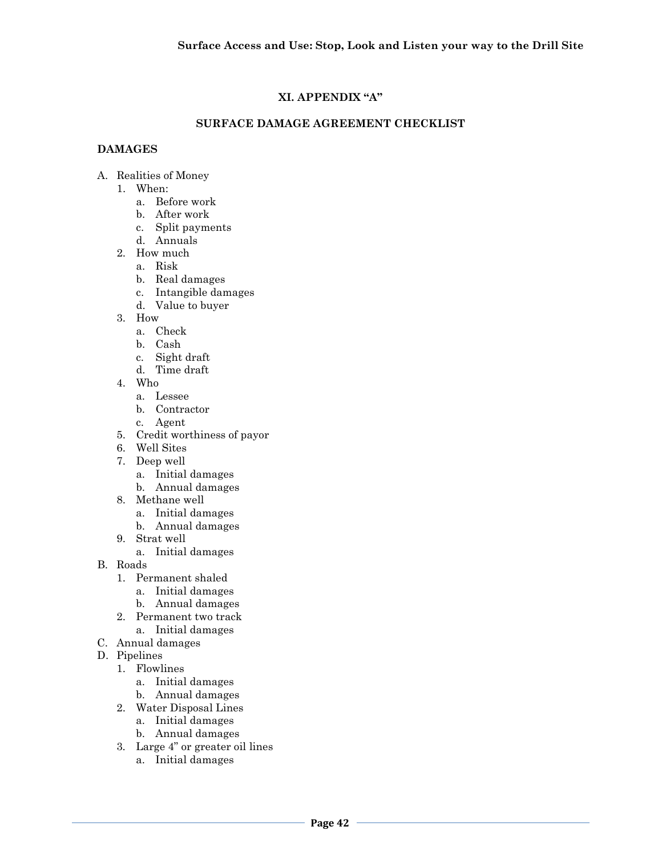# **XI. APPENDIX "A"**

### **SURFACE DAMAGE AGREEMENT CHECKLIST**

### **DAMAGES**

- A. Realities of Money
	- 1. When:
		- a. Before work
		- b. After work
		- c. Split payments
		- d. Annuals
	- 2. How much
		- a. Risk
		- b. Real damages
		- c. Intangible damages
		- d. Value to buyer
	- 3. How
		- a. Check
		- b. Cash
		- c. Sight draft
		- d. Time draft
	- 4. Who
		- a. Lessee
		- b. Contractor
		- c. Agent
	- 5. Credit worthiness of payor
	- 6. Well Sites
	- 7. Deep well
		- a. Initial damages
		- b. Annual damages
	- 8. Methane well
		- a. Initial damages
		- b. Annual damages
	- 9. Strat well
		- a. Initial damages
- B. Roads
	- 1. Permanent shaled
		- a. Initial damages
		- b. Annual damages
	- 2. Permanent two track
		- a. Initial damages
- C. Annual damages
- D. Pipelines
	- 1. Flowlines
		- a. Initial damages
		- b. Annual damages
	- 2. Water Disposal Lines
		- a. Initial damages
		- b. Annual damages
	- 3. Large 4" or greater oil lines
		- a. Initial damages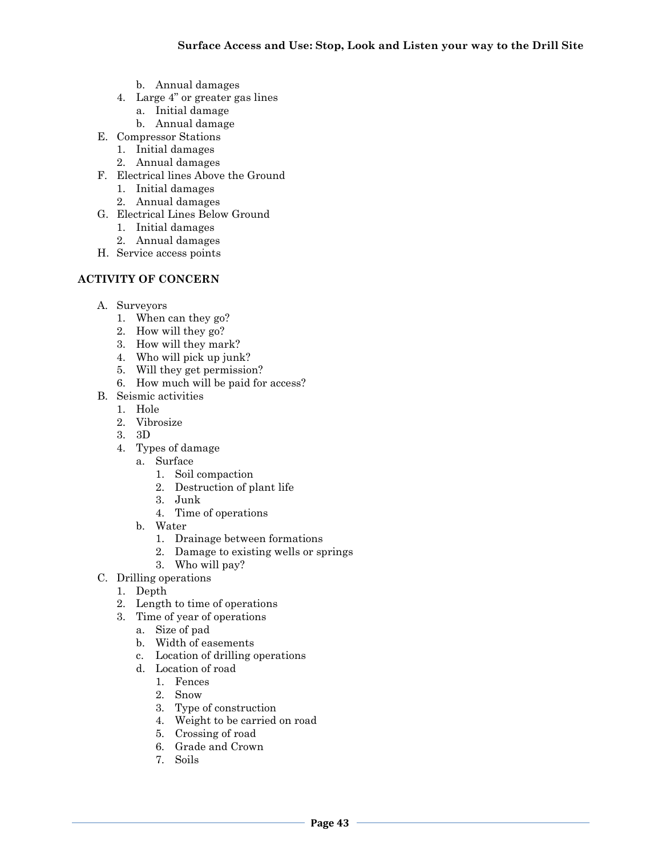- b. Annual damages
- 4. Large 4" or greater gas lines
	- a. Initial damage
	- b. Annual damage
- E. Compressor Stations
	- 1. Initial damages
	- 2. Annual damages
- F. Electrical lines Above the Ground
	- 1. Initial damages
	- 2. Annual damages
- G. Electrical Lines Below Ground
	- 1. Initial damages
	- 2. Annual damages
- H. Service access points

# **ACTIVITY OF CONCERN**

- A. Surveyors
	- 1. When can they go?
	- 2. How will they go?
	- 3. How will they mark?
	- 4. Who will pick up junk?
	- 5. Will they get permission?
	- 6. How much will be paid for access?
- B. Seismic activities
	- 1. Hole
	- 2. Vibrosize
	- 3. 3D
	- 4. Types of damage
		- a. Surface
			- 1. Soil compaction
			- 2. Destruction of plant life
			- 3. Junk
			- 4. Time of operations
		- b. Water
			- 1. Drainage between formations
			- 2. Damage to existing wells or springs
			- 3. Who will pay?
- C. Drilling operations
	- 1. Depth
	- 2. Length to time of operations
	- 3. Time of year of operations
		- a. Size of pad
		- b. Width of easements
		- c. Location of drilling operations
		- d. Location of road
			- 1. Fences
			- 2. Snow
			- 3. Type of construction
			- 4. Weight to be carried on road
			- 5. Crossing of road
			- 6. Grade and Crown
			- 7. Soils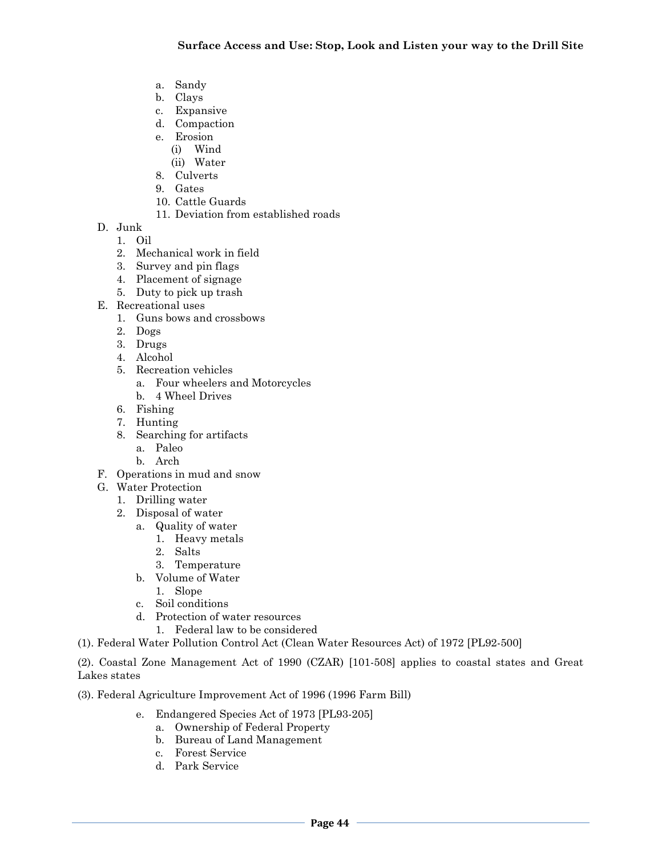- a. Sandy
- b. Clays
- c. Expansive
- d. Compaction
- e. Erosion
	- (i) Wind
	- (ii) Water
- 8. Culverts
- 9. Gates
- 10. Cattle Guards
- 11. Deviation from established roads
- D. Junk
	- 1. Oil
		- 2. Mechanical work in field
		- 3. Survey and pin flags
		- 4. Placement of signage
		- 5. Duty to pick up trash
- E. Recreational uses
	- 1. Guns bows and crossbows
	- 2. Dogs
	- 3. Drugs
	- 4. Alcohol
	- 5. Recreation vehicles
		- a. Four wheelers and Motorcycles
		- b. 4 Wheel Drives
	- 6. Fishing
	- 7. Hunting
	- 8. Searching for artifacts
		- a. Paleo
		- b. Arch
- F. Operations in mud and snow
- G. Water Protection
	- 1. Drilling water
	- 2. Disposal of water
		- a. Quality of water
			- 1. Heavy metals
			- 2. Salts
			- 3. Temperature
		- b. Volume of Water
			- 1. Slope
		- c. Soil conditions
		- d. Protection of water resources
			- 1. Federal law to be considered
- (1). Federal Water Pollution Control Act (Clean Water Resources Act) of 1972 [PL92-500]

(2). Coastal Zone Management Act of 1990 (CZAR) [101-508] applies to coastal states and Great Lakes states

- (3). Federal Agriculture Improvement Act of 1996 (1996 Farm Bill)
	- e. Endangered Species Act of 1973 [PL93-205]
		- a. Ownership of Federal Property
		- b. Bureau of Land Management
		- c. Forest Service
		- d. Park Service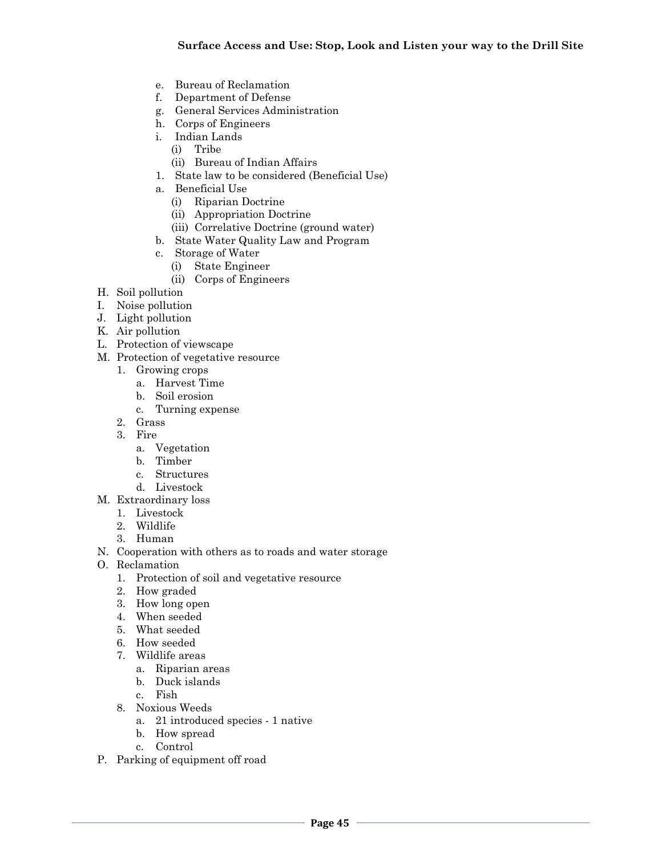- e. Bureau of Reclamation
- f. Department of Defense
- g. General Services Administration
- h. Corps of Engineers
- i. Indian Lands
	- (i) Tribe
	- (ii) Bureau of Indian Affairs
- 1. State law to be considered (Beneficial Use)
- a. Beneficial Use
	- (i) Riparian Doctrine
	- (ii) Appropriation Doctrine
	- (iii) Correlative Doctrine (ground water)
- b. State Water Quality Law and Program
- c. Storage of Water
	- (i) State Engineer
	- (ii) Corps of Engineers
- H. Soil pollution
- I. Noise pollution
- J. Light pollution
- K. Air pollution
- L. Protection of viewscape
- M. Protection of vegetative resource
	- 1. Growing crops
		- a. Harvest Time
		- b. Soil erosion
		- c. Turning expense
	- 2. Grass
	- 3. Fire
		- a. Vegetation
		- b. Timber
		- c. Structures
		- d. Livestock
- M. Extraordinary loss
	- 1. Livestock
	- 2. Wildlife
	- 3. Human
- N. Cooperation with others as to roads and water storage
- O. Reclamation
	- 1. Protection of soil and vegetative resource
	- 2. How graded
	- 3. How long open
	- 4. When seeded
	- 5. What seeded
	- 6. How seeded
	- 7. Wildlife areas
		- a. Riparian areas
		- b. Duck islands
		- c. Fish
	- 8. Noxious Weeds
		- a. 21 introduced species 1 native
		- b. How spread
		- c. Control
- P. Parking of equipment off road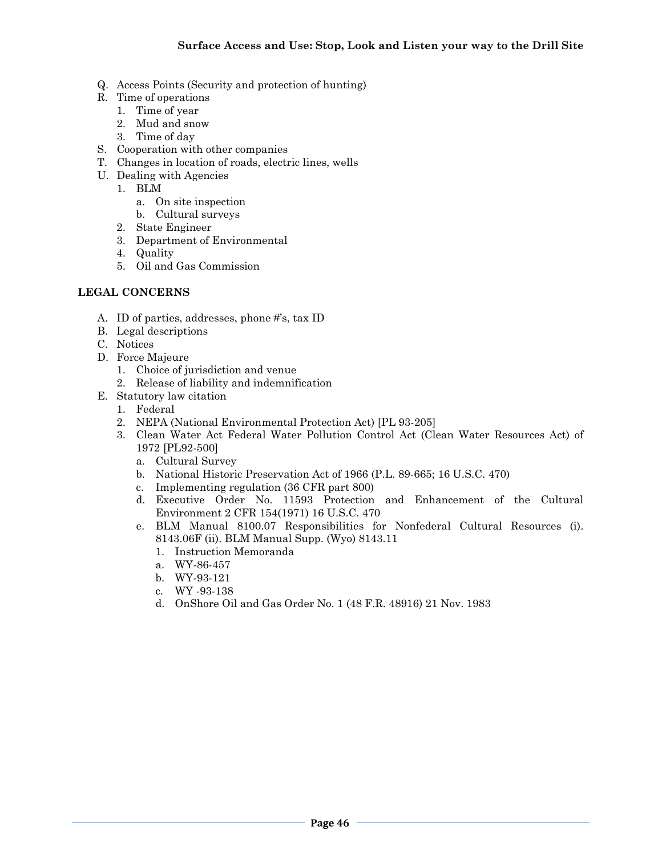- Q. Access Points (Security and protection of hunting)
- R. Time of operations
	- 1. Time of year
	- 2. Mud and snow
	- 3. Time of day
- S. Cooperation with other companies
- T. Changes in location of roads, electric lines, wells
- U. Dealing with Agencies
	- 1. BLM
		- a. On site inspection
		- b. Cultural surveys
	- 2. State Engineer
	- 3. Department of Environmental
	- 4. Quality
	- 5. Oil and Gas Commission

### **LEGAL CONCERNS**

- A. ID of parties, addresses, phone #'s, tax ID
- B. Legal descriptions
- C. Notices
- D. Force Majeure
	- 1. Choice of jurisdiction and venue
	- 2. Release of liability and indemnification
- E. Statutory law citation
	- 1. Federal
	- 2. NEPA (National Environmental Protection Act) [PL 93-205]
	- 3. Clean Water Act Federal Water Pollution Control Act (Clean Water Resources Act) of 1972 [PL92-500]
		- a. Cultural Survey
		- b. National Historic Preservation Act of 1966 (P.L. 89-665; 16 U.S.C. 470)
		- c. Implementing regulation (36 CFR part 800)
		- d. Executive Order No. 11593 Protection and Enhancement of the Cultural Environment 2 CFR 154(1971) 16 U.S.C. 470
		- e. BLM Manual 8100.07 Responsibilities for Nonfederal Cultural Resources (i). 8143.06F (ii). BLM Manual Supp. (Wyo) 8143.11
			- 1. Instruction Memoranda
			- a. WY-86-457
			- b. WY-93-121
			- c. WY -93-138
			- d. OnShore Oil and Gas Order No. 1 (48 F.R. 48916) 21 Nov. 1983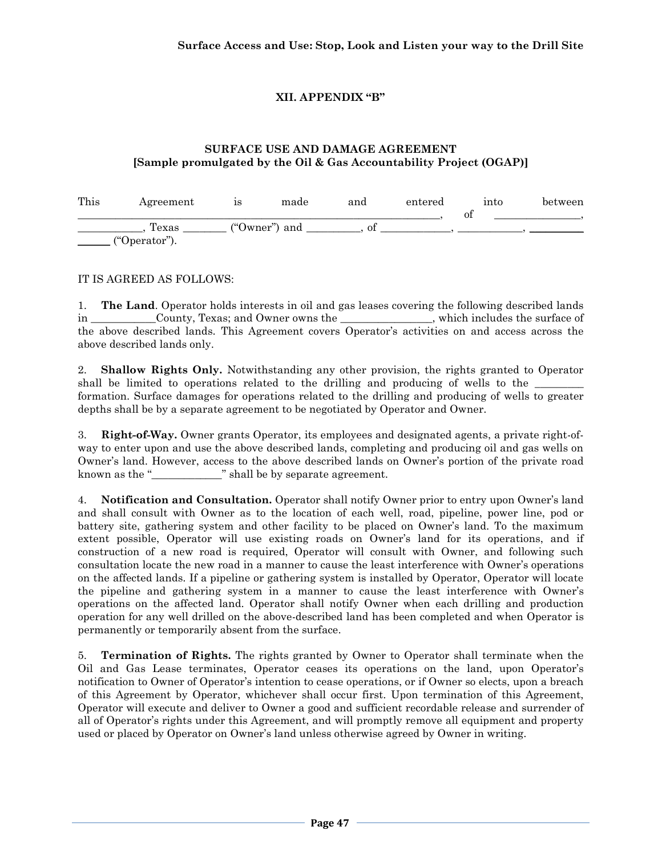# **XII. APPENDIX "B"**

### **SURFACE USE AND DAMAGE AGREEMENT [Sample promulgated by the Oil & Gas Accountability Project (OGAP)]**

| This | Agreement     | ıs | made          | and | entered | into | between |
|------|---------------|----|---------------|-----|---------|------|---------|
|      |               |    |               |     |         | O1   |         |
|      | Texas         |    | ("Owner") and |     |         |      |         |
|      | ("Operator"). |    |               |     |         |      |         |

### IT IS AGREED AS FOLLOWS:

1. **The Land**. Operator holds interests in oil and gas leases covering the following described lands in County, Texas; and Owner owns the \_\_\_\_\_\_\_\_\_\_\_, which includes the surface of the above described lands. This Agreement covers Operator's activities on and access across the above described lands only.

2. **Shallow Rights Only.** Notwithstanding any other provision, the rights granted to Operator shall be limited to operations related to the drilling and producing of wells to the  $\overline{\phantom{a}}$ formation. Surface damages for operations related to the drilling and producing of wells to greater depths shall be by a separate agreement to be negotiated by Operator and Owner.

3. **Right-of-Way.** Owner grants Operator, its employees and designated agents, a private right-ofway to enter upon and use the above described lands, completing and producing oil and gas wells on Owner's land. However, access to the above described lands on Owner's portion of the private road known as the "\_\_\_\_\_\_\_\_\_\_\_\_\_" shall be by separate agreement.

4. **Notification and Consultation.** Operator shall notify Owner prior to entry upon Owner's land and shall consult with Owner as to the location of each well, road, pipeline, power line, pod or battery site, gathering system and other facility to be placed on Owner's land. To the maximum extent possible, Operator will use existing roads on Owner's land for its operations, and if construction of a new road is required, Operator will consult with Owner, and following such consultation locate the new road in a manner to cause the least interference with Owner's operations on the affected lands. If a pipeline or gathering system is installed by Operator, Operator will locate the pipeline and gathering system in a manner to cause the least interference with Owner's operations on the affected land. Operator shall notify Owner when each drilling and production operation for any well drilled on the above-described land has been completed and when Operator is permanently or temporarily absent from the surface.

5. **Termination of Rights.** The rights granted by Owner to Operator shall terminate when the Oil and Gas Lease terminates, Operator ceases its operations on the land, upon Operator's notification to Owner of Operator's intention to cease operations, or if Owner so elects, upon a breach of this Agreement by Operator, whichever shall occur first. Upon termination of this Agreement, Operator will execute and deliver to Owner a good and sufficient recordable release and surrender of all of Operator's rights under this Agreement, and will promptly remove all equipment and property used or placed by Operator on Owner's land unless otherwise agreed by Owner in writing.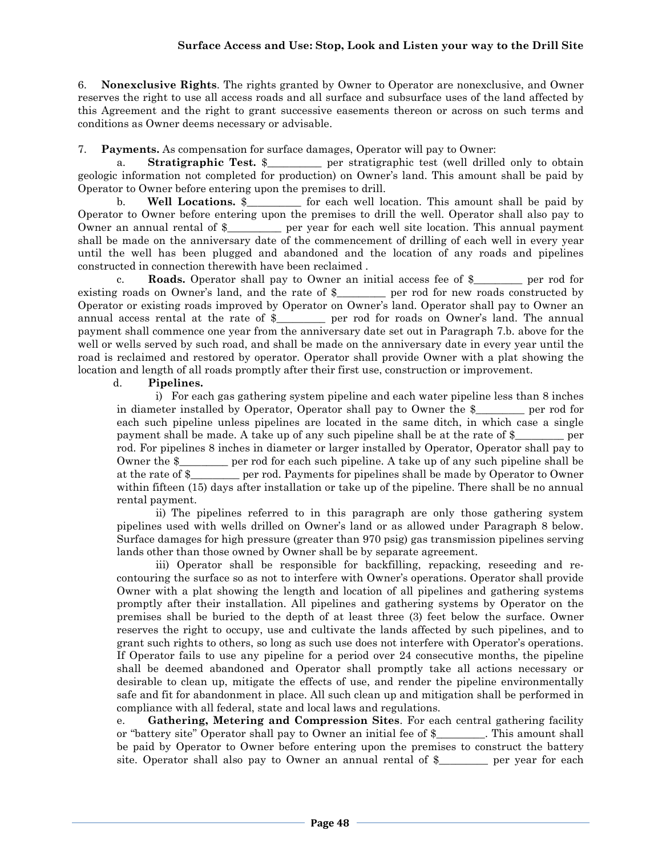**Nonexclusive Rights**. The rights granted by Owner to Operator are nonexclusive, and Owner reserves the right to use all access roads and all surface and subsurface uses of the land affected by this Agreement and the right to grant successive easements thereon or across on such terms and conditions as Owner deems necessary or advisable.

7. **Payments.** As compensation for surface damages, Operator will pay to Owner:

a. **Stratigraphic Test.** \$ per stratigraphic test (well drilled only to obtain geologic information not completed for production) on Owner's land. This amount shall be paid by Operator to Owner before entering upon the premises to drill.

b. **Well Locations.**  $\oint$  for each well location. This amount shall be paid by Operator to Owner before entering upon the premises to drill the well. Operator shall also pay to Owner an annual rental of \$\_\_\_\_\_\_\_\_\_\_ per year for each well site location. This annual payment shall be made on the anniversary date of the commencement of drilling of each well in every year until the well has been plugged and abandoned and the location of any roads and pipelines constructed in connection therewith have been reclaimed .

c. **Roads.** Operator shall pay to Owner an initial access fee of \$\_\_\_\_\_\_\_\_\_ per rod for existing roads on Owner's land, and the rate of \$\_\_\_\_\_\_\_\_\_ per rod for new roads constructed by Operator or existing roads improved by Operator on Owner's land. Operator shall pay to Owner an annual access rental at the rate of \$\_\_\_\_\_\_\_\_\_ per rod for roads on Owner's land. The annual payment shall commence one year from the anniversary date set out in Paragraph 7.b. above for the well or wells served by such road, and shall be made on the anniversary date in every year until the road is reclaimed and restored by operator. Operator shall provide Owner with a plat showing the location and length of all roads promptly after their first use, construction or improvement.

### d. **Pipelines.**

i) For each gas gathering system pipeline and each water pipeline less than 8 inches in diameter installed by Operator, Operator shall pay to Owner the \$\_\_\_\_\_\_\_\_\_ per rod for each such pipeline unless pipelines are located in the same ditch, in which case a single payment shall be made. A take up of any such pipeline shall be at the rate of \$\_\_\_\_\_\_\_\_\_ per rod. For pipelines 8 inches in diameter or larger installed by Operator, Operator shall pay to Owner the \$\_\_\_\_\_\_\_\_\_ per rod for each such pipeline. A take up of any such pipeline shall be at the rate of \$\_\_\_\_\_\_\_\_\_ per rod. Payments for pipelines shall be made by Operator to Owner within fifteen (15) days after installation or take up of the pipeline. There shall be no annual rental payment.

ii) The pipelines referred to in this paragraph are only those gathering system pipelines used with wells drilled on Owner's land or as allowed under Paragraph 8 below. Surface damages for high pressure (greater than 970 psig) gas transmission pipelines serving lands other than those owned by Owner shall be by separate agreement.

iii) Operator shall be responsible for backfilling, repacking, reseeding and recontouring the surface so as not to interfere with Owner's operations. Operator shall provide Owner with a plat showing the length and location of all pipelines and gathering systems promptly after their installation. All pipelines and gathering systems by Operator on the premises shall be buried to the depth of at least three (3) feet below the surface. Owner reserves the right to occupy, use and cultivate the lands affected by such pipelines, and to grant such rights to others, so long as such use does not interfere with Operator's operations. If Operator fails to use any pipeline for a period over 24 consecutive months, the pipeline shall be deemed abandoned and Operator shall promptly take all actions necessary or desirable to clean up, mitigate the effects of use, and render the pipeline environmentally safe and fit for abandonment in place. All such clean up and mitigation shall be performed in compliance with all federal, state and local laws and regulations.

e. **Gathering, Metering and Compression Sites**. For each central gathering facility or "battery site" Operator shall pay to Owner an initial fee of \$\_\_\_\_\_\_\_\_\_. This amount shall be paid by Operator to Owner before entering upon the premises to construct the battery site. Operator shall also pay to Owner an annual rental of \$\_\_\_\_\_\_\_\_\_ per year for each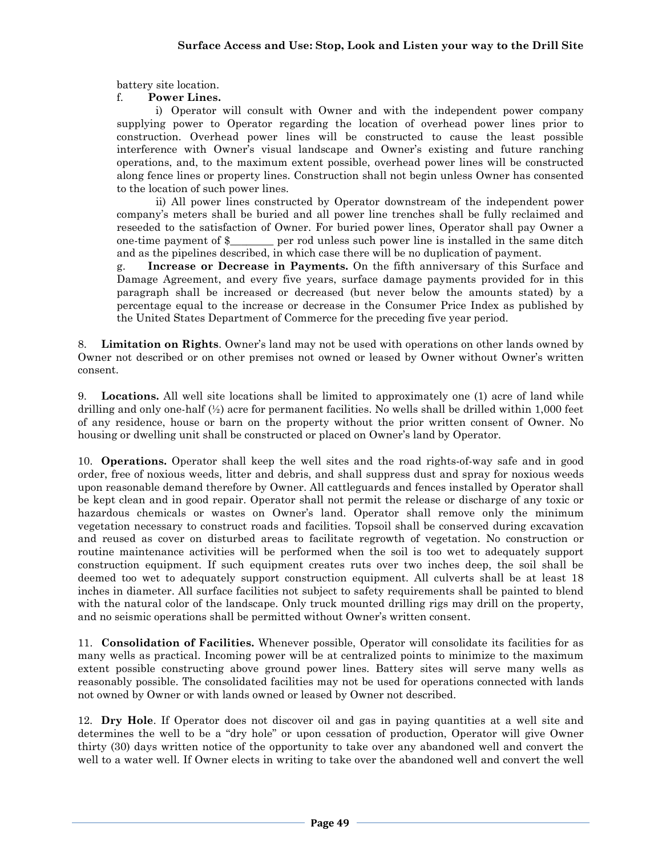battery site location.

### f. **Power Lines.**

i) Operator will consult with Owner and with the independent power company supplying power to Operator regarding the location of overhead power lines prior to construction. Overhead power lines will be constructed to cause the least possible interference with Owner's visual landscape and Owner's existing and future ranching operations, and, to the maximum extent possible, overhead power lines will be constructed along fence lines or property lines. Construction shall not begin unless Owner has consented to the location of such power lines.

ii) All power lines constructed by Operator downstream of the independent power company's meters shall be buried and all power line trenches shall be fully reclaimed and reseeded to the satisfaction of Owner. For buried power lines, Operator shall pay Owner a one-time payment of \$\_\_\_\_\_\_\_\_ per rod unless such power line is installed in the same ditch and as the pipelines described, in which case there will be no duplication of payment.

g. **Increase or Decrease in Payments.** On the fifth anniversary of this Surface and Damage Agreement, and every five years, surface damage payments provided for in this paragraph shall be increased or decreased (but never below the amounts stated) by a percentage equal to the increase or decrease in the Consumer Price Index as published by the United States Department of Commerce for the preceding five year period.

8. **Limitation on Rights**. Owner's land may not be used with operations on other lands owned by Owner not described or on other premises not owned or leased by Owner without Owner's written consent.

9. **Locations.** All well site locations shall be limited to approximately one (1) acre of land while drilling and only one-half (½) acre for permanent facilities. No wells shall be drilled within 1,000 feet of any residence, house or barn on the property without the prior written consent of Owner. No housing or dwelling unit shall be constructed or placed on Owner's land by Operator.

10. **Operations.** Operator shall keep the well sites and the road rights-of-way safe and in good order, free of noxious weeds, litter and debris, and shall suppress dust and spray for noxious weeds upon reasonable demand therefore by Owner. All cattleguards and fences installed by Operator shall be kept clean and in good repair. Operator shall not permit the release or discharge of any toxic or hazardous chemicals or wastes on Owner's land. Operator shall remove only the minimum vegetation necessary to construct roads and facilities. Topsoil shall be conserved during excavation and reused as cover on disturbed areas to facilitate regrowth of vegetation. No construction or routine maintenance activities will be performed when the soil is too wet to adequately support construction equipment. If such equipment creates ruts over two inches deep, the soil shall be deemed too wet to adequately support construction equipment. All culverts shall be at least 18 inches in diameter. All surface facilities not subject to safety requirements shall be painted to blend with the natural color of the landscape. Only truck mounted drilling rigs may drill on the property, and no seismic operations shall be permitted without Owner's written consent.

11. **Consolidation of Facilities.** Whenever possible, Operator will consolidate its facilities for as many wells as practical. Incoming power will be at centralized points to minimize to the maximum extent possible constructing above ground power lines. Battery sites will serve many wells as reasonably possible. The consolidated facilities may not be used for operations connected with lands not owned by Owner or with lands owned or leased by Owner not described.

12. **Dry Hole**. If Operator does not discover oil and gas in paying quantities at a well site and determines the well to be a "dry hole" or upon cessation of production, Operator will give Owner thirty (30) days written notice of the opportunity to take over any abandoned well and convert the well to a water well. If Owner elects in writing to take over the abandoned well and convert the well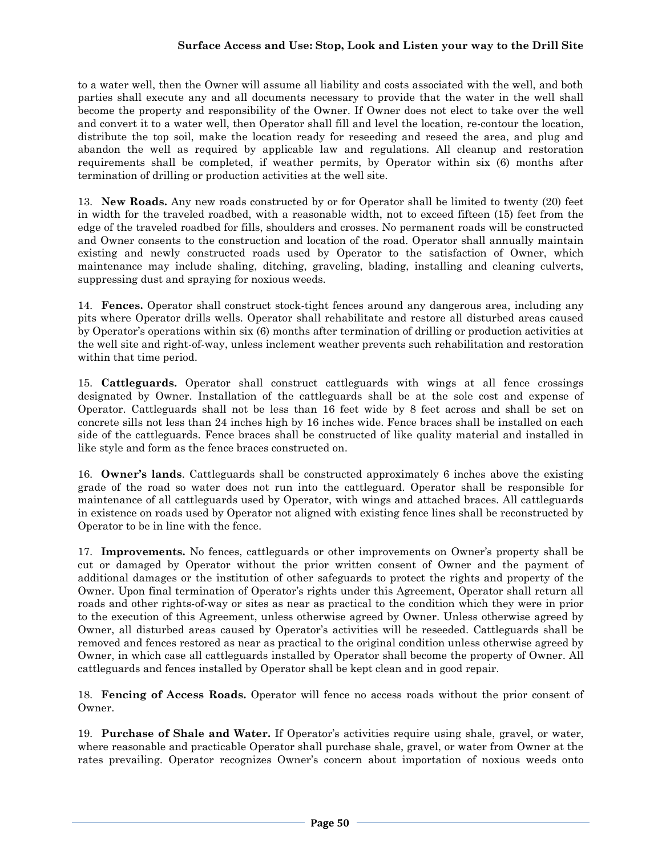to a water well, then the Owner will assume all liability and costs associated with the well, and both parties shall execute any and all documents necessary to provide that the water in the well shall become the property and responsibility of the Owner. If Owner does not elect to take over the well and convert it to a water well, then Operator shall fill and level the location, re-contour the location, distribute the top soil, make the location ready for reseeding and reseed the area, and plug and abandon the well as required by applicable law and regulations. All cleanup and restoration requirements shall be completed, if weather permits, by Operator within six (6) months after termination of drilling or production activities at the well site.

13. **New Roads.** Any new roads constructed by or for Operator shall be limited to twenty (20) feet in width for the traveled roadbed, with a reasonable width, not to exceed fifteen (15) feet from the edge of the traveled roadbed for fills, shoulders and crosses. No permanent roads will be constructed and Owner consents to the construction and location of the road. Operator shall annually maintain existing and newly constructed roads used by Operator to the satisfaction of Owner, which maintenance may include shaling, ditching, graveling, blading, installing and cleaning culverts, suppressing dust and spraying for noxious weeds.

14. **Fences.** Operator shall construct stock-tight fences around any dangerous area, including any pits where Operator drills wells. Operator shall rehabilitate and restore all disturbed areas caused by Operator's operations within six (6) months after termination of drilling or production activities at the well site and right-of-way, unless inclement weather prevents such rehabilitation and restoration within that time period.

15. **Cattleguards.** Operator shall construct cattleguards with wings at all fence crossings designated by Owner. Installation of the cattleguards shall be at the sole cost and expense of Operator. Cattleguards shall not be less than 16 feet wide by 8 feet across and shall be set on concrete sills not less than 24 inches high by 16 inches wide. Fence braces shall be installed on each side of the cattleguards. Fence braces shall be constructed of like quality material and installed in like style and form as the fence braces constructed on.

16. **Owner's lands**. Cattleguards shall be constructed approximately 6 inches above the existing grade of the road so water does not run into the cattleguard. Operator shall be responsible for maintenance of all cattleguards used by Operator, with wings and attached braces. All cattleguards in existence on roads used by Operator not aligned with existing fence lines shall be reconstructed by Operator to be in line with the fence.

17. **Improvements.** No fences, cattleguards or other improvements on Owner's property shall be cut or damaged by Operator without the prior written consent of Owner and the payment of additional damages or the institution of other safeguards to protect the rights and property of the Owner. Upon final termination of Operator's rights under this Agreement, Operator shall return all roads and other rights-of-way or sites as near as practical to the condition which they were in prior to the execution of this Agreement, unless otherwise agreed by Owner. Unless otherwise agreed by Owner, all disturbed areas caused by Operator's activities will be reseeded. Cattleguards shall be removed and fences restored as near as practical to the original condition unless otherwise agreed by Owner, in which case all cattleguards installed by Operator shall become the property of Owner. All cattleguards and fences installed by Operator shall be kept clean and in good repair.

18. **Fencing of Access Roads.** Operator will fence no access roads without the prior consent of Owner.

19. **Purchase of Shale and Water.** If Operator's activities require using shale, gravel, or water, where reasonable and practicable Operator shall purchase shale, gravel, or water from Owner at the rates prevailing. Operator recognizes Owner's concern about importation of noxious weeds onto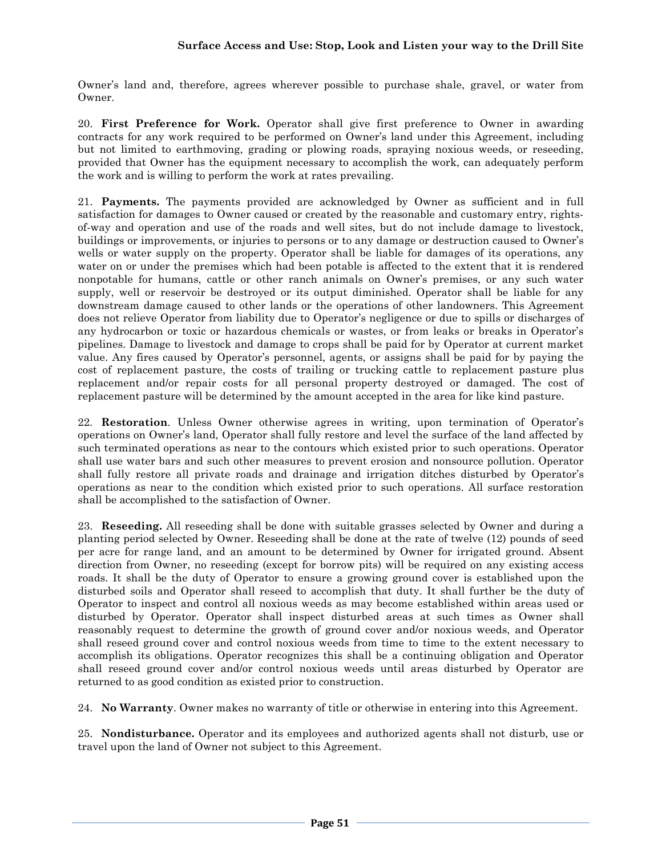Owner's land and, therefore, agrees wherever possible to purchase shale, gravel, or water from Owner.

20. **First Preference for Work.** Operator shall give first preference to Owner in awarding contracts for any work required to be performed on Owner's land under this Agreement, including but not limited to earthmoving, grading or plowing roads, spraying noxious weeds, or reseeding, provided that Owner has the equipment necessary to accomplish the work, can adequately perform the work and is willing to perform the work at rates prevailing.

21. **Payments.** The payments provided are acknowledged by Owner as sufficient and in full satisfaction for damages to Owner caused or created by the reasonable and customary entry, rightsof-way and operation and use of the roads and well sites, but do not include damage to livestock, buildings or improvements, or injuries to persons or to any damage or destruction caused to Owner's wells or water supply on the property. Operator shall be liable for damages of its operations, any water on or under the premises which had been potable is affected to the extent that it is rendered nonpotable for humans, cattle or other ranch animals on Owner's premises, or any such water supply, well or reservoir be destroyed or its output diminished. Operator shall be liable for any downstream damage caused to other lands or the operations of other landowners. This Agreement does not relieve Operator from liability due to Operator's negligence or due to spills or discharges of any hydrocarbon or toxic or hazardous chemicals or wastes, or from leaks or breaks in Operator's pipelines. Damage to livestock and damage to crops shall be paid for by Operator at current market value. Any fires caused by Operator's personnel, agents, or assigns shall be paid for by paying the cost of replacement pasture, the costs of trailing or trucking cattle to replacement pasture plus replacement and/or repair costs for all personal property destroyed or damaged. The cost of replacement pasture will be determined by the amount accepted in the area for like kind pasture.

22. **Restoration**. Unless Owner otherwise agrees in writing, upon termination of Operator's operations on Owner's land, Operator shall fully restore and level the surface of the land affected by such terminated operations as near to the contours which existed prior to such operations. Operator shall use water bars and such other measures to prevent erosion and nonsource pollution. Operator shall fully restore all private roads and drainage and irrigation ditches disturbed by Operator's operations as near to the condition which existed prior to such operations. All surface restoration shall be accomplished to the satisfaction of Owner.

23. **Reseeding.** All reseeding shall be done with suitable grasses selected by Owner and during a planting period selected by Owner. Reseeding shall be done at the rate of twelve (12) pounds of seed per acre for range land, and an amount to be determined by Owner for irrigated ground. Absent direction from Owner, no reseeding (except for borrow pits) will be required on any existing access roads. It shall be the duty of Operator to ensure a growing ground cover is established upon the disturbed soils and Operator shall reseed to accomplish that duty. It shall further be the duty of Operator to inspect and control all noxious weeds as may become established within areas used or disturbed by Operator. Operator shall inspect disturbed areas at such times as Owner shall reasonably request to determine the growth of ground cover and/or noxious weeds, and Operator shall reseed ground cover and control noxious weeds from time to time to the extent necessary to accomplish its obligations. Operator recognizes this shall be a continuing obligation and Operator shall reseed ground cover and/or control noxious weeds until areas disturbed by Operator are returned to as good condition as existed prior to construction.

24. **No Warranty**. Owner makes no warranty of title or otherwise in entering into this Agreement.

25. **Nondisturbance.** Operator and its employees and authorized agents shall not disturb, use or travel upon the land of Owner not subject to this Agreement.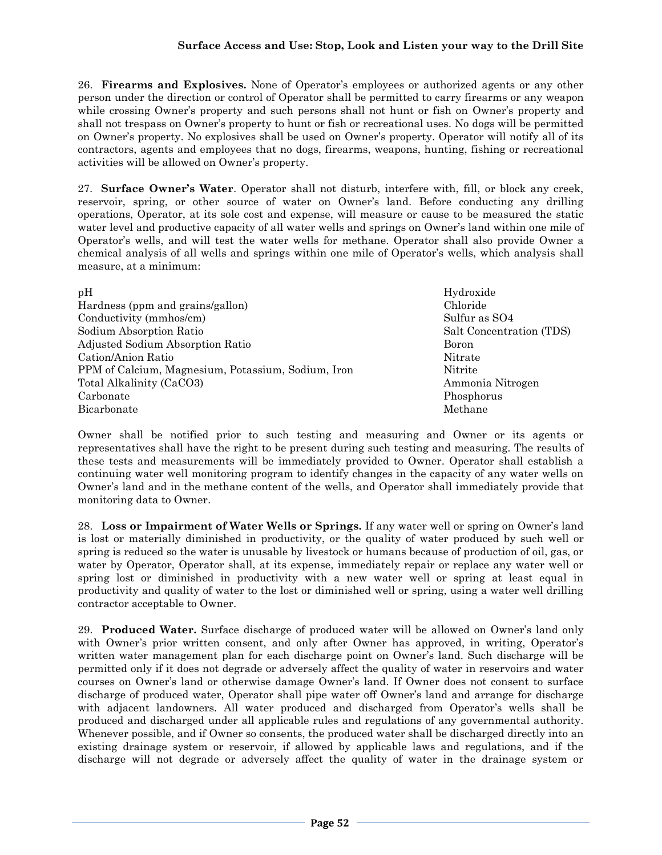26. **Firearms and Explosives.** None of Operator's employees or authorized agents or any other person under the direction or control of Operator shall be permitted to carry firearms or any weapon while crossing Owner's property and such persons shall not hunt or fish on Owner's property and shall not trespass on Owner's property to hunt or fish or recreational uses. No dogs will be permitted on Owner's property. No explosives shall be used on Owner's property. Operator will notify all of its contractors, agents and employees that no dogs, firearms, weapons, hunting, fishing or recreational activities will be allowed on Owner's property.

27. **Surface Owner's Water**. Operator shall not disturb, interfere with, fill, or block any creek, reservoir, spring, or other source of water on Owner's land. Before conducting any drilling operations, Operator, at its sole cost and expense, will measure or cause to be measured the static water level and productive capacity of all water wells and springs on Owner's land within one mile of Operator's wells, and will test the water wells for methane. Operator shall also provide Owner a chemical analysis of all wells and springs within one mile of Operator's wells, which analysis shall measure, at a minimum:

| pH                                                 | Hydroxide                |
|----------------------------------------------------|--------------------------|
| Hardness (ppm and grains/gallon)                   | Chloride                 |
| Conductivity (mmhos/cm)                            | Sulfur as SO4            |
| Sodium Absorption Ratio                            | Salt Concentration (TDS) |
| Adjusted Sodium Absorption Ratio                   | Boron                    |
| Cation/Anion Ratio                                 | Nitrate                  |
| PPM of Calcium, Magnesium, Potassium, Sodium, Iron | Nitrite                  |
| Total Alkalinity (CaCO3)                           | Ammonia Nitrogen         |
| Carbonate                                          | Phosphorus               |
| Bicarbonate                                        | Methane                  |

Owner shall be notified prior to such testing and measuring and Owner or its agents or representatives shall have the right to be present during such testing and measuring. The results of these tests and measurements will be immediately provided to Owner. Operator shall establish a continuing water well monitoring program to identify changes in the capacity of any water wells on Owner's land and in the methane content of the wells, and Operator shall immediately provide that monitoring data to Owner.

28. **Loss or Impairment of Water Wells or Springs.** If any water well or spring on Owner's land is lost or materially diminished in productivity, or the quality of water produced by such well or spring is reduced so the water is unusable by livestock or humans because of production of oil, gas, or water by Operator, Operator shall, at its expense, immediately repair or replace any water well or spring lost or diminished in productivity with a new water well or spring at least equal in productivity and quality of water to the lost or diminished well or spring, using a water well drilling contractor acceptable to Owner.

29. **Produced Water.** Surface discharge of produced water will be allowed on Owner's land only with Owner's prior written consent, and only after Owner has approved, in writing, Operator's written water management plan for each discharge point on Owner's land. Such discharge will be permitted only if it does not degrade or adversely affect the quality of water in reservoirs and water courses on Owner's land or otherwise damage Owner's land. If Owner does not consent to surface discharge of produced water, Operator shall pipe water off Owner's land and arrange for discharge with adjacent landowners. All water produced and discharged from Operator's wells shall be produced and discharged under all applicable rules and regulations of any governmental authority. Whenever possible, and if Owner so consents, the produced water shall be discharged directly into an existing drainage system or reservoir, if allowed by applicable laws and regulations, and if the discharge will not degrade or adversely affect the quality of water in the drainage system or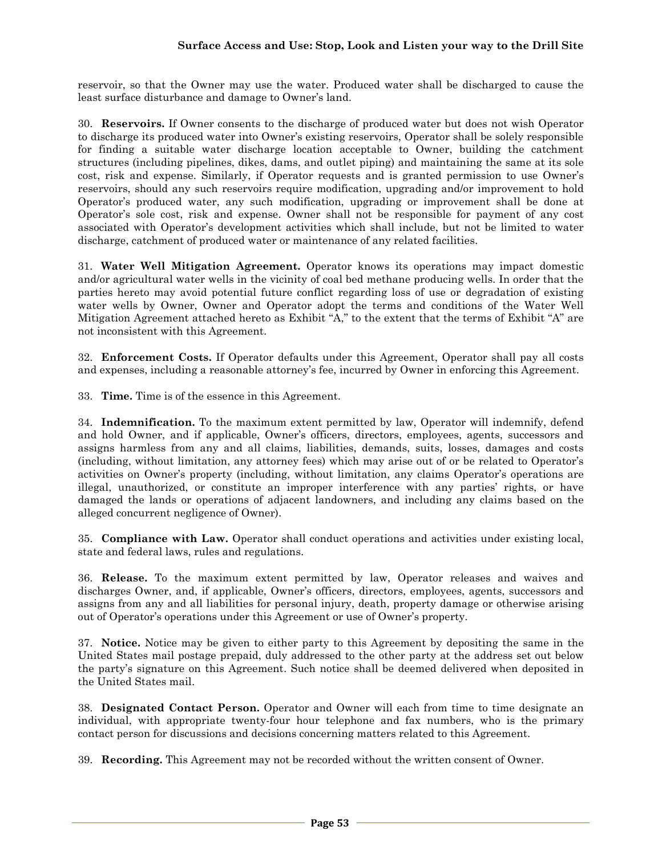reservoir, so that the Owner may use the water. Produced water shall be discharged to cause the least surface disturbance and damage to Owner's land.

30. **Reservoirs.** If Owner consents to the discharge of produced water but does not wish Operator to discharge its produced water into Owner's existing reservoirs, Operator shall be solely responsible for finding a suitable water discharge location acceptable to Owner, building the catchment structures (including pipelines, dikes, dams, and outlet piping) and maintaining the same at its sole cost, risk and expense. Similarly, if Operator requests and is granted permission to use Owner's reservoirs, should any such reservoirs require modification, upgrading and/or improvement to hold Operator's produced water, any such modification, upgrading or improvement shall be done at Operator's sole cost, risk and expense. Owner shall not be responsible for payment of any cost associated with Operator's development activities which shall include, but not be limited to water discharge, catchment of produced water or maintenance of any related facilities.

31. **Water Well Mitigation Agreement.** Operator knows its operations may impact domestic and/or agricultural water wells in the vicinity of coal bed methane producing wells. In order that the parties hereto may avoid potential future conflict regarding loss of use or degradation of existing water wells by Owner, Owner and Operator adopt the terms and conditions of the Water Well Mitigation Agreement attached hereto as Exhibit "A," to the extent that the terms of Exhibit "A" are not inconsistent with this Agreement.

32. **Enforcement Costs.** If Operator defaults under this Agreement, Operator shall pay all costs and expenses, including a reasonable attorney's fee, incurred by Owner in enforcing this Agreement.

33. **Time.** Time is of the essence in this Agreement.

34. **Indemnification.** To the maximum extent permitted by law, Operator will indemnify, defend and hold Owner, and if applicable, Owner's officers, directors, employees, agents, successors and assigns harmless from any and all claims, liabilities, demands, suits, losses, damages and costs (including, without limitation, any attorney fees) which may arise out of or be related to Operator's activities on Owner's property (including, without limitation, any claims Operator's operations are illegal, unauthorized, or constitute an improper interference with any parties' rights, or have damaged the lands or operations of adjacent landowners, and including any claims based on the alleged concurrent negligence of Owner).

35. **Compliance with Law.** Operator shall conduct operations and activities under existing local, state and federal laws, rules and regulations.

36. **Release.** To the maximum extent permitted by law, Operator releases and waives and discharges Owner, and, if applicable, Owner's officers, directors, employees, agents, successors and assigns from any and all liabilities for personal injury, death, property damage or otherwise arising out of Operator's operations under this Agreement or use of Owner's property.

37. **Notice.** Notice may be given to either party to this Agreement by depositing the same in the United States mail postage prepaid, duly addressed to the other party at the address set out below the party's signature on this Agreement. Such notice shall be deemed delivered when deposited in the United States mail.

38. **Designated Contact Person.** Operator and Owner will each from time to time designate an individual, with appropriate twenty-four hour telephone and fax numbers, who is the primary contact person for discussions and decisions concerning matters related to this Agreement.

39. **Recording.** This Agreement may not be recorded without the written consent of Owner.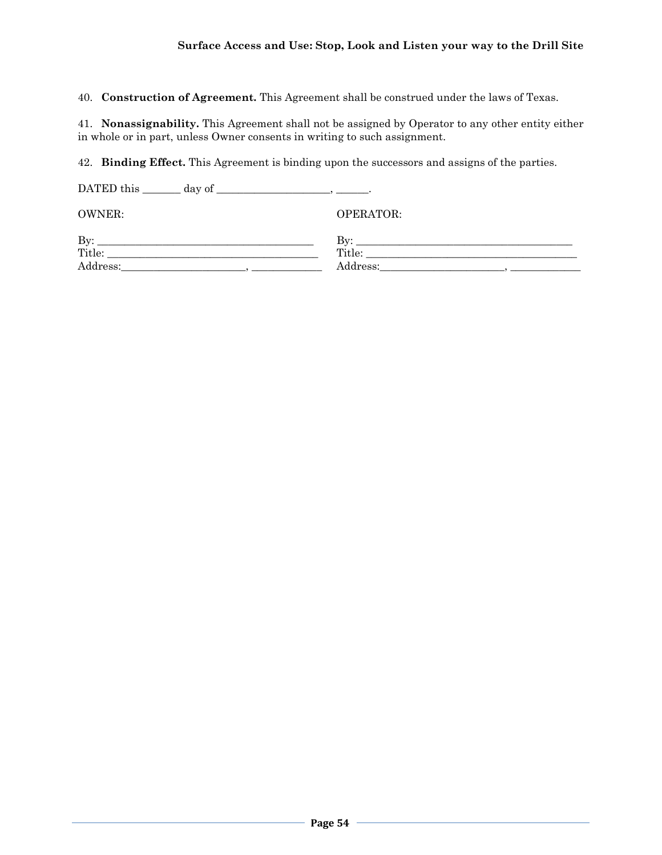40. **Construction of Agreement.** This Agreement shall be construed under the laws of Texas.

41. **Nonassignability.** This Agreement shall not be assigned by Operator to any other entity either in whole or in part, unless Owner consents in writing to such assignment.

42. **Binding Effect.** This Agreement is binding upon the successors and assigns of the parties.

DATED this  $\_\_\_\_\_\_\$  day of  $\_\_\_\_\_\_\_\_\_\_\_\_\$ 

OWNER:

OPERATOR:

| By:      | ┚      |
|----------|--------|
| Title:   | Title. |
| Address: |        |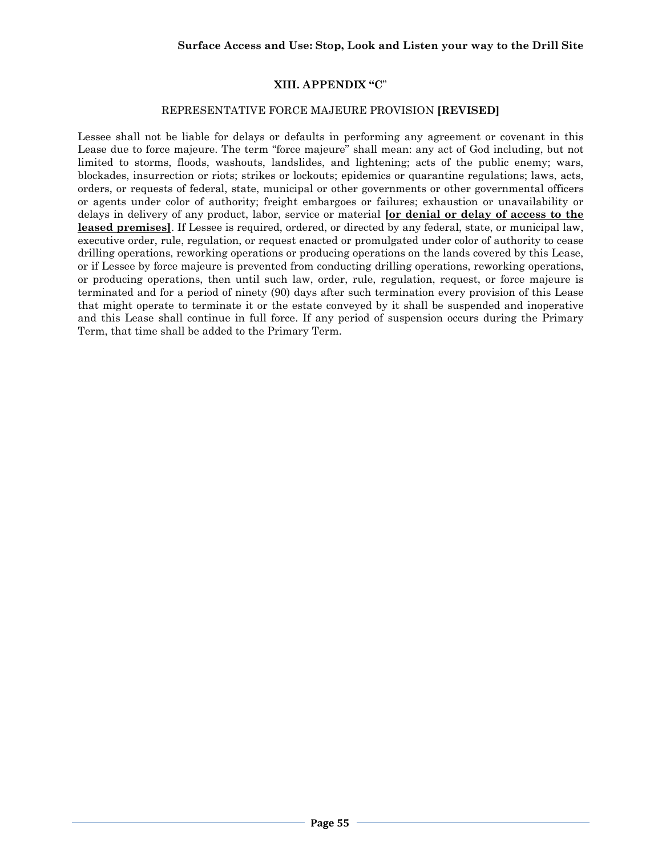### **XIII. APPENDIX "C**"

#### REPRESENTATIVE FORCE MAJEURE PROVISION **[REVISED]**

Lessee shall not be liable for delays or defaults in performing any agreement or covenant in this Lease due to force majeure. The term "force majeure" shall mean: any act of God including, but not limited to storms, floods, washouts, landslides, and lightening; acts of the public enemy; wars, blockades, insurrection or riots; strikes or lockouts; epidemics or quarantine regulations; laws, acts, orders, or requests of federal, state, municipal or other governments or other governmental officers or agents under color of authority; freight embargoes or failures; exhaustion or unavailability or delays in delivery of any product, labor, service or material **[or denial or delay of access to the leased premises]**. If Lessee is required, ordered, or directed by any federal, state, or municipal law, executive order, rule, regulation, or request enacted or promulgated under color of authority to cease drilling operations, reworking operations or producing operations on the lands covered by this Lease, or if Lessee by force majeure is prevented from conducting drilling operations, reworking operations, or producing operations, then until such law, order, rule, regulation, request, or force majeure is terminated and for a period of ninety (90) days after such termination every provision of this Lease that might operate to terminate it or the estate conveyed by it shall be suspended and inoperative and this Lease shall continue in full force. If any period of suspension occurs during the Primary Term, that time shall be added to the Primary Term.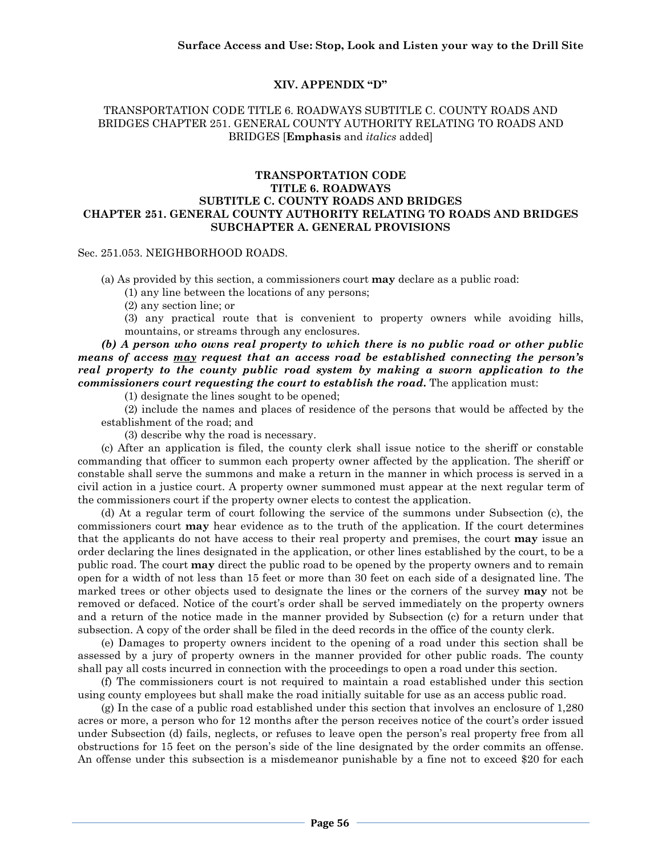### **XIV. APPENDIX "D"**

### TRANSPORTATION CODE TITLE 6. ROADWAYS SUBTITLE C. COUNTY ROADS AND BRIDGES CHAPTER 251. GENERAL COUNTY AUTHORITY RELATING TO ROADS AND BRIDGES [**Emphasis** and *italics* added]

### **TRANSPORTATION CODE TITLE 6. ROADWAYS SUBTITLE C. COUNTY ROADS AND BRIDGES CHAPTER 251. GENERAL COUNTY AUTHORITY RELATING TO ROADS AND BRIDGES SUBCHAPTER A. GENERAL PROVISIONS**

#### Sec. 251.053. NEIGHBORHOOD ROADS.

(a) As provided by this section, a commissioners court **may** declare as a public road:

(1) any line between the locations of any persons;

(2) any section line; or

(3) any practical route that is convenient to property owners while avoiding hills, mountains, or streams through any enclosures.

*(b) A person who owns real property to which there is no public road or other public means of access may request that an access road be established connecting the person's real property to the county public road system by making a sworn application to the commissioners court requesting the court to establish the road***.** The application must:

(1) designate the lines sought to be opened;

(2) include the names and places of residence of the persons that would be affected by the establishment of the road; and

(3) describe why the road is necessary.

(c) After an application is filed, the county clerk shall issue notice to the sheriff or constable commanding that officer to summon each property owner affected by the application. The sheriff or constable shall serve the summons and make a return in the manner in which process is served in a civil action in a justice court. A property owner summoned must appear at the next regular term of the commissioners court if the property owner elects to contest the application.

(d) At a regular term of court following the service of the summons under Subsection (c), the commissioners court **may** hear evidence as to the truth of the application. If the court determines that the applicants do not have access to their real property and premises, the court **may** issue an order declaring the lines designated in the application, or other lines established by the court, to be a public road. The court **may** direct the public road to be opened by the property owners and to remain open for a width of not less than 15 feet or more than 30 feet on each side of a designated line. The marked trees or other objects used to designate the lines or the corners of the survey **may** not be removed or defaced. Notice of the court's order shall be served immediately on the property owners and a return of the notice made in the manner provided by Subsection (c) for a return under that subsection. A copy of the order shall be filed in the deed records in the office of the county clerk.

(e) Damages to property owners incident to the opening of a road under this section shall be assessed by a jury of property owners in the manner provided for other public roads. The county shall pay all costs incurred in connection with the proceedings to open a road under this section.

(f) The commissioners court is not required to maintain a road established under this section using county employees but shall make the road initially suitable for use as an access public road.

(g) In the case of a public road established under this section that involves an enclosure of 1,280 acres or more, a person who for 12 months after the person receives notice of the court's order issued under Subsection (d) fails, neglects, or refuses to leave open the person's real property free from all obstructions for 15 feet on the person's side of the line designated by the order commits an offense. An offense under this subsection is a misdemeanor punishable by a fine not to exceed \$20 for each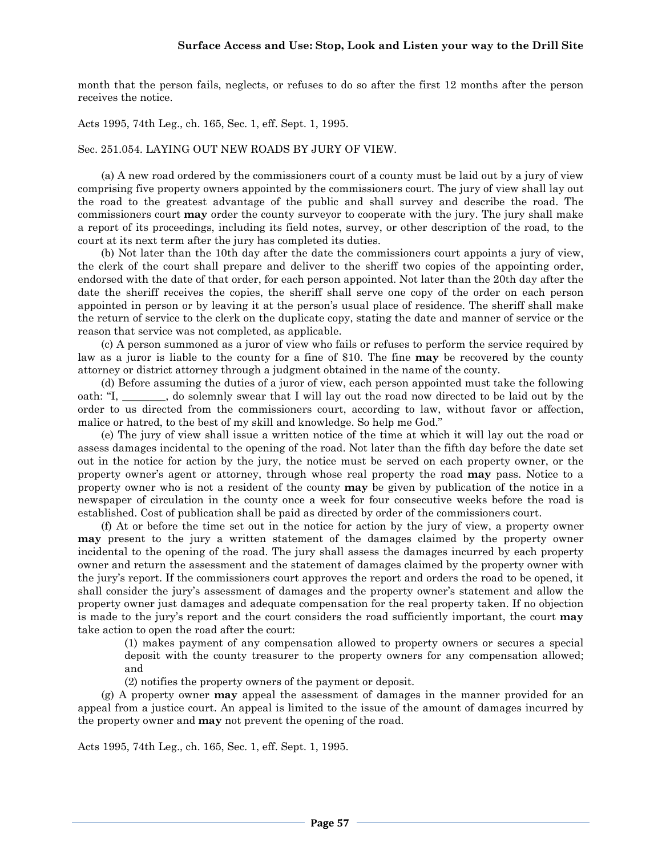month that the person fails, neglects, or refuses to do so after the first 12 months after the person receives the notice.

Acts 1995, 74th Leg., ch. 165, Sec. 1, eff. Sept. 1, 1995.

### Sec. 251.054. LAYING OUT NEW ROADS BY JURY OF VIEW.

(a) A new road ordered by the commissioners court of a county must be laid out by a jury of view comprising five property owners appointed by the commissioners court. The jury of view shall lay out the road to the greatest advantage of the public and shall survey and describe the road. The commissioners court **may** order the county surveyor to cooperate with the jury. The jury shall make a report of its proceedings, including its field notes, survey, or other description of the road, to the court at its next term after the jury has completed its duties.

(b) Not later than the 10th day after the date the commissioners court appoints a jury of view, the clerk of the court shall prepare and deliver to the sheriff two copies of the appointing order, endorsed with the date of that order, for each person appointed. Not later than the 20th day after the date the sheriff receives the copies, the sheriff shall serve one copy of the order on each person appointed in person or by leaving it at the person's usual place of residence. The sheriff shall make the return of service to the clerk on the duplicate copy, stating the date and manner of service or the reason that service was not completed, as applicable.

(c) A person summoned as a juror of view who fails or refuses to perform the service required by law as a juror is liable to the county for a fine of \$10. The fine **may** be recovered by the county attorney or district attorney through a judgment obtained in the name of the county.

(d) Before assuming the duties of a juror of view, each person appointed must take the following oath: "I, \_\_\_\_\_\_\_\_, do solemnly swear that I will lay out the road now directed to be laid out by the order to us directed from the commissioners court, according to law, without favor or affection, malice or hatred, to the best of my skill and knowledge. So help me God."

(e) The jury of view shall issue a written notice of the time at which it will lay out the road or assess damages incidental to the opening of the road. Not later than the fifth day before the date set out in the notice for action by the jury, the notice must be served on each property owner, or the property owner's agent or attorney, through whose real property the road **may** pass. Notice to a property owner who is not a resident of the county **may** be given by publication of the notice in a newspaper of circulation in the county once a week for four consecutive weeks before the road is established. Cost of publication shall be paid as directed by order of the commissioners court.

(f) At or before the time set out in the notice for action by the jury of view, a property owner **may** present to the jury a written statement of the damages claimed by the property owner incidental to the opening of the road. The jury shall assess the damages incurred by each property owner and return the assessment and the statement of damages claimed by the property owner with the jury's report. If the commissioners court approves the report and orders the road to be opened, it shall consider the jury's assessment of damages and the property owner's statement and allow the property owner just damages and adequate compensation for the real property taken. If no objection is made to the jury's report and the court considers the road sufficiently important, the court **may** take action to open the road after the court:

(1) makes payment of any compensation allowed to property owners or secures a special deposit with the county treasurer to the property owners for any compensation allowed; and

(2) notifies the property owners of the payment or deposit.

(g) A property owner **may** appeal the assessment of damages in the manner provided for an appeal from a justice court. An appeal is limited to the issue of the amount of damages incurred by the property owner and **may** not prevent the opening of the road.

Acts 1995, 74th Leg., ch. 165, Sec. 1, eff. Sept. 1, 1995.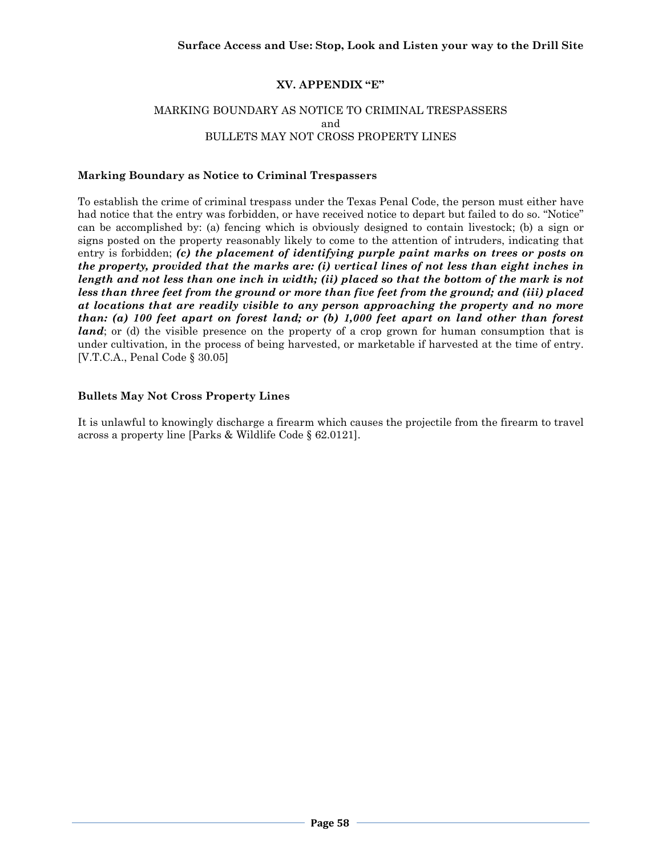### **XV. APPENDIX "E"**

### MARKING BOUNDARY AS NOTICE TO CRIMINAL TRESPASSERS and BULLETS MAY NOT CROSS PROPERTY LINES

### **Marking Boundary as Notice to Criminal Trespassers**

To establish the crime of criminal trespass under the Texas Penal Code, the person must either have had notice that the entry was forbidden, or have received notice to depart but failed to do so. "Notice" can be accomplished by: (a) fencing which is obviously designed to contain livestock; (b) a sign or signs posted on the property reasonably likely to come to the attention of intruders, indicating that entry is forbidden; *(c) the placement of identifying purple paint marks on trees or posts on the property, provided that the marks are: (i) vertical lines of not less than eight inches in*  length and not less than one inch in width; (ii) placed so that the bottom of the mark is not *less than three feet from the ground or more than five feet from the ground; and (iii) placed at locations that are readily visible to any person approaching the property and no more than: (a) 100 feet apart on forest land; or (b) 1,000 feet apart on land other than forest land*; or (d) the visible presence on the property of a crop grown for human consumption that is under cultivation, in the process of being harvested, or marketable if harvested at the time of entry. [V.T.C.A., Penal Code § 30.05]

### **Bullets May Not Cross Property Lines**

It is unlawful to knowingly discharge a firearm which causes the projectile from the firearm to travel across a property line [Parks & Wildlife Code § 62.0121].